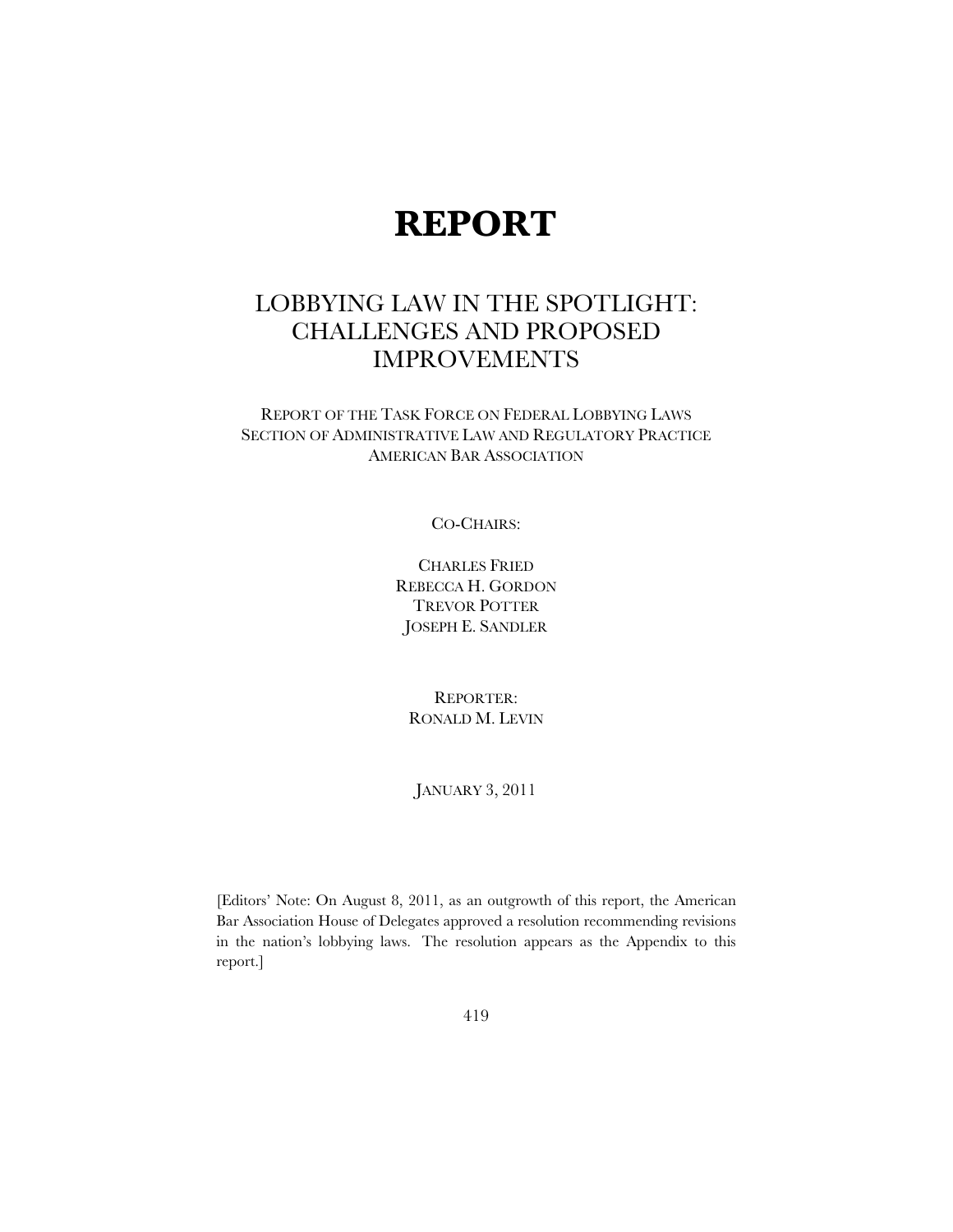# **REPORT**

## LOBBYING LAW IN THE SPOTLIGHT: CHALLENGES AND PROPOSED IMPROVEMENTS

REPORT OF THE TASK FORCE ON FEDERAL LOBBYING LAWS SECTION OF ADMINISTRATIVE LAW AND REGULATORY PRACTICE AMERICAN BAR ASSOCIATION

#### CO-CHAIRS:

CHARLES FRIED REBECCA H. GORDON TREVOR POTTER JOSEPH E. SANDLER

REPORTER: RONALD M. LEVIN

JANUARY 3, 2011

[Editors' Note: On August 8, 2011, as an outgrowth of this report, the American Bar Association House of Delegates approved a resolution recommending revisions in the nation's lobbying laws. The resolution appears as the Appendix to this report.]

419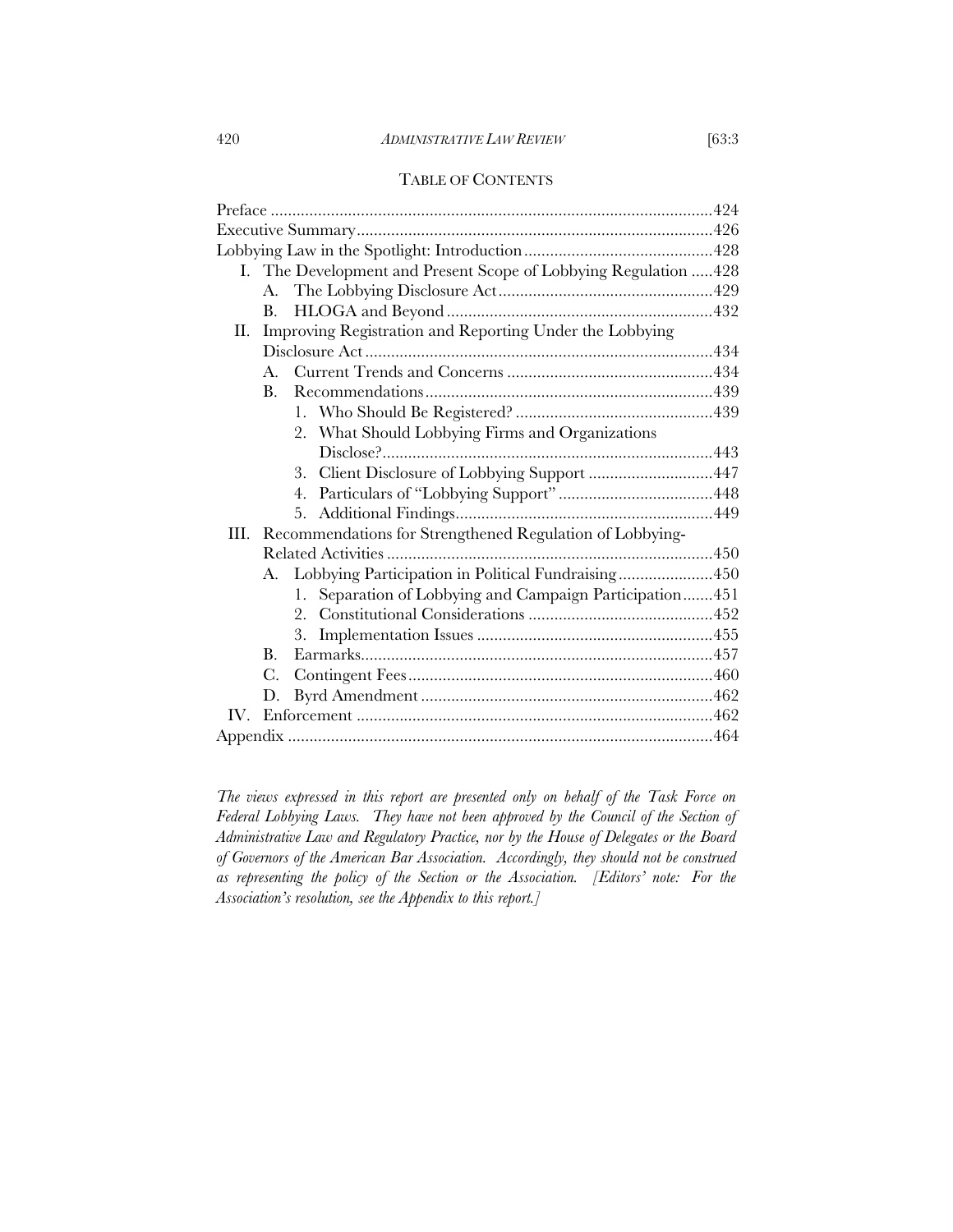#### 420 *ADMINISTRATIVE LAW REVIEW* [63:3

#### TABLE OF CONTENTS

|      |                | I. The Development and Present Scope of Lobbying Regulation  428 |  |  |
|------|----------------|------------------------------------------------------------------|--|--|
|      | A.             |                                                                  |  |  |
|      | B.             |                                                                  |  |  |
| H.   |                | Improving Registration and Reporting Under the Lobbying          |  |  |
|      |                |                                                                  |  |  |
|      | $\mathbf{A}$ . |                                                                  |  |  |
|      | B.             |                                                                  |  |  |
|      |                |                                                                  |  |  |
|      |                | What Should Lobbying Firms and Organizations<br>2.               |  |  |
|      |                |                                                                  |  |  |
|      |                | Client Disclosure of Lobbying Support 447<br>3.                  |  |  |
|      |                | 4.                                                               |  |  |
|      |                | 5.                                                               |  |  |
| III. |                | Recommendations for Strengthened Regulation of Lobbying-         |  |  |
|      |                |                                                                  |  |  |
|      | А.             | Lobbying Participation in Political Fundraising450               |  |  |
|      |                | Separation of Lobbying and Campaign Participation451<br>1.       |  |  |
|      |                | $9_{\scriptscriptstyle{\perp}}$                                  |  |  |
|      |                | 3.                                                               |  |  |
|      | Β.             |                                                                  |  |  |
|      | C.             |                                                                  |  |  |
|      | D.             |                                                                  |  |  |
|      |                |                                                                  |  |  |
|      |                |                                                                  |  |  |

*The views expressed in this report are presented only on behalf of the Task Force on Federal Lobbying Laws. They have not been approved by the Council of the Section of Administrative Law and Regulatory Practice, nor by the House of Delegates or the Board of Governors of the American Bar Association. Accordingly, they should not be construed as representing the policy of the Section or the Association. [Editors' note: For the Association's resolution, see the Appendix to this report.]*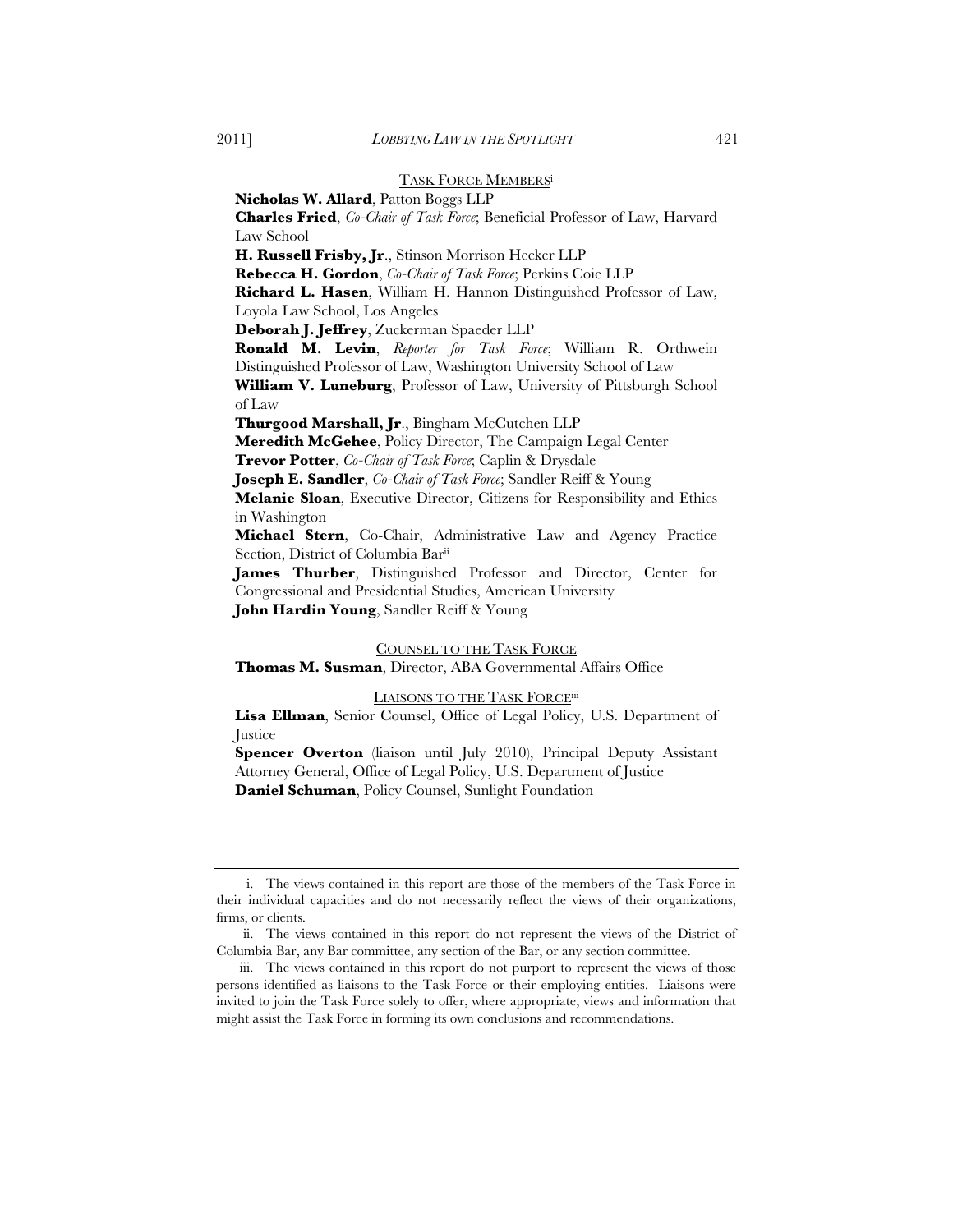#### TASK FORCE MEMBERSi

**Nicholas W. Allard**, Patton Boggs LLP **Charles Fried**, *Co-Chair of Task Force*; Beneficial Professor of Law, Harvard Law School **H. Russell Frisby, Jr**., Stinson Morrison Hecker LLP **Rebecca H. Gordon**, *Co-Chair of Task Force*; Perkins Coie LLP **Richard L. Hasen**, William H. Hannon Distinguished Professor of Law, Loyola Law School, Los Angeles **Deborah J. Jeffrey**, Zuckerman Spaeder LLP **Ronald M. Levin**, *Reporter for Task Force*; William R. Orthwein Distinguished Professor of Law, Washington University School of Law **William V. Luneburg**, Professor of Law, University of Pittsburgh School of Law **Thurgood Marshall, Jr**., Bingham McCutchen LLP **Meredith McGehee**, Policy Director, The Campaign Legal Center **Trevor Potter**, *Co-Chair of Task Force*; Caplin & Drysdale **Joseph E. Sandler**, *Co-Chair of Task Force*; Sandler Reiff & Young **Melanie Sloan**, Executive Director, Citizens for Responsibility and Ethics in Washington **Michael Stern**, Co-Chair, Administrative Law and Agency Practice Section, District of Columbia Barii **James Thurber**, Distinguished Professor and Director, Center for Congressional and Presidential Studies, American University **John Hardin Young**, Sandler Reiff & Young

#### COUNSEL TO THE TASK FORCE **Thomas M. Susman**, Director, ABA Governmental Affairs Office

#### LIAISONS TO THE TASK FORCE<sup>iii</sup>

**Lisa Ellman**, Senior Counsel, Office of Legal Policy, U.S. Department of **Justice** 

**Spencer Overton** (liaison until July 2010), Principal Deputy Assistant Attorney General, Office of Legal Policy, U.S. Department of Justice **Daniel Schuman**, Policy Counsel, Sunlight Foundation

i. The views contained in this report are those of the members of the Task Force in their individual capacities and do not necessarily reflect the views of their organizations, firms, or clients.

ii. The views contained in this report do not represent the views of the District of Columbia Bar, any Bar committee, any section of the Bar, or any section committee.

iii. The views contained in this report do not purport to represent the views of those persons identified as liaisons to the Task Force or their employing entities. Liaisons were invited to join the Task Force solely to offer, where appropriate, views and information that might assist the Task Force in forming its own conclusions and recommendations.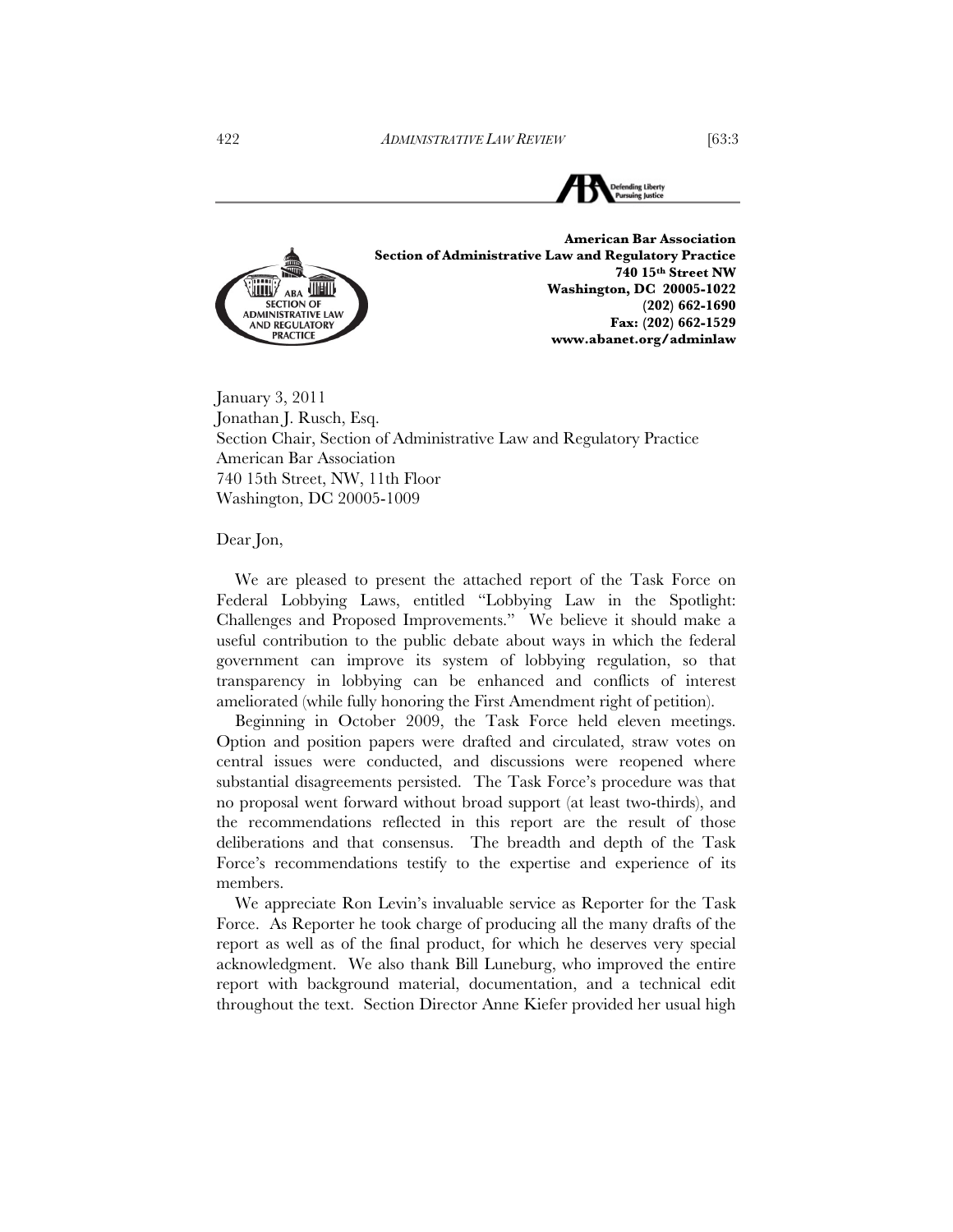

January 3, 2011 Jonathan J. Rusch, Esq. Section Chair, Section of Administrative Law and Regulatory Practice American Bar Association 740 15th Street, NW, 11th Floor Washington, DC 20005-1009

Dear Jon,

We are pleased to present the attached report of the Task Force on Federal Lobbying Laws, entitled "Lobbying Law in the Spotlight: Challenges and Proposed Improvements." We believe it should make a useful contribution to the public debate about ways in which the federal government can improve its system of lobbying regulation, so that transparency in lobbying can be enhanced and conflicts of interest ameliorated (while fully honoring the First Amendment right of petition).

Beginning in October 2009, the Task Force held eleven meetings. Option and position papers were drafted and circulated, straw votes on central issues were conducted, and discussions were reopened where substantial disagreements persisted. The Task Force's procedure was that no proposal went forward without broad support (at least two-thirds), and the recommendations reflected in this report are the result of those deliberations and that consensus. The breadth and depth of the Task Force's recommendations testify to the expertise and experience of its members.

We appreciate Ron Levin's invaluable service as Reporter for the Task Force. As Reporter he took charge of producing all the many drafts of the report as well as of the final product, for which he deserves very special acknowledgment. We also thank Bill Luneburg, who improved the entire report with background material, documentation, and a technical edit throughout the text. Section Director Anne Kiefer provided her usual high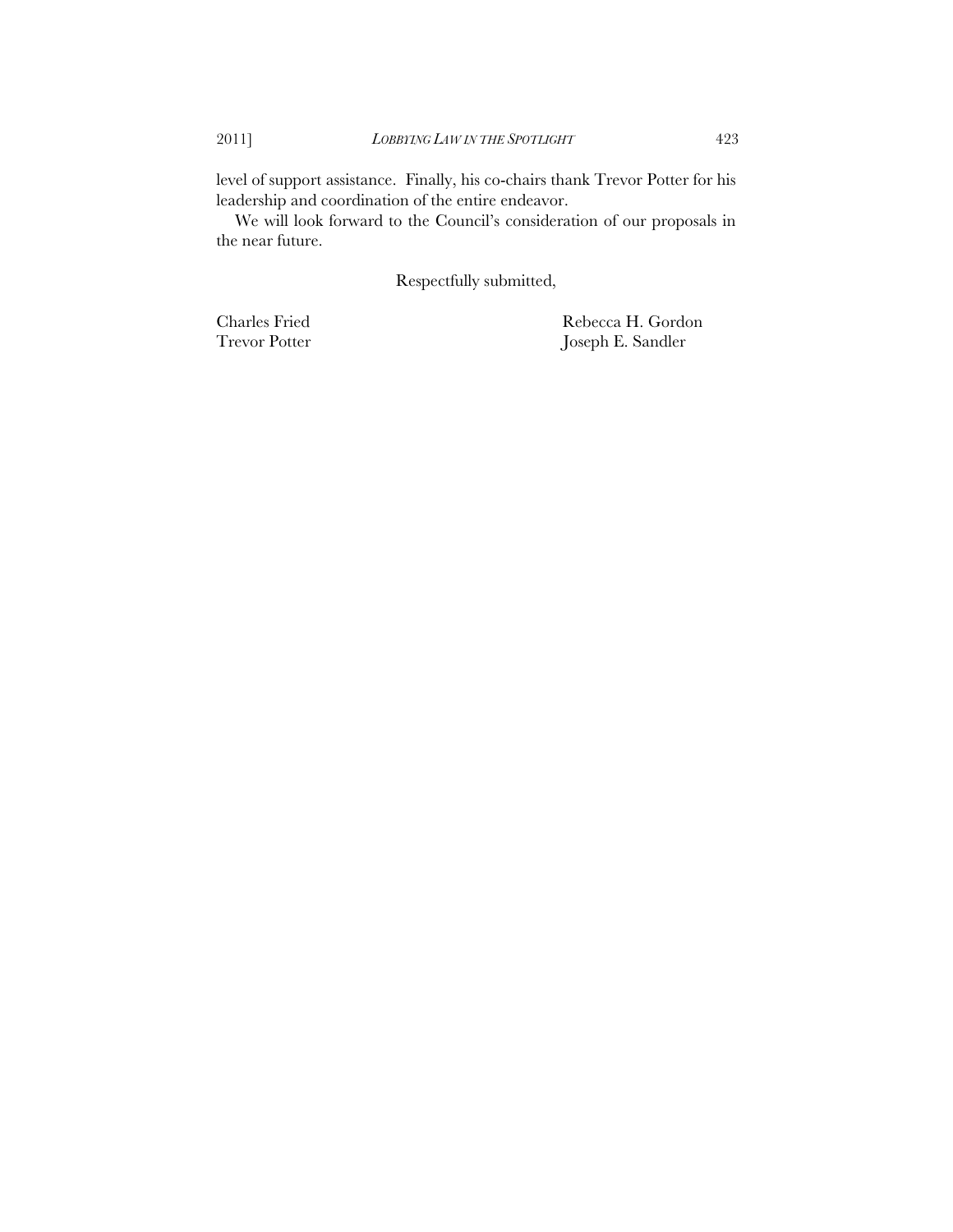level of support assistance. Finally, his co-chairs thank Trevor Potter for his leadership and coordination of the entire endeavor.

We will look forward to the Council's consideration of our proposals in the near future.

Respectfully submitted,

Charles Fried Rebecca H. Gordon Trevor Potter Joseph E. Sandler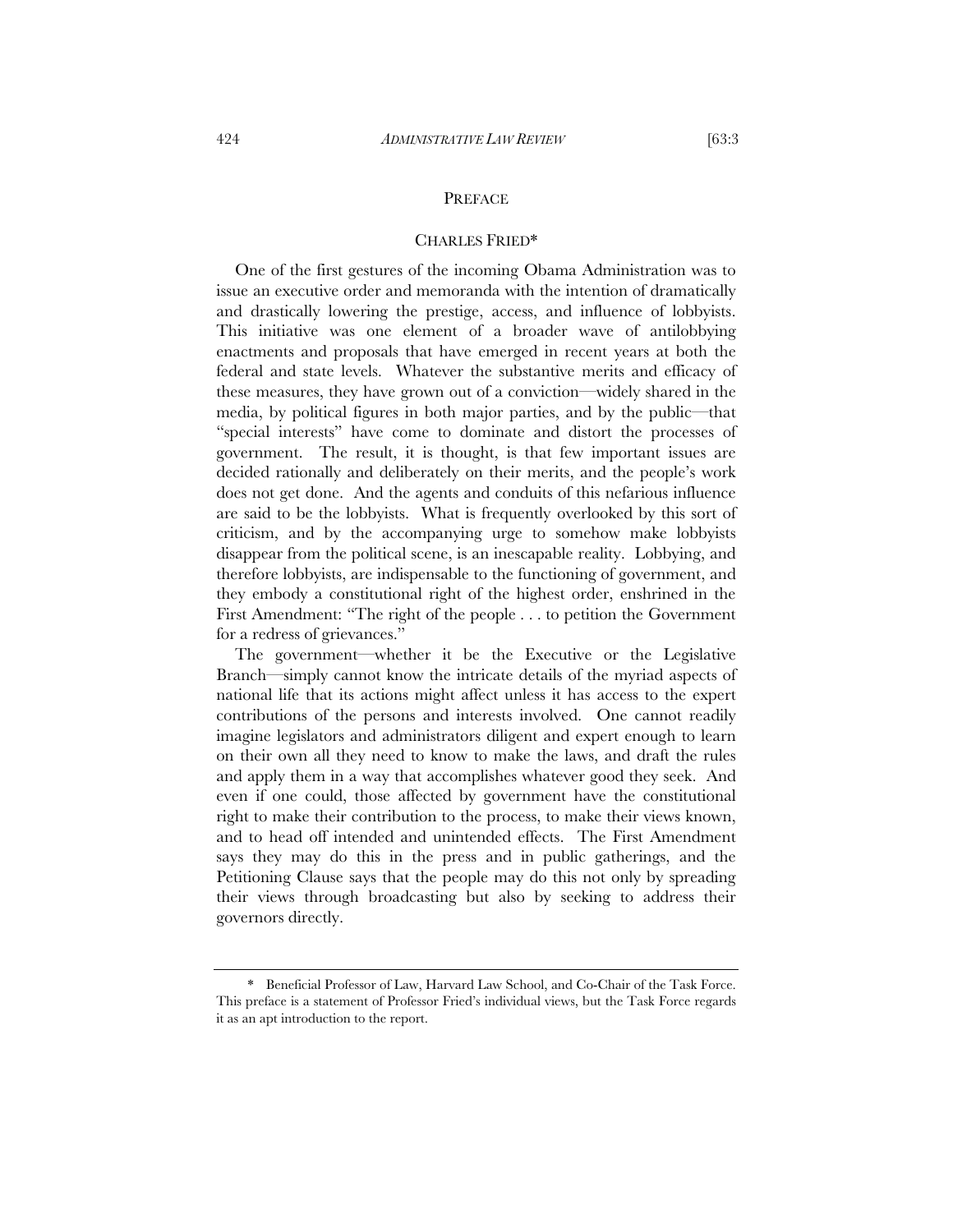#### PREFACE

#### CHARLES FRIED\*

One of the first gestures of the incoming Obama Administration was to issue an executive order and memoranda with the intention of dramatically and drastically lowering the prestige, access, and influence of lobbyists. This initiative was one element of a broader wave of antilobbying enactments and proposals that have emerged in recent years at both the federal and state levels. Whatever the substantive merits and efficacy of these measures, they have grown out of a conviction—widely shared in the media, by political figures in both major parties, and by the public—that "special interests" have come to dominate and distort the processes of government. The result, it is thought, is that few important issues are decided rationally and deliberately on their merits, and the people's work does not get done. And the agents and conduits of this nefarious influence are said to be the lobbyists. What is frequently overlooked by this sort of criticism, and by the accompanying urge to somehow make lobbyists disappear from the political scene, is an inescapable reality. Lobbying, and therefore lobbyists, are indispensable to the functioning of government, and they embody a constitutional right of the highest order, enshrined in the First Amendment: "The right of the people . . . to petition the Government for a redress of grievances."

The government—whether it be the Executive or the Legislative Branch—simply cannot know the intricate details of the myriad aspects of national life that its actions might affect unless it has access to the expert contributions of the persons and interests involved. One cannot readily imagine legislators and administrators diligent and expert enough to learn on their own all they need to know to make the laws, and draft the rules and apply them in a way that accomplishes whatever good they seek. And even if one could, those affected by government have the constitutional right to make their contribution to the process, to make their views known, and to head off intended and unintended effects. The First Amendment says they may do this in the press and in public gatherings, and the Petitioning Clause says that the people may do this not only by spreading their views through broadcasting but also by seeking to address their governors directly.

<sup>\*</sup> Beneficial Professor of Law, Harvard Law School, and Co-Chair of the Task Force. This preface is a statement of Professor Fried's individual views, but the Task Force regards it as an apt introduction to the report.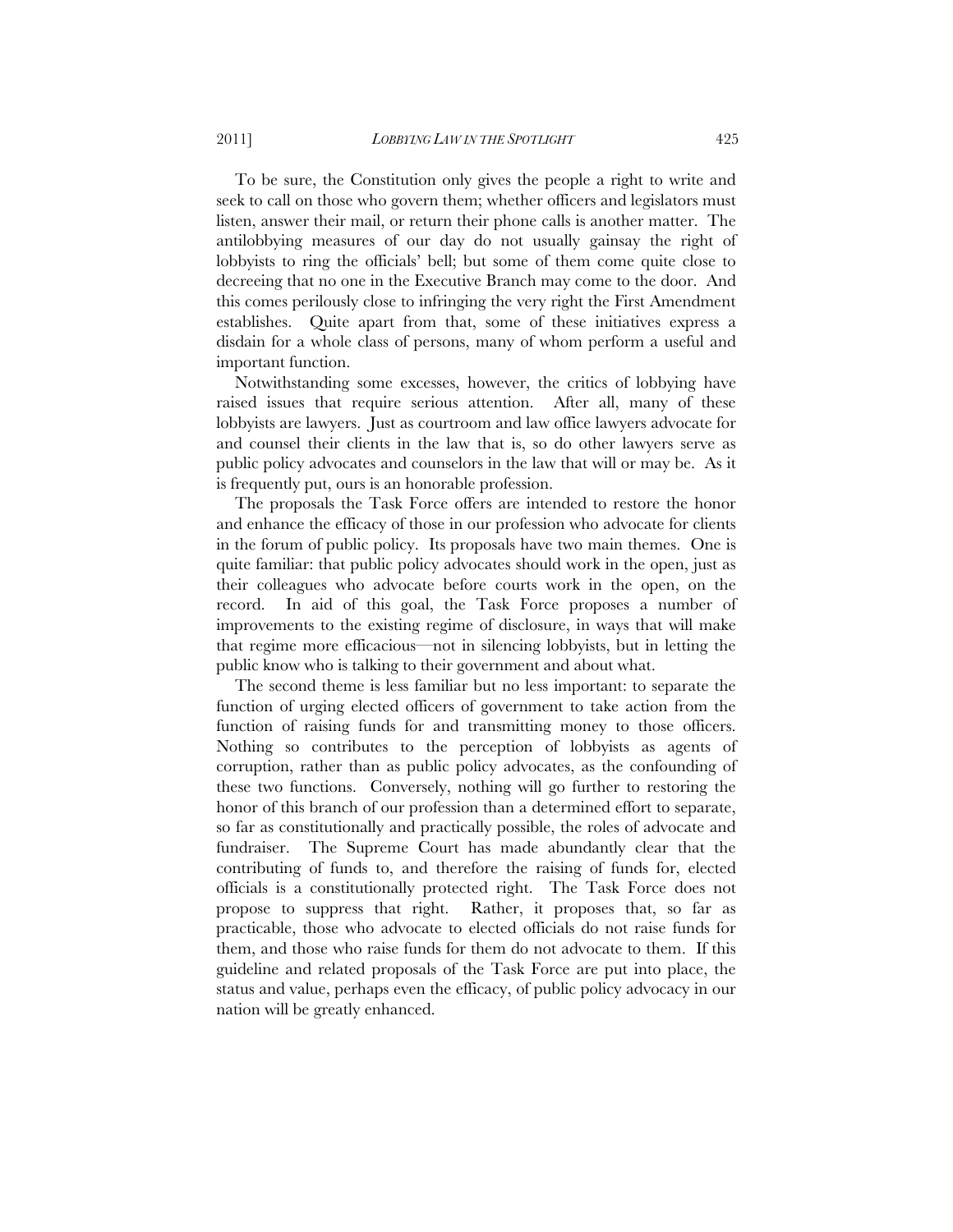To be sure, the Constitution only gives the people a right to write and seek to call on those who govern them; whether officers and legislators must listen, answer their mail, or return their phone calls is another matter. The antilobbying measures of our day do not usually gainsay the right of lobbyists to ring the officials' bell; but some of them come quite close to decreeing that no one in the Executive Branch may come to the door. And this comes perilously close to infringing the very right the First Amendment establishes. Quite apart from that, some of these initiatives express a disdain for a whole class of persons, many of whom perform a useful and important function.

Notwithstanding some excesses, however, the critics of lobbying have raised issues that require serious attention. After all, many of these lobbyists are lawyers. Just as courtroom and law office lawyers advocate for and counsel their clients in the law that is, so do other lawyers serve as public policy advocates and counselors in the law that will or may be. As it is frequently put, ours is an honorable profession.

The proposals the Task Force offers are intended to restore the honor and enhance the efficacy of those in our profession who advocate for clients in the forum of public policy. Its proposals have two main themes. One is quite familiar: that public policy advocates should work in the open, just as their colleagues who advocate before courts work in the open, on the record. In aid of this goal, the Task Force proposes a number of improvements to the existing regime of disclosure, in ways that will make that regime more efficacious—not in silencing lobbyists, but in letting the public know who is talking to their government and about what.

The second theme is less familiar but no less important: to separate the function of urging elected officers of government to take action from the function of raising funds for and transmitting money to those officers. Nothing so contributes to the perception of lobbyists as agents of corruption, rather than as public policy advocates, as the confounding of these two functions. Conversely, nothing will go further to restoring the honor of this branch of our profession than a determined effort to separate, so far as constitutionally and practically possible, the roles of advocate and fundraiser. The Supreme Court has made abundantly clear that the contributing of funds to, and therefore the raising of funds for, elected officials is a constitutionally protected right. The Task Force does not propose to suppress that right. Rather, it proposes that, so far as practicable, those who advocate to elected officials do not raise funds for them, and those who raise funds for them do not advocate to them. If this guideline and related proposals of the Task Force are put into place, the status and value, perhaps even the efficacy, of public policy advocacy in our nation will be greatly enhanced.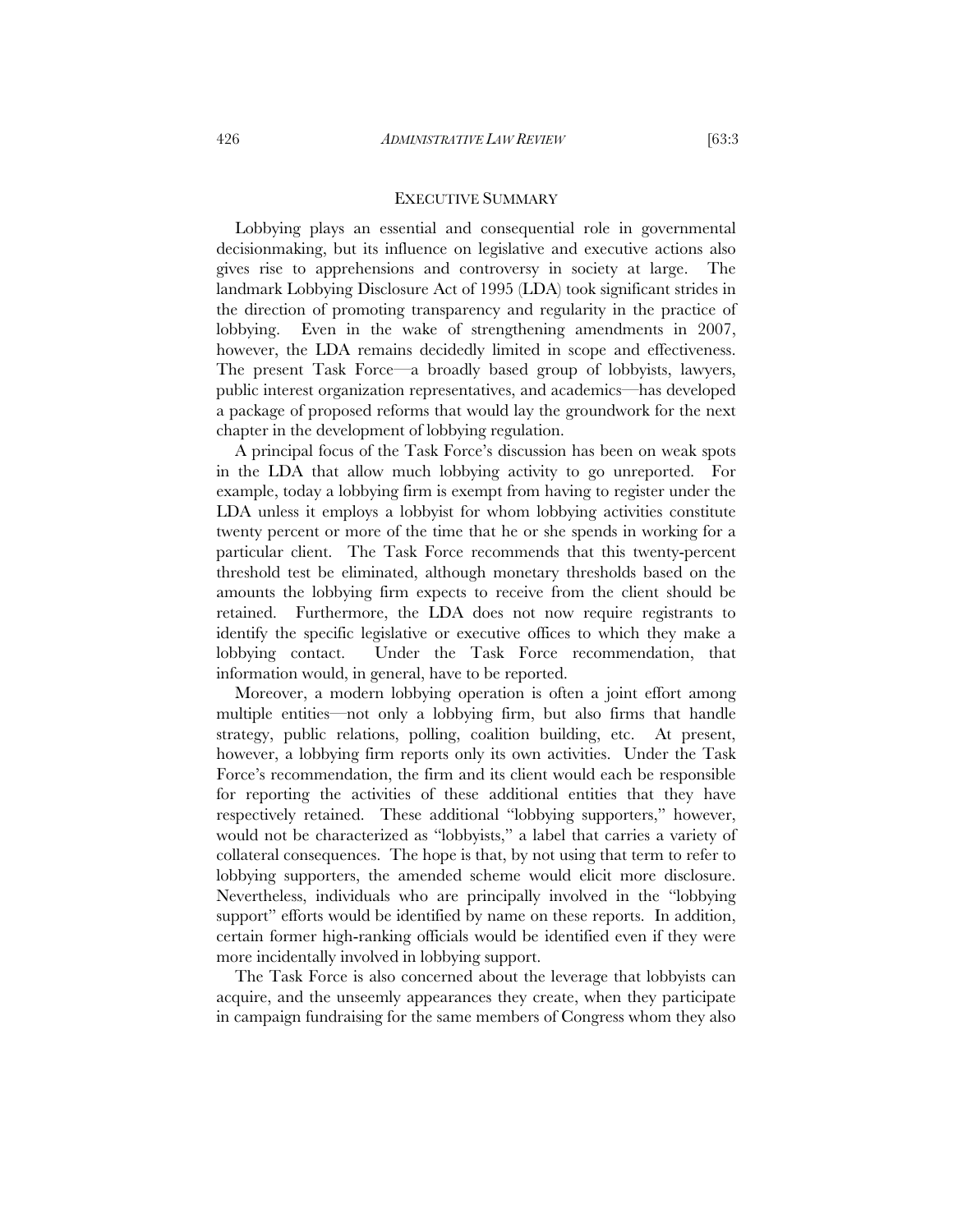Lobbying plays an essential and consequential role in governmental decisionmaking, but its influence on legislative and executive actions also gives rise to apprehensions and controversy in society at large. The landmark Lobbying Disclosure Act of 1995 (LDA) took significant strides in the direction of promoting transparency and regularity in the practice of lobbying. Even in the wake of strengthening amendments in 2007, however, the LDA remains decidedly limited in scope and effectiveness. The present Task Force—a broadly based group of lobbyists, lawyers, public interest organization representatives, and academics—has developed a package of proposed reforms that would lay the groundwork for the next chapter in the development of lobbying regulation.

A principal focus of the Task Force's discussion has been on weak spots in the LDA that allow much lobbying activity to go unreported. For example, today a lobbying firm is exempt from having to register under the LDA unless it employs a lobbyist for whom lobbying activities constitute twenty percent or more of the time that he or she spends in working for a particular client. The Task Force recommends that this twenty-percent threshold test be eliminated, although monetary thresholds based on the amounts the lobbying firm expects to receive from the client should be retained. Furthermore, the LDA does not now require registrants to identify the specific legislative or executive offices to which they make a lobbying contact. Under the Task Force recommendation, that information would, in general, have to be reported.

Moreover, a modern lobbying operation is often a joint effort among multiple entities—not only a lobbying firm, but also firms that handle strategy, public relations, polling, coalition building, etc. At present, however, a lobbying firm reports only its own activities. Under the Task Force's recommendation, the firm and its client would each be responsible for reporting the activities of these additional entities that they have respectively retained. These additional "lobbying supporters," however, would not be characterized as "lobbyists," a label that carries a variety of collateral consequences. The hope is that, by not using that term to refer to lobbying supporters, the amended scheme would elicit more disclosure. Nevertheless, individuals who are principally involved in the "lobbying support" efforts would be identified by name on these reports. In addition, certain former high-ranking officials would be identified even if they were more incidentally involved in lobbying support.

The Task Force is also concerned about the leverage that lobbyists can acquire, and the unseemly appearances they create, when they participate in campaign fundraising for the same members of Congress whom they also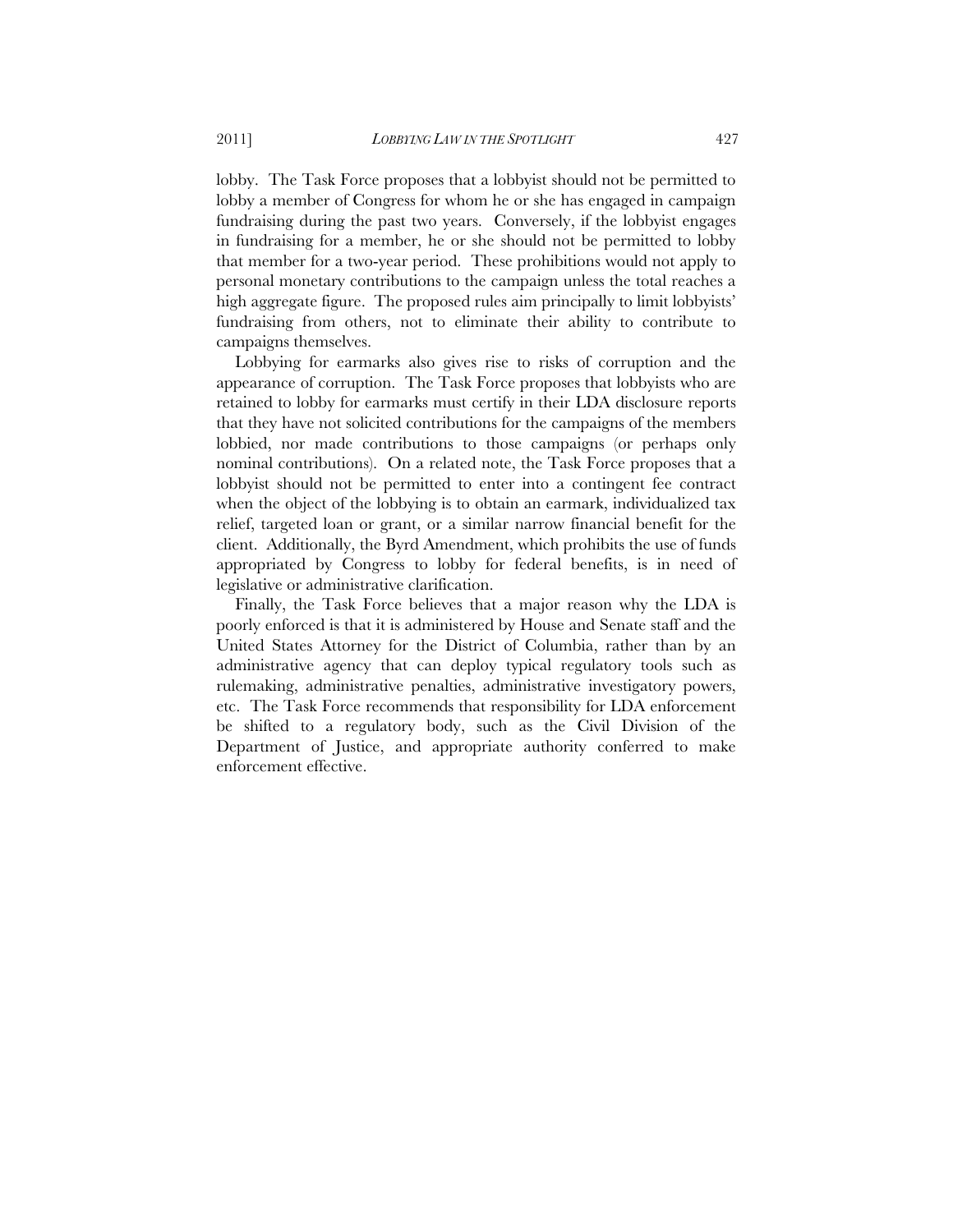lobby. The Task Force proposes that a lobbyist should not be permitted to lobby a member of Congress for whom he or she has engaged in campaign fundraising during the past two years. Conversely, if the lobbyist engages in fundraising for a member, he or she should not be permitted to lobby that member for a two-year period. These prohibitions would not apply to personal monetary contributions to the campaign unless the total reaches a high aggregate figure. The proposed rules aim principally to limit lobbyists' fundraising from others, not to eliminate their ability to contribute to campaigns themselves.

Lobbying for earmarks also gives rise to risks of corruption and the appearance of corruption. The Task Force proposes that lobbyists who are retained to lobby for earmarks must certify in their LDA disclosure reports that they have not solicited contributions for the campaigns of the members lobbied, nor made contributions to those campaigns (or perhaps only nominal contributions). On a related note, the Task Force proposes that a lobbyist should not be permitted to enter into a contingent fee contract when the object of the lobbying is to obtain an earmark, individualized tax relief, targeted loan or grant, or a similar narrow financial benefit for the client. Additionally, the Byrd Amendment, which prohibits the use of funds appropriated by Congress to lobby for federal benefits, is in need of legislative or administrative clarification.

Finally, the Task Force believes that a major reason why the LDA is poorly enforced is that it is administered by House and Senate staff and the United States Attorney for the District of Columbia, rather than by an administrative agency that can deploy typical regulatory tools such as rulemaking, administrative penalties, administrative investigatory powers, etc. The Task Force recommends that responsibility for LDA enforcement be shifted to a regulatory body, such as the Civil Division of the Department of Justice, and appropriate authority conferred to make enforcement effective.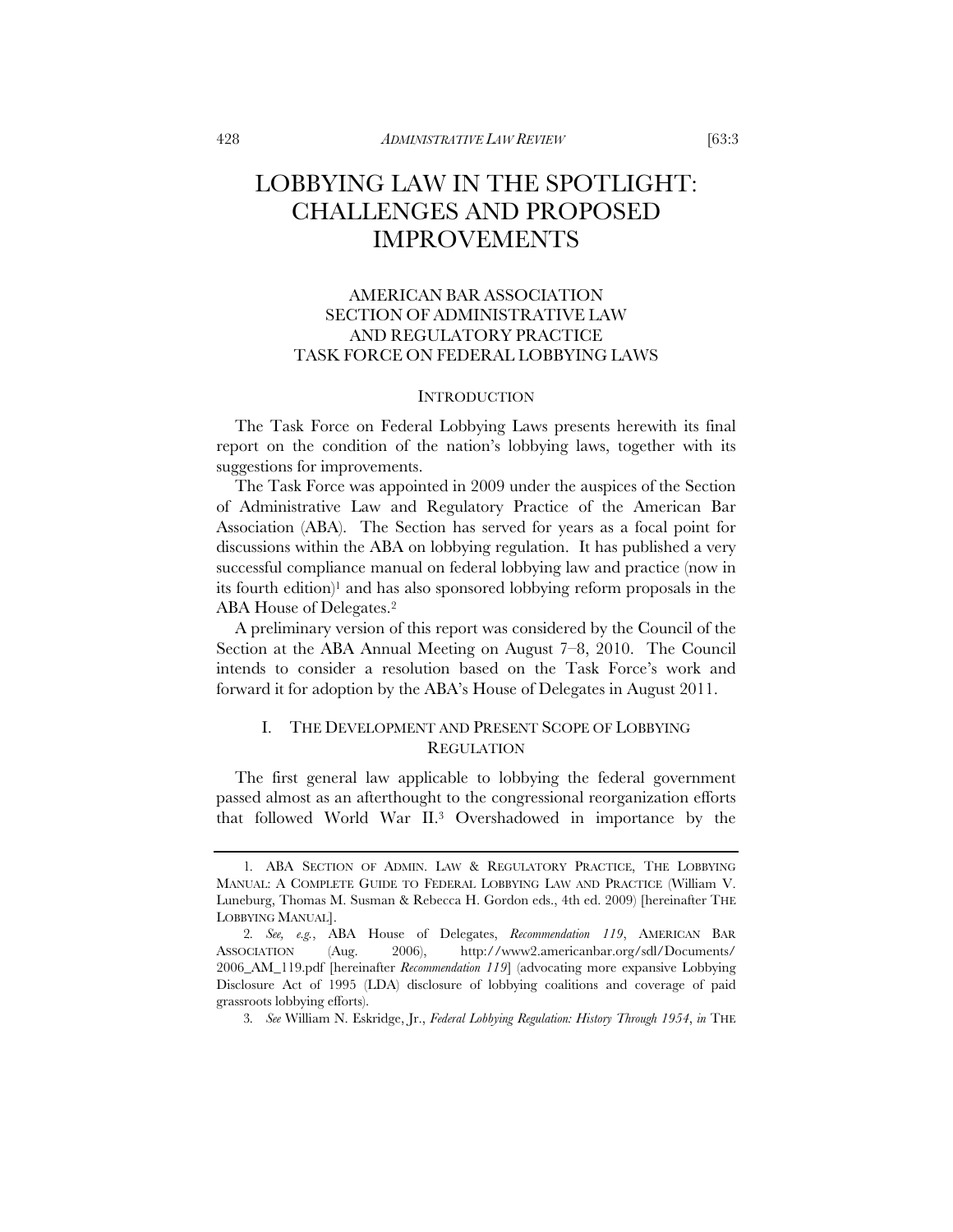## LOBBYING LAW IN THE SPOTLIGHT: CHALLENGES AND PROPOSED IMPROVEMENTS

### AMERICAN BAR ASSOCIATION SECTION OF ADMINISTRATIVE LAW AND REGULATORY PRACTICE TASK FORCE ON FEDERAL LOBBYING LAWS

#### **INTRODUCTION**

The Task Force on Federal Lobbying Laws presents herewith its final report on the condition of the nation's lobbying laws, together with its suggestions for improvements.

The Task Force was appointed in 2009 under the auspices of the Section of Administrative Law and Regulatory Practice of the American Bar Association (ABA). The Section has served for years as a focal point for discussions within the ABA on lobbying regulation. It has published a very successful compliance manual on federal lobbying law and practice (now in its fourth edition)<sup>1</sup> and has also sponsored lobbying reform proposals in the ABA House of Delegates.2

A preliminary version of this report was considered by the Council of the Section at the ABA Annual Meeting on August 7–8, 2010. The Council intends to consider a resolution based on the Task Force's work and forward it for adoption by the ABA's House of Delegates in August 2011.

### I. THE DEVELOPMENT AND PRESENT SCOPE OF LOBBYING **REGULATION**

The first general law applicable to lobbying the federal government passed almost as an afterthought to the congressional reorganization efforts that followed World War II.3 Overshadowed in importance by the

<sup>1</sup>*.* ABA SECTION OF ADMIN. LAW & REGULATORY PRACTICE, THE LOBBYING MANUAL: A COMPLETE GUIDE TO FEDERAL LOBBYING LAW AND PRACTICE (William V. Luneburg, Thomas M. Susman & Rebecca H. Gordon eds., 4th ed. 2009) [hereinafter THE LOBBYING MANUAL].

<sup>2</sup>*. See, e.g.*, ABA House of Delegates, *Recommendation 119*, AMERICAN BAR ASSOCIATION (Aug. 2006), http://www2.americanbar.org/sdl/Documents/ 2006\_AM\_119.pdf [hereinafter *Recommendation 119*] (advocating more expansive Lobbying Disclosure Act of 1995 (LDA) disclosure of lobbying coalitions and coverage of paid grassroots lobbying efforts).

<sup>3</sup>*. See* William N. Eskridge, Jr., *Federal Lobbying Regulation: History Through 1954*, *in* THE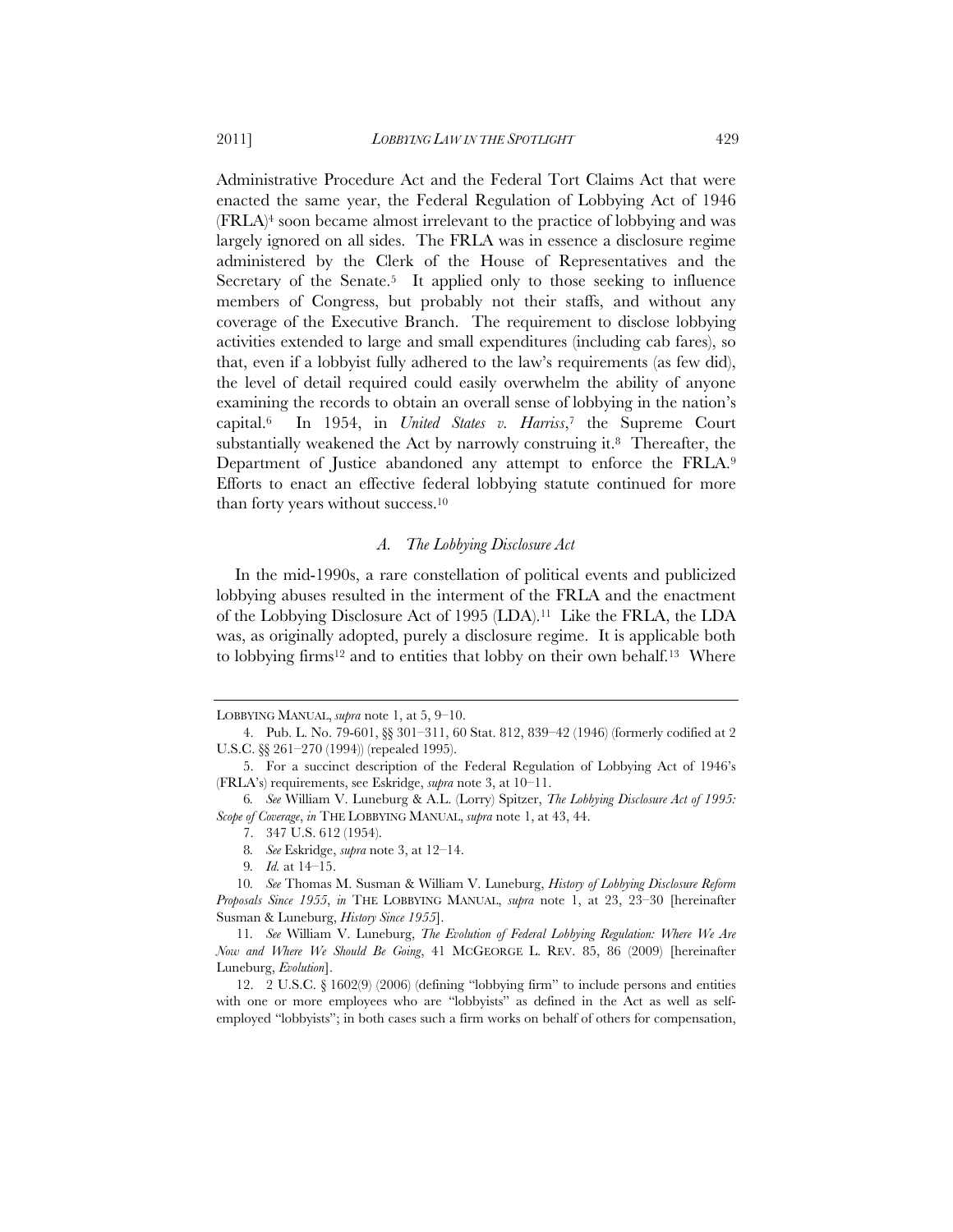Administrative Procedure Act and the Federal Tort Claims Act that were enacted the same year, the Federal Regulation of Lobbying Act of 1946 (FRLA)4 soon became almost irrelevant to the practice of lobbying and was largely ignored on all sides. The FRLA was in essence a disclosure regime administered by the Clerk of the House of Representatives and the Secretary of the Senate.<sup>5</sup> It applied only to those seeking to influence members of Congress, but probably not their staffs, and without any coverage of the Executive Branch. The requirement to disclose lobbying activities extended to large and small expenditures (including cab fares), so that, even if a lobbyist fully adhered to the law's requirements (as few did), the level of detail required could easily overwhelm the ability of anyone examining the records to obtain an overall sense of lobbying in the nation's capital.6 In 1954, in *United States v. Harriss*,7 the Supreme Court substantially weakened the Act by narrowly construing it.<sup>8</sup> Thereafter, the Department of Justice abandoned any attempt to enforce the FRLA.9 Efforts to enact an effective federal lobbying statute continued for more than forty years without success.10

#### *A. The Lobbying Disclosure Act*

In the mid-1990s, a rare constellation of political events and publicized lobbying abuses resulted in the interment of the FRLA and the enactment of the Lobbying Disclosure Act of 1995 (LDA).11 Like the FRLA, the LDA was, as originally adopted, purely a disclosure regime. It is applicable both to lobbying firms<sup>12</sup> and to entities that lobby on their own behalf.<sup>13</sup> Where

LOBBYING MANUAL, *supra* note 1, at 5, 9–10.

<sup>4.</sup> Pub. L. No. 79-601, §§ 301–311, 60 Stat. 812, 839–42 (1946) (formerly codified at 2 U.S.C. §§ 261–270 (1994)) (repealed 1995).

<sup>5.</sup> For a succinct description of the Federal Regulation of Lobbying Act of 1946's (FRLA's) requirements, see Eskridge, *supra* note 3, at 10–11.

<sup>6</sup>*. See* William V. Luneburg & A.L. (Lorry) Spitzer, *The Lobbying Disclosure Act of 1995: Scope of Coverage*, *in* THE LOBBYING MANUAL, *supra* note 1, at 43, 44.

<sup>7. 347</sup> U.S. 612 (1954).

<sup>8</sup>*. See* Eskridge, *supra* note 3, at 12–14.

<sup>9</sup>*. Id.* at 14–15.

<sup>10</sup>*. See* Thomas M. Susman & William V. Luneburg, *History of Lobbying Disclosure Reform Proposals Since 1955*, *in* THE LOBBYING MANUAL, *supra* note 1, at 23, 23–30 [hereinafter Susman & Luneburg, *History Since 1955*].

<sup>11</sup>*. See* William V. Luneburg, *The Evolution of Federal Lobbying Regulation: Where We Are Now and Where We Should Be Going*, 41 MCGEORGE L. REV. 85, 86 (2009) [hereinafter Luneburg, *Evolution*].

<sup>12. 2</sup> U.S.C. § 1602(9) (2006) (defining "lobbying firm" to include persons and entities with one or more employees who are "lobbyists" as defined in the Act as well as selfemployed "lobbyists"; in both cases such a firm works on behalf of others for compensation,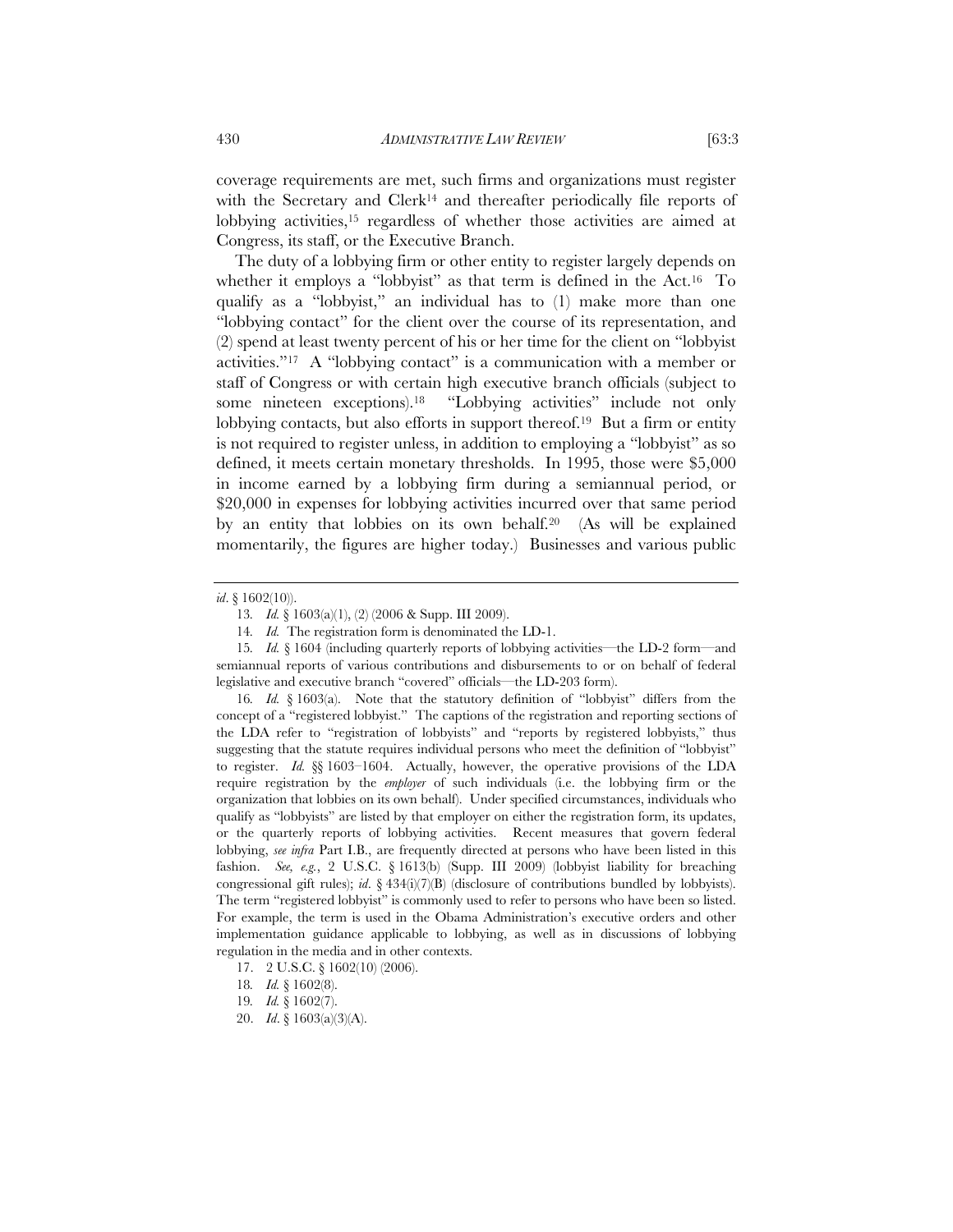coverage requirements are met, such firms and organizations must register with the Secretary and Clerk<sup>14</sup> and thereafter periodically file reports of lobbying activities,15 regardless of whether those activities are aimed at Congress, its staff, or the Executive Branch.

The duty of a lobbying firm or other entity to register largely depends on whether it employs a "lobbyist" as that term is defined in the Act.16 To qualify as a "lobbyist," an individual has to (1) make more than one "lobbying contact" for the client over the course of its representation, and (2) spend at least twenty percent of his or her time for the client on "lobbyist activities."17 A "lobbying contact" is a communication with a member or staff of Congress or with certain high executive branch officials (subject to some nineteen exceptions).<sup>18</sup> "Lobbying activities" include not only lobbying contacts, but also efforts in support thereof.<sup>19</sup> But a firm or entity is not required to register unless, in addition to employing a "lobbyist" as so defined, it meets certain monetary thresholds. In 1995, those were \$5,000 in income earned by a lobbying firm during a semiannual period, or \$20,000 in expenses for lobbying activities incurred over that same period by an entity that lobbies on its own behalf.20 (As will be explained momentarily, the figures are higher today.) Businesses and various public

16*. Id.* § 1603(a). Note that the statutory definition of "lobbyist" differs from the concept of a "registered lobbyist." The captions of the registration and reporting sections of the LDA refer to "registration of lobbyists" and "reports by registered lobbyists," thus suggesting that the statute requires individual persons who meet the definition of "lobbyist" to register. *Id.* §§ 1603–1604. Actually, however, the operative provisions of the LDA require registration by the *employer* of such individuals (i.e. the lobbying firm or the organization that lobbies on its own behalf). Under specified circumstances, individuals who qualify as "lobbyists" are listed by that employer on either the registration form, its updates, or the quarterly reports of lobbying activities. Recent measures that govern federal lobbying, *see infra* Part I.B., are frequently directed at persons who have been listed in this fashion. *See, e.g.*, 2 U.S.C. § 1613(b) (Supp. III 2009) (lobbyist liability for breaching congressional gift rules); *id*. § 434(i)(7)(B) (disclosure of contributions bundled by lobbyists). The term "registered lobbyist" is commonly used to refer to persons who have been so listed. For example, the term is used in the Obama Administration's executive orders and other implementation guidance applicable to lobbying, as well as in discussions of lobbying regulation in the media and in other contexts.

*id*. § 1602(10)).

<sup>13</sup>*. Id.* § 1603(a)(1), (2) (2006 & Supp. III 2009).

<sup>14</sup>*. Id.* The registration form is denominated the LD-1.

<sup>15</sup>*. Id.* § 1604 (including quarterly reports of lobbying activities—the LD-2 form—and semiannual reports of various contributions and disbursements to or on behalf of federal legislative and executive branch "covered" officials—the LD-203 form).

<sup>17. 2</sup> U.S.C. § 1602(10) (2006).

<sup>18</sup>*. Id.* § 1602(8).

<sup>19</sup>*. Id.* § 1602(7).

<sup>20.</sup> *Id*. § 1603(a)(3)(A).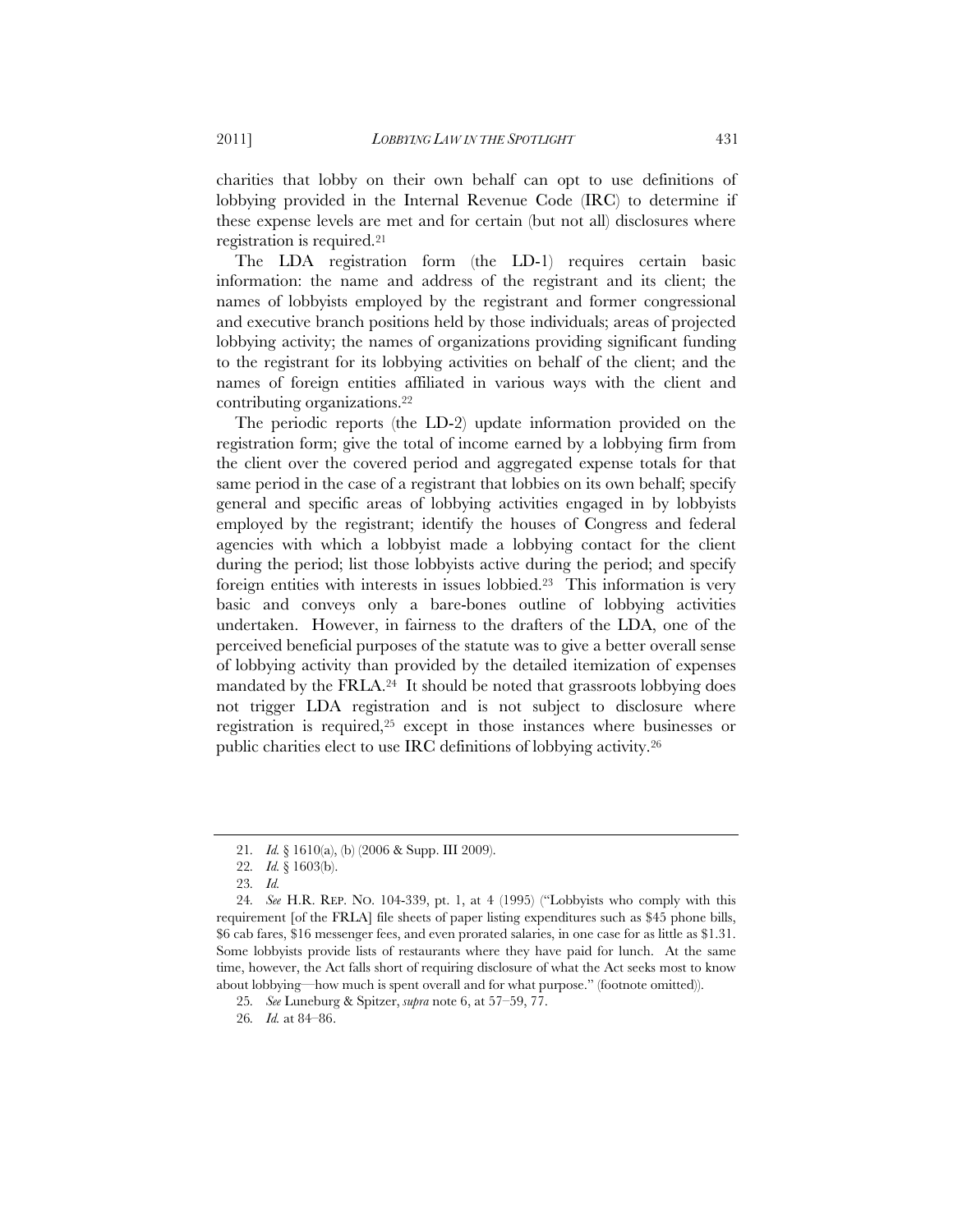charities that lobby on their own behalf can opt to use definitions of lobbying provided in the Internal Revenue Code (IRC) to determine if these expense levels are met and for certain (but not all) disclosures where registration is required.21

The LDA registration form (the LD-1) requires certain basic information: the name and address of the registrant and its client; the names of lobbyists employed by the registrant and former congressional and executive branch positions held by those individuals; areas of projected lobbying activity; the names of organizations providing significant funding to the registrant for its lobbying activities on behalf of the client; and the names of foreign entities affiliated in various ways with the client and contributing organizations.22

The periodic reports (the LD-2) update information provided on the registration form; give the total of income earned by a lobbying firm from the client over the covered period and aggregated expense totals for that same period in the case of a registrant that lobbies on its own behalf; specify general and specific areas of lobbying activities engaged in by lobbyists employed by the registrant; identify the houses of Congress and federal agencies with which a lobbyist made a lobbying contact for the client during the period; list those lobbyists active during the period; and specify foreign entities with interests in issues lobbied.23 This information is very basic and conveys only a bare-bones outline of lobbying activities undertaken. However, in fairness to the drafters of the LDA, one of the perceived beneficial purposes of the statute was to give a better overall sense of lobbying activity than provided by the detailed itemization of expenses mandated by the  $\text{FRLA}.^{24}$  It should be noted that grassroots lobbying does not trigger LDA registration and is not subject to disclosure where registration is required,25 except in those instances where businesses or public charities elect to use IRC definitions of lobbying activity.26

<sup>21</sup>*. Id.* § 1610(a), (b) (2006 & Supp. III 2009).

<sup>22</sup>*. Id.* § 1603(b).

<sup>23</sup>*. Id.*

<sup>24</sup>*. See* H.R. REP. NO. 104-339, pt. 1, at 4 (1995) ("Lobbyists who comply with this requirement [of the FRLA] file sheets of paper listing expenditures such as \$45 phone bills, \$6 cab fares, \$16 messenger fees, and even prorated salaries, in one case for as little as \$1.31. Some lobbyists provide lists of restaurants where they have paid for lunch. At the same time, however, the Act falls short of requiring disclosure of what the Act seeks most to know about lobbying—how much is spent overall and for what purpose." (footnote omitted)).

<sup>25</sup>*. See* Luneburg & Spitzer, *supra* note 6, at 57–59, 77.

<sup>26</sup>*. Id.* at 84–86.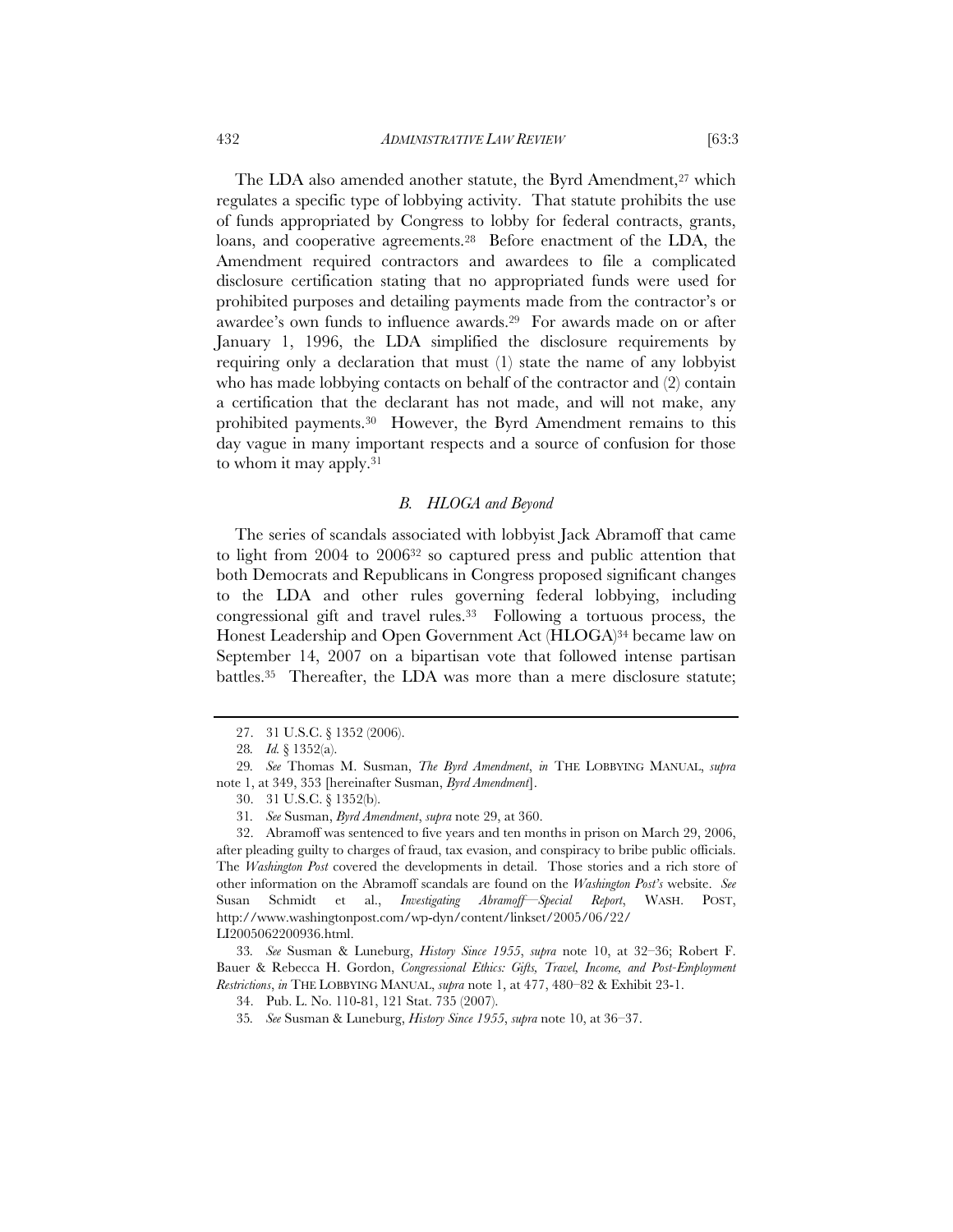The LDA also amended another statute, the Byrd Amendment,<sup>27</sup> which regulates a specific type of lobbying activity. That statute prohibits the use of funds appropriated by Congress to lobby for federal contracts, grants, loans, and cooperative agreements.28 Before enactment of the LDA, the Amendment required contractors and awardees to file a complicated disclosure certification stating that no appropriated funds were used for prohibited purposes and detailing payments made from the contractor's or awardee's own funds to influence awards.29 For awards made on or after January 1, 1996, the LDA simplified the disclosure requirements by requiring only a declaration that must (1) state the name of any lobbyist who has made lobbying contacts on behalf of the contractor and (2) contain a certification that the declarant has not made, and will not make, any prohibited payments.30 However, the Byrd Amendment remains to this

#### *B. HLOGA and Beyond*

day vague in many important respects and a source of confusion for those

The series of scandals associated with lobbyist Jack Abramoff that came to light from 2004 to 200632 so captured press and public attention that both Democrats and Republicans in Congress proposed significant changes to the LDA and other rules governing federal lobbying, including congressional gift and travel rules.33 Following a tortuous process, the Honest Leadership and Open Government Act (HLOGA)34 became law on September 14, 2007 on a bipartisan vote that followed intense partisan battles.<sup>35</sup> Thereafter, the LDA was more than a mere disclosure statute;

to whom it may apply.31

<sup>27. 31</sup> U.S.C. § 1352 (2006).

<sup>28</sup>*. Id.* § 1352(a).

<sup>29</sup>*. See* Thomas M. Susman, *The Byrd Amendment*, *in* THE LOBBYING MANUAL, *supra* note 1, at 349, 353 [hereinafter Susman, *Byrd Amendment*].

<sup>30. 31</sup> U.S.C. § 1352(b).

<sup>31</sup>*. See* Susman, *Byrd Amendment*, *supra* note 29, at 360.

<sup>32.</sup> Abramoff was sentenced to five years and ten months in prison on March 29, 2006, after pleading guilty to charges of fraud, tax evasion, and conspiracy to bribe public officials. The *Washington Post* covered the developments in detail. Those stories and a rich store of other information on the Abramoff scandals are found on the *Washington Post's* website. *See* Susan Schmidt et al., *Investigating Abramoff—Special Report*, WASH. POST, http://www.washingtonpost.com/wp-dyn/content/linkset/2005/06/22/ LI2005062200936.html.

<sup>33</sup>*. See* Susman & Luneburg, *History Since 1955*, *supra* note 10, at 32–36; Robert F. Bauer & Rebecca H. Gordon, *Congressional Ethics: Gifts, Travel, Income, and Post-Employment Restrictions*, *in* THE LOBBYING MANUAL, *supra* note 1, at 477, 480–82 & Exhibit 23-1.

<sup>34.</sup> Pub. L. No. 110-81, 121 Stat. 735 (2007).

<sup>35</sup>*. See* Susman & Luneburg, *History Since 1955*, *supra* note 10, at 36–37.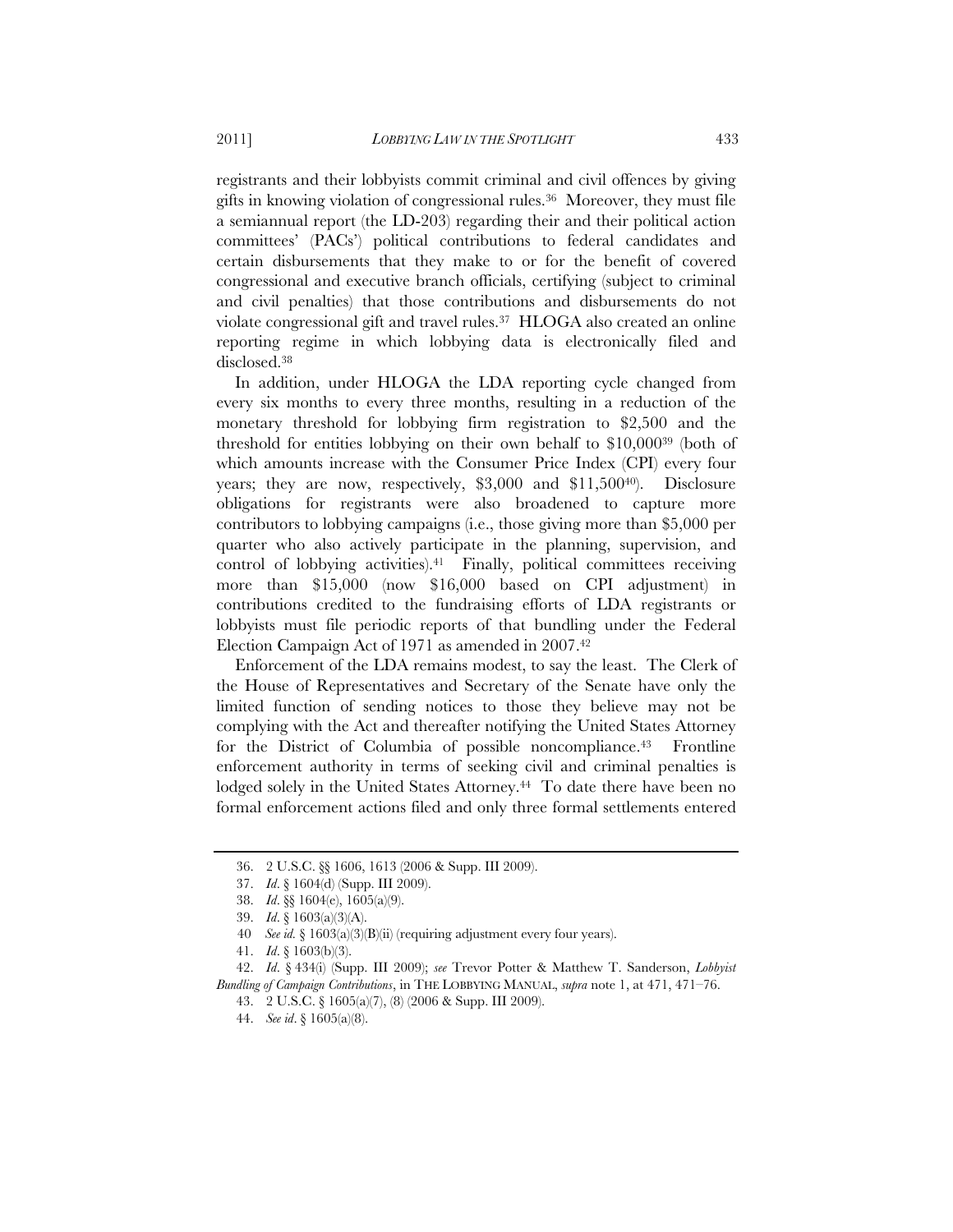registrants and their lobbyists commit criminal and civil offences by giving gifts in knowing violation of congressional rules.36 Moreover, they must file a semiannual report (the LD-203) regarding their and their political action committees' (PACs') political contributions to federal candidates and certain disbursements that they make to or for the benefit of covered congressional and executive branch officials, certifying (subject to criminal and civil penalties) that those contributions and disbursements do not violate congressional gift and travel rules.37 HLOGA also created an online reporting regime in which lobbying data is electronically filed and disclosed.38

In addition, under HLOGA the LDA reporting cycle changed from every six months to every three months, resulting in a reduction of the monetary threshold for lobbying firm registration to \$2,500 and the threshold for entities lobbying on their own behalf to \$10,00039 (both of which amounts increase with the Consumer Price Index (CPI) every four years; they are now, respectively, \$3,000 and \$11,50040). Disclosure obligations for registrants were also broadened to capture more contributors to lobbying campaigns (i.e., those giving more than \$5,000 per quarter who also actively participate in the planning, supervision, and control of lobbying activities).<sup>41</sup> Finally, political committees receiving more than \$15,000 (now \$16,000 based on CPI adjustment) in contributions credited to the fundraising efforts of LDA registrants or lobbyists must file periodic reports of that bundling under the Federal Election Campaign Act of 1971 as amended in 2007.42

Enforcement of the LDA remains modest, to say the least. The Clerk of the House of Representatives and Secretary of the Senate have only the limited function of sending notices to those they believe may not be complying with the Act and thereafter notifying the United States Attorney for the District of Columbia of possible noncompliance.43 Frontline enforcement authority in terms of seeking civil and criminal penalties is lodged solely in the United States Attorney.<sup>44</sup> To date there have been no formal enforcement actions filed and only three formal settlements entered

42. *Id*. § 434(i) (Supp. III 2009); *see* Trevor Potter & Matthew T. Sanderson, *Lobbyist Bundling of Campaign Contributions*, in THE LOBBYING MANUAL, *supra* note 1, at 471, 471–76.

43. 2 U.S.C. § 1605(a)(7), (8) (2006 & Supp. III 2009).

<sup>36. 2</sup> U.S.C. §§ 1606, 1613 (2006 & Supp. III 2009).

<sup>37.</sup> *Id*. § 1604(d) (Supp. III 2009).

<sup>38.</sup> *Id*. §§ 1604(e), 1605(a)(9).

<sup>39.</sup> *Id*. § 1603(a)(3)(A).

 <sup>40</sup> *See id.* § 1603(a)(3)(B)(ii) (requiring adjustment every four years).

<sup>41.</sup> *Id*. § 1603(b)(3).

<sup>44.</sup> *See id*. § 1605(a)(8).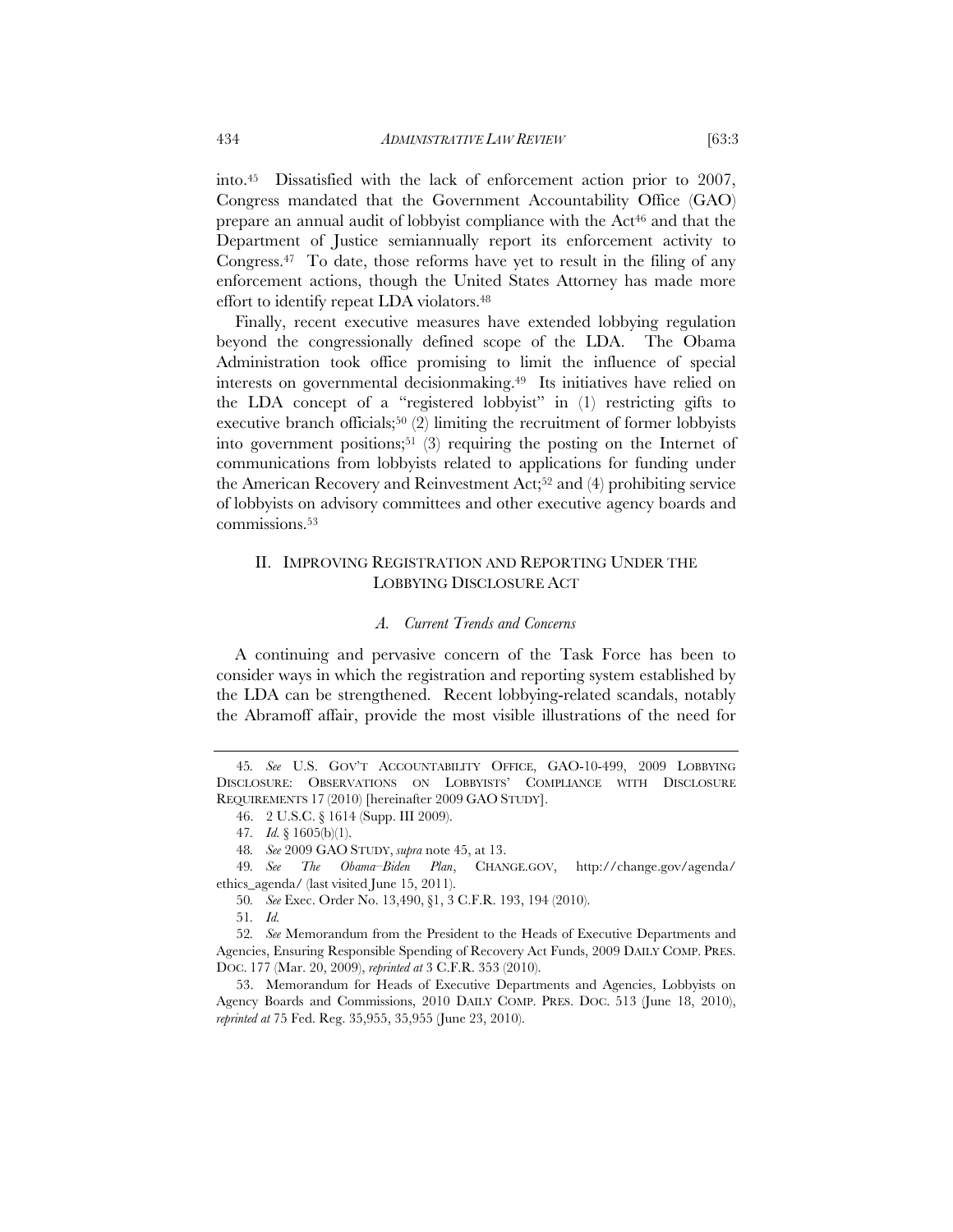into.45 Dissatisfied with the lack of enforcement action prior to 2007, Congress mandated that the Government Accountability Office (GAO) prepare an annual audit of lobbyist compliance with the Act<sup>46</sup> and that the Department of Justice semiannually report its enforcement activity to Congress.47 To date, those reforms have yet to result in the filing of any enforcement actions, though the United States Attorney has made more effort to identify repeat LDA violators.48

Finally, recent executive measures have extended lobbying regulation beyond the congressionally defined scope of the LDA. The Obama Administration took office promising to limit the influence of special interests on governmental decisionmaking.49 Its initiatives have relied on the LDA concept of a "registered lobbyist" in (1) restricting gifts to executive branch officials;<sup>50</sup> (2) limiting the recruitment of former lobbyists into government positions;51 (3) requiring the posting on the Internet of communications from lobbyists related to applications for funding under the American Recovery and Reinvestment Act;52 and (4) prohibiting service of lobbyists on advisory committees and other executive agency boards and commissions.53

#### II. IMPROVING REGISTRATION AND REPORTING UNDER THE LOBBYING DISCLOSURE ACT

#### *A. Current Trends and Concerns*

A continuing and pervasive concern of the Task Force has been to consider ways in which the registration and reporting system established by the LDA can be strengthened. Recent lobbying-related scandals, notably the Abramoff affair, provide the most visible illustrations of the need for

<sup>45</sup>*. See* U.S. GOV'T ACCOUNTABILITY OFFICE, GAO-10-499, 2009 LOBBYING DISCLOSURE: OBSERVATIONS ON LOBBYISTS' COMPLIANCE WITH DISCLOSURE REQUIREMENTS 17 (2010) [hereinafter 2009 GAO STUDY].

<sup>46. 2</sup> U.S.C. § 1614 (Supp. III 2009).

<sup>47</sup>*. Id.* § 1605(b)(1).

<sup>48</sup>*. See* 2009 GAO STUDY, *supra* note 45, at 13.

<sup>49</sup>*. See The Obama–Biden Plan*, CHANGE.GOV, http://change.gov/agenda/ ethics\_agenda/ (last visited June 15, 2011).

<sup>50</sup>*. See* Exec. Order No. 13,490, §1, 3 C.F.R. 193, 194 (2010).

<sup>51</sup>*. Id.*

<sup>52</sup>*. See* Memorandum from the President to the Heads of Executive Departments and Agencies, Ensuring Responsible Spending of Recovery Act Funds, 2009 DAILY COMP. PRES. DOC. 177 (Mar. 20, 2009), *reprinted at* 3 C.F.R. 353 (2010).

<sup>53.</sup> Memorandum for Heads of Executive Departments and Agencies, Lobbyists on Agency Boards and Commissions, 2010 DAILY COMP. PRES. DOC. 513 (June 18, 2010), *reprinted at* 75 Fed. Reg. 35,955, 35,955 (June 23, 2010).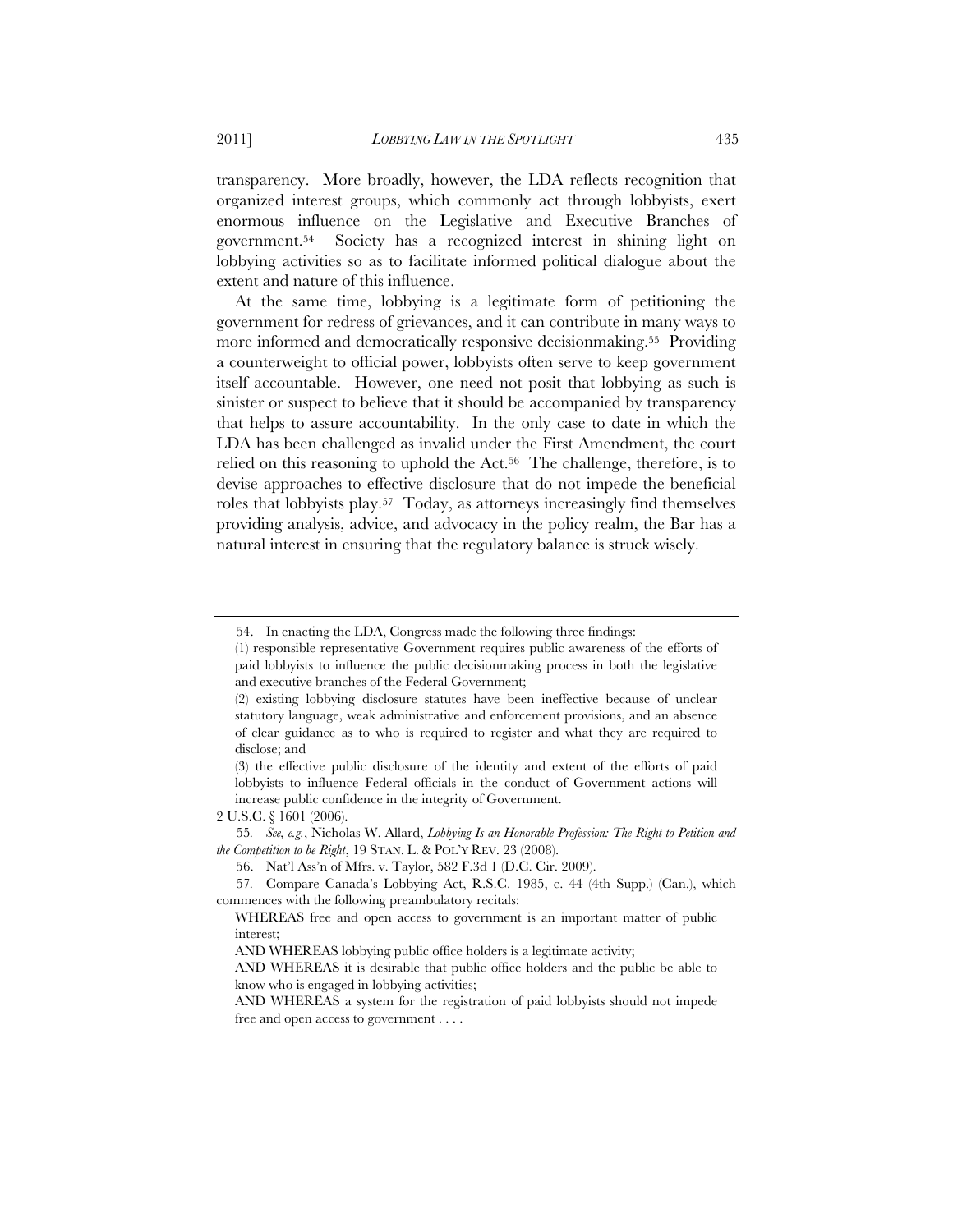transparency. More broadly, however, the LDA reflects recognition that organized interest groups, which commonly act through lobbyists, exert enormous influence on the Legislative and Executive Branches of government.54 Society has a recognized interest in shining light on lobbying activities so as to facilitate informed political dialogue about the extent and nature of this influence.

At the same time, lobbying is a legitimate form of petitioning the government for redress of grievances, and it can contribute in many ways to more informed and democratically responsive decisionmaking.55 Providing a counterweight to official power, lobbyists often serve to keep government itself accountable. However, one need not posit that lobbying as such is sinister or suspect to believe that it should be accompanied by transparency that helps to assure accountability. In the only case to date in which the LDA has been challenged as invalid under the First Amendment, the court relied on this reasoning to uphold the Act.56 The challenge, therefore, is to devise approaches to effective disclosure that do not impede the beneficial roles that lobbyists play.57 Today, as attorneys increasingly find themselves providing analysis, advice, and advocacy in the policy realm, the Bar has a natural interest in ensuring that the regulatory balance is struck wisely.

<sup>54.</sup> In enacting the LDA, Congress made the following three findings:

<sup>(1)</sup> responsible representative Government requires public awareness of the efforts of paid lobbyists to influence the public decisionmaking process in both the legislative and executive branches of the Federal Government;

<sup>(2)</sup> existing lobbying disclosure statutes have been ineffective because of unclear statutory language, weak administrative and enforcement provisions, and an absence of clear guidance as to who is required to register and what they are required to disclose; and

<sup>(3)</sup> the effective public disclosure of the identity and extent of the efforts of paid lobbyists to influence Federal officials in the conduct of Government actions will increase public confidence in the integrity of Government.

<sup>2</sup> U.S.C. § 1601 (2006).

<sup>55</sup>*. See, e.g.*, Nicholas W. Allard, *Lobbying Is an Honorable Profession: The Right to Petition and the Competition to be Right*, 19 STAN. L. & POL'Y REV. 23 (2008).

<sup>56.</sup> Nat'l Ass'n of Mfrs. v. Taylor, 582 F.3d 1 (D.C. Cir. 2009).

<sup>57</sup>*.* Compare Canada's Lobbying Act, R.S.C. 1985, c. 44 (4th Supp.) (Can.), which commences with the following preambulatory recitals:

WHEREAS free and open access to government is an important matter of public interest;

AND WHEREAS lobbying public office holders is a legitimate activity;

AND WHEREAS it is desirable that public office holders and the public be able to know who is engaged in lobbying activities;

AND WHEREAS a system for the registration of paid lobbyists should not impede free and open access to government . . . .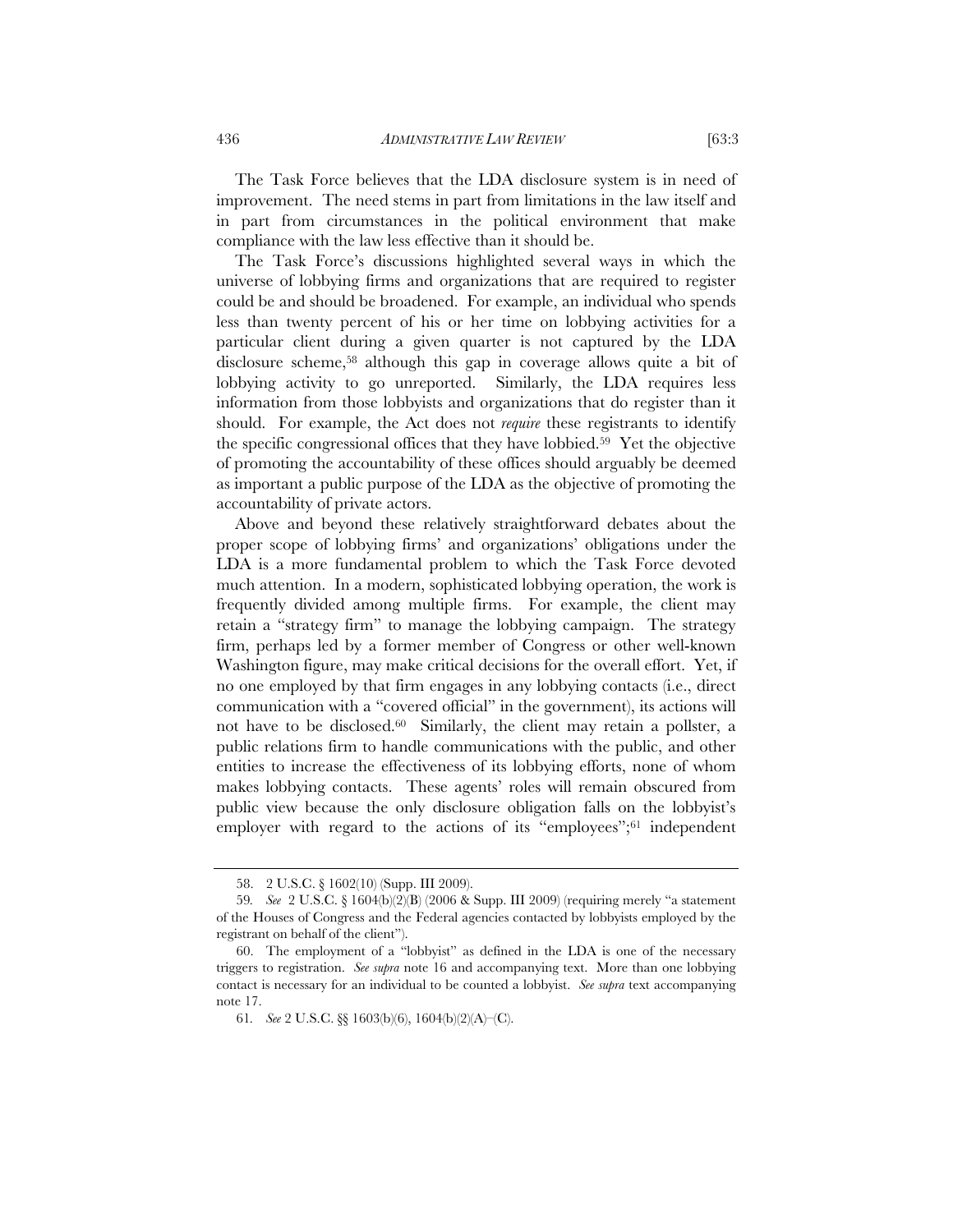The Task Force believes that the LDA disclosure system is in need of improvement. The need stems in part from limitations in the law itself and in part from circumstances in the political environment that make compliance with the law less effective than it should be.

The Task Force's discussions highlighted several ways in which the universe of lobbying firms and organizations that are required to register could be and should be broadened. For example, an individual who spends less than twenty percent of his or her time on lobbying activities for a particular client during a given quarter is not captured by the LDA disclosure scheme,58 although this gap in coverage allows quite a bit of lobbying activity to go unreported. Similarly, the LDA requires less information from those lobbyists and organizations that do register than it should. For example, the Act does not *require* these registrants to identify the specific congressional offices that they have lobbied.59 Yet the objective of promoting the accountability of these offices should arguably be deemed as important a public purpose of the LDA as the objective of promoting the accountability of private actors.

Above and beyond these relatively straightforward debates about the proper scope of lobbying firms' and organizations' obligations under the LDA is a more fundamental problem to which the Task Force devoted much attention. In a modern, sophisticated lobbying operation, the work is frequently divided among multiple firms. For example, the client may retain a "strategy firm" to manage the lobbying campaign. The strategy firm, perhaps led by a former member of Congress or other well-known Washington figure, may make critical decisions for the overall effort. Yet, if no one employed by that firm engages in any lobbying contacts (i.e., direct communication with a "covered official" in the government), its actions will not have to be disclosed.<sup>60</sup> Similarly, the client may retain a pollster, a public relations firm to handle communications with the public, and other entities to increase the effectiveness of its lobbying efforts, none of whom makes lobbying contacts. These agents' roles will remain obscured from public view because the only disclosure obligation falls on the lobbyist's employer with regard to the actions of its "employees";<sup>61</sup> independent

<sup>58. 2</sup> U.S.C. § 1602(10) (Supp. III 2009).

<sup>59</sup>*. See* 2 U.S.C. § 1604(b)(2)(B) (2006 & Supp. III 2009) (requiring merely "a statement of the Houses of Congress and the Federal agencies contacted by lobbyists employed by the registrant on behalf of the client").

<sup>60.</sup> The employment of a "lobbyist" as defined in the LDA is one of the necessary triggers to registration. *See supra* note 16 and accompanying text. More than one lobbying contact is necessary for an individual to be counted a lobbyist. *See supra* text accompanying note 17.

<sup>61</sup>*. See* 2 U.S.C. §§ 1603(b)(6), 1604(b)(2)(A)–(C).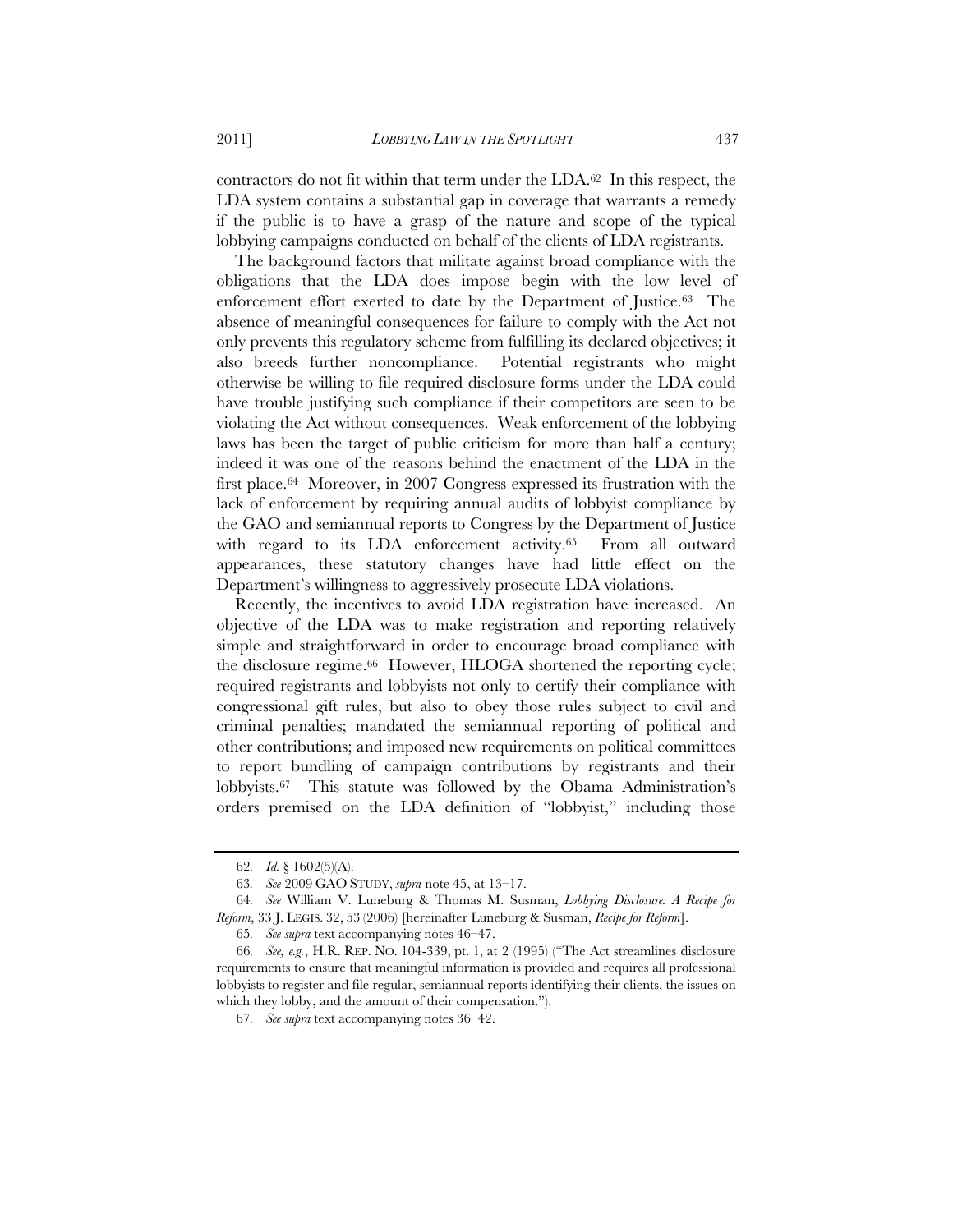contractors do not fit within that term under the LDA.62 In this respect, the LDA system contains a substantial gap in coverage that warrants a remedy if the public is to have a grasp of the nature and scope of the typical lobbying campaigns conducted on behalf of the clients of LDA registrants.

The background factors that militate against broad compliance with the obligations that the LDA does impose begin with the low level of enforcement effort exerted to date by the Department of Justice.63 The absence of meaningful consequences for failure to comply with the Act not only prevents this regulatory scheme from fulfilling its declared objectives; it also breeds further noncompliance. Potential registrants who might otherwise be willing to file required disclosure forms under the LDA could have trouble justifying such compliance if their competitors are seen to be violating the Act without consequences. Weak enforcement of the lobbying laws has been the target of public criticism for more than half a century; indeed it was one of the reasons behind the enactment of the LDA in the first place.64 Moreover, in 2007 Congress expressed its frustration with the lack of enforcement by requiring annual audits of lobbyist compliance by the GAO and semiannual reports to Congress by the Department of Justice with regard to its LDA enforcement activity.<sup>65</sup> From all outward appearances, these statutory changes have had little effect on the Department's willingness to aggressively prosecute LDA violations.

Recently, the incentives to avoid LDA registration have increased. An objective of the LDA was to make registration and reporting relatively simple and straightforward in order to encourage broad compliance with the disclosure regime.66 However, HLOGA shortened the reporting cycle; required registrants and lobbyists not only to certify their compliance with congressional gift rules, but also to obey those rules subject to civil and criminal penalties; mandated the semiannual reporting of political and other contributions; and imposed new requirements on political committees to report bundling of campaign contributions by registrants and their lobbyists.67 This statute was followed by the Obama Administration's orders premised on the LDA definition of "lobbyist," including those

<sup>62</sup>*. Id.* § 1602(5)(A).

<sup>63</sup>*. See* 2009 GAO STUDY, *supra* note 45, at 13–17.

<sup>64</sup>*. See* William V. Luneburg & Thomas M. Susman, *Lobbying Disclosure: A Recipe for Reform*, 33 J. LEGIS. 32, 53 (2006) [hereinafter Luneburg & Susman, *Recipe for Reform*].

<sup>65</sup>*. See supra* text accompanying notes 46–47.

<sup>66</sup>*. See, e.g.*, H.R. REP. NO. 104-339, pt. 1, at 2 (1995) ("The Act streamlines disclosure requirements to ensure that meaningful information is provided and requires all professional lobbyists to register and file regular, semiannual reports identifying their clients, the issues on which they lobby, and the amount of their compensation.").

<sup>67</sup>*. See supra* text accompanying notes 36–42.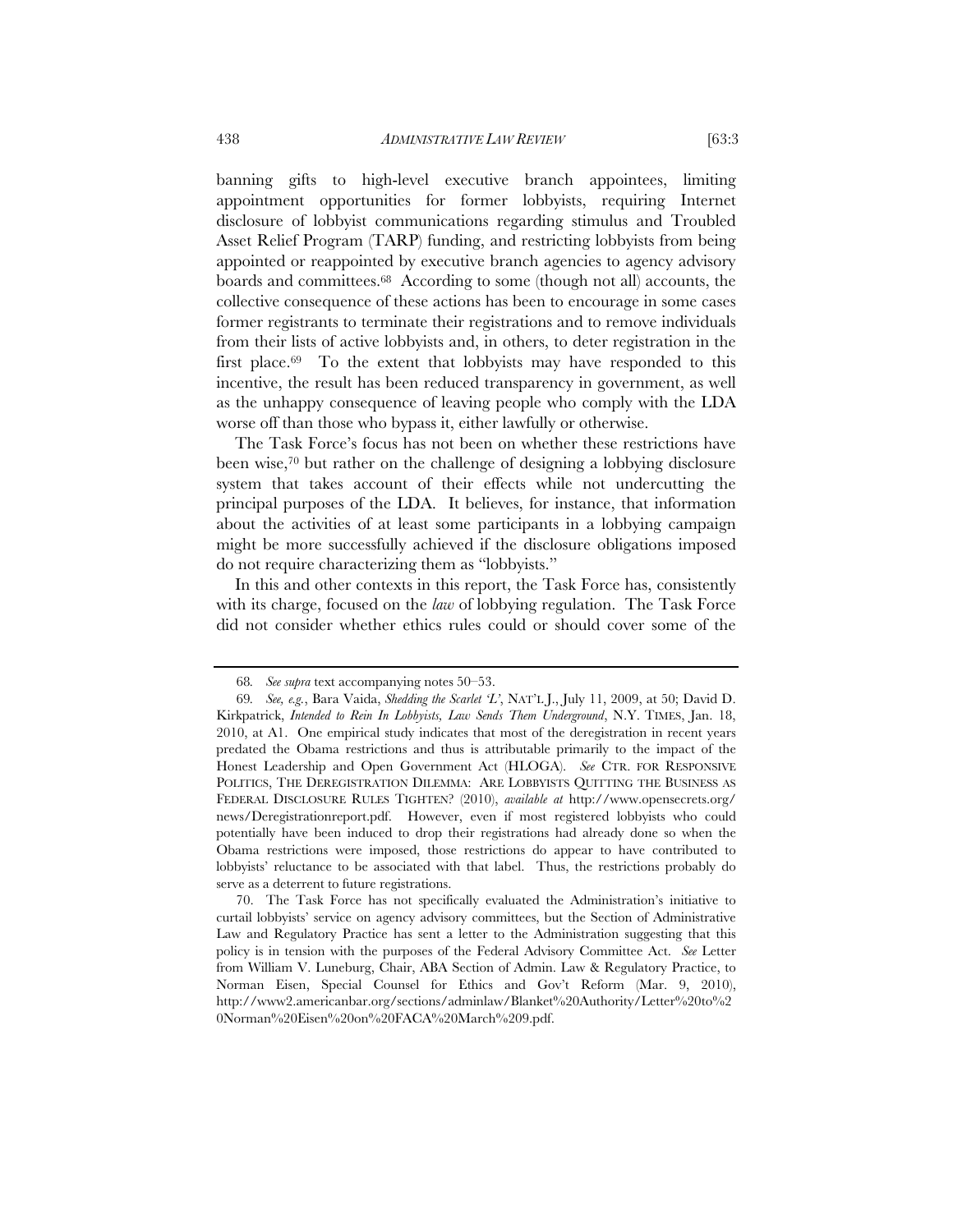banning gifts to high-level executive branch appointees, limiting appointment opportunities for former lobbyists, requiring Internet disclosure of lobbyist communications regarding stimulus and Troubled Asset Relief Program (TARP) funding, and restricting lobbyists from being appointed or reappointed by executive branch agencies to agency advisory boards and committees.68 According to some (though not all) accounts, the collective consequence of these actions has been to encourage in some cases former registrants to terminate their registrations and to remove individuals from their lists of active lobbyists and, in others, to deter registration in the first place.<sup>69</sup> To the extent that lobbyists may have responded to this incentive, the result has been reduced transparency in government, as well as the unhappy consequence of leaving people who comply with the LDA worse off than those who bypass it, either lawfully or otherwise.

The Task Force's focus has not been on whether these restrictions have been wise,70 but rather on the challenge of designing a lobbying disclosure system that takes account of their effects while not undercutting the principal purposes of the LDA. It believes, for instance, that information about the activities of at least some participants in a lobbying campaign might be more successfully achieved if the disclosure obligations imposed do not require characterizing them as "lobbyists."

In this and other contexts in this report, the Task Force has, consistently with its charge, focused on the *law* of lobbying regulation. The Task Force did not consider whether ethics rules could or should cover some of the

<sup>68</sup>*. See supra* text accompanying notes 50–53.

<sup>69</sup>*. See, e.g.*, Bara Vaida, *Shedding the Scarlet 'L'*, NAT'L J., July 11, 2009, at 50; David D. Kirkpatrick, *Intended to Rein In Lobbyists, Law Sends Them Underground*, N.Y. TIMES, Jan. 18, 2010, at A1. One empirical study indicates that most of the deregistration in recent years predated the Obama restrictions and thus is attributable primarily to the impact of the Honest Leadership and Open Government Act (HLOGA). *See* CTR. FOR RESPONSIVE POLITICS, THE DEREGISTRATION DILEMMA: ARE LOBBYISTS QUITTING THE BUSINESS AS FEDERAL DISCLOSURE RULES TIGHTEN? (2010), *available at* http://www.opensecrets.org/ news/Deregistrationreport.pdf. However, even if most registered lobbyists who could potentially have been induced to drop their registrations had already done so when the Obama restrictions were imposed, those restrictions do appear to have contributed to lobbyists' reluctance to be associated with that label. Thus, the restrictions probably do serve as a deterrent to future registrations.

<sup>70.</sup> The Task Force has not specifically evaluated the Administration's initiative to curtail lobbyists' service on agency advisory committees, but the Section of Administrative Law and Regulatory Practice has sent a letter to the Administration suggesting that this policy is in tension with the purposes of the Federal Advisory Committee Act. *See* Letter from William V. Luneburg, Chair, ABA Section of Admin. Law & Regulatory Practice, to Norman Eisen, Special Counsel for Ethics and Gov't Reform (Mar. 9, 2010), http://www2.americanbar.org/sections/adminlaw/Blanket%20Authority/Letter%20to%2 0Norman%20Eisen%20on%20FACA%20March%209.pdf.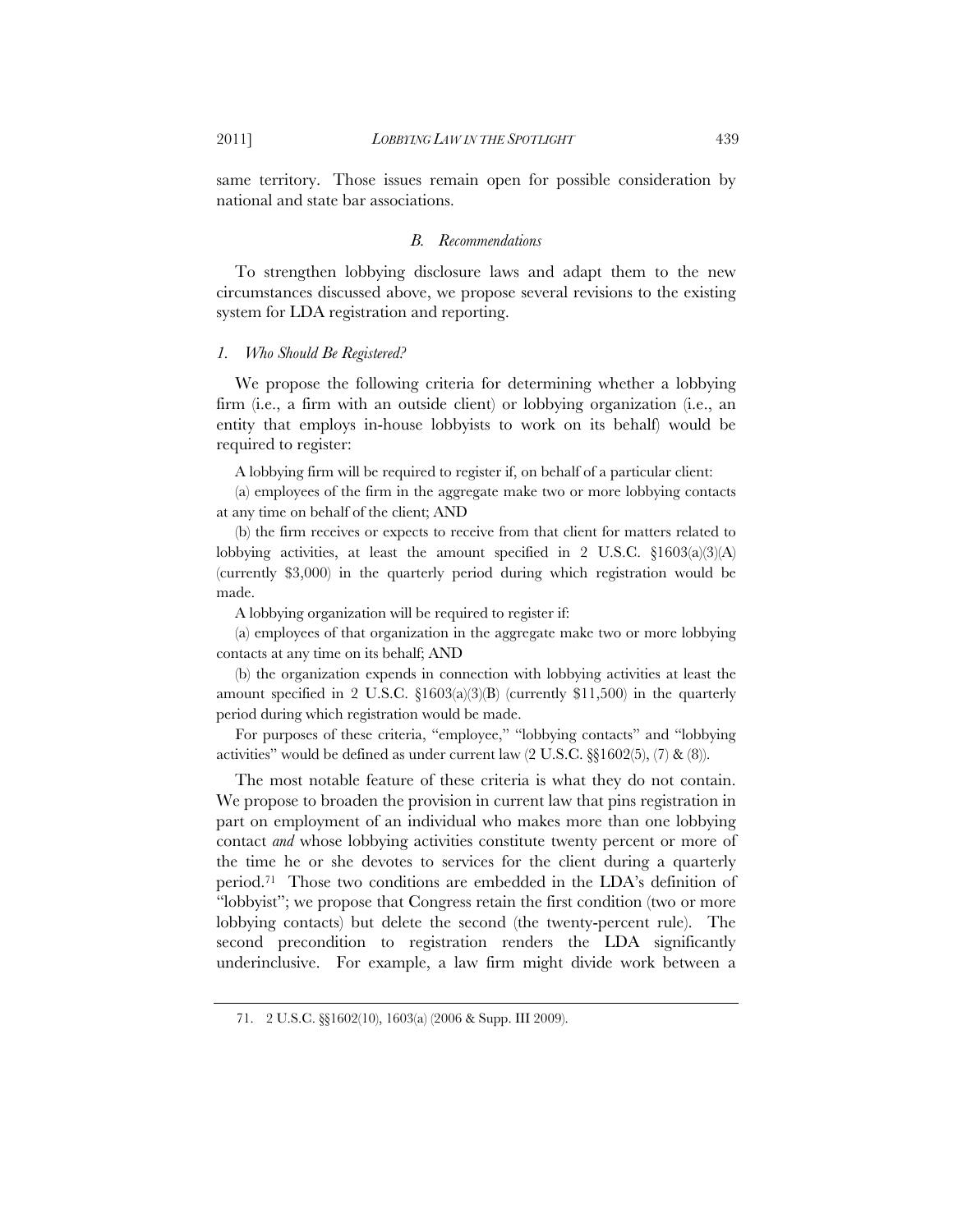same territory. Those issues remain open for possible consideration by national and state bar associations.

#### *B. Recommendations*

To strengthen lobbying disclosure laws and adapt them to the new circumstances discussed above, we propose several revisions to the existing system for LDA registration and reporting.

#### *1. Who Should Be Registered?*

We propose the following criteria for determining whether a lobbying firm (i.e., a firm with an outside client) or lobbying organization (i.e., an entity that employs in-house lobbyists to work on its behalf) would be required to register:

A lobbying firm will be required to register if, on behalf of a particular client:

(a) employees of the firm in the aggregate make two or more lobbying contacts at any time on behalf of the client; AND

(b) the firm receives or expects to receive from that client for matters related to lobbying activities, at least the amount specified in 2 U.S.C. §1603(a)(3)(A) (currently \$3,000) in the quarterly period during which registration would be made.

A lobbying organization will be required to register if:

(a) employees of that organization in the aggregate make two or more lobbying contacts at any time on its behalf; AND

(b) the organization expends in connection with lobbying activities at least the amount specified in 2 U.S.C.  $\S1603(a)(3)(B)$  (currently \$11,500) in the quarterly period during which registration would be made.

For purposes of these criteria, "employee," "lobbying contacts" and "lobbying activities" would be defined as under current law (2 U.S.C. §§1602(5), (7) & (8)).

The most notable feature of these criteria is what they do not contain. We propose to broaden the provision in current law that pins registration in part on employment of an individual who makes more than one lobbying contact *and* whose lobbying activities constitute twenty percent or more of the time he or she devotes to services for the client during a quarterly period.71 Those two conditions are embedded in the LDA's definition of "lobbyist"; we propose that Congress retain the first condition (two or more lobbying contacts) but delete the second (the twenty-percent rule). The second precondition to registration renders the LDA significantly underinclusive. For example, a law firm might divide work between a

<sup>71. 2</sup> U.S.C. §§1602(10), 1603(a) (2006 & Supp. III 2009).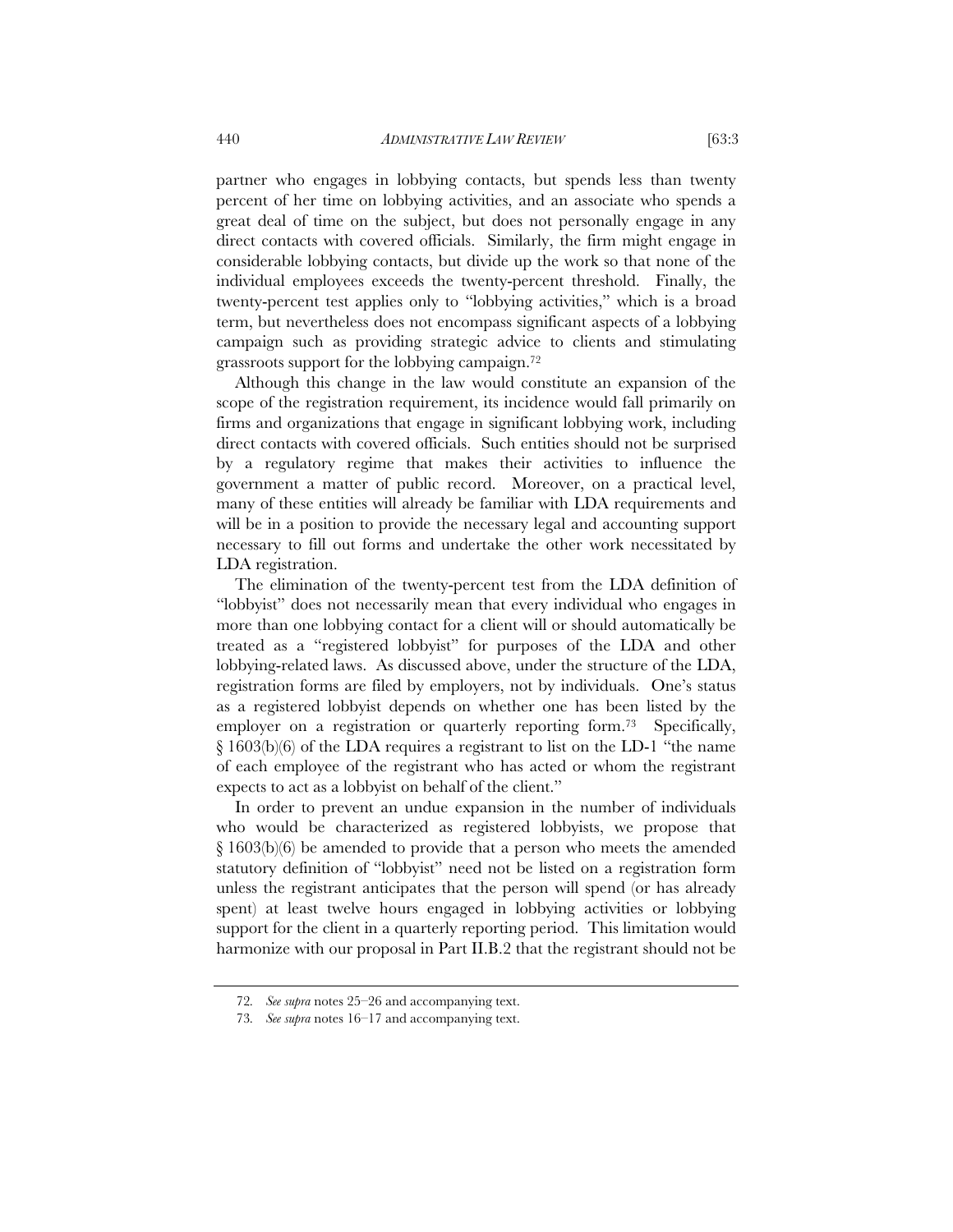partner who engages in lobbying contacts, but spends less than twenty percent of her time on lobbying activities, and an associate who spends a great deal of time on the subject, but does not personally engage in any direct contacts with covered officials. Similarly, the firm might engage in considerable lobbying contacts, but divide up the work so that none of the individual employees exceeds the twenty-percent threshold. Finally, the twenty-percent test applies only to "lobbying activities," which is a broad term, but nevertheless does not encompass significant aspects of a lobbying campaign such as providing strategic advice to clients and stimulating grassroots support for the lobbying campaign.72

Although this change in the law would constitute an expansion of the scope of the registration requirement, its incidence would fall primarily on firms and organizations that engage in significant lobbying work, including direct contacts with covered officials. Such entities should not be surprised by a regulatory regime that makes their activities to influence the government a matter of public record. Moreover, on a practical level, many of these entities will already be familiar with LDA requirements and will be in a position to provide the necessary legal and accounting support necessary to fill out forms and undertake the other work necessitated by LDA registration.

The elimination of the twenty-percent test from the LDA definition of "lobbyist" does not necessarily mean that every individual who engages in more than one lobbying contact for a client will or should automatically be treated as a "registered lobbyist" for purposes of the LDA and other lobbying-related laws. As discussed above, under the structure of the LDA, registration forms are filed by employers, not by individuals. One's status as a registered lobbyist depends on whether one has been listed by the employer on a registration or quarterly reporting form.<sup>73</sup> Specifically, § 1603(b)(6) of the LDA requires a registrant to list on the LD-1 "the name of each employee of the registrant who has acted or whom the registrant expects to act as a lobbyist on behalf of the client."

In order to prevent an undue expansion in the number of individuals who would be characterized as registered lobbyists, we propose that § 1603(b)(6) be amended to provide that a person who meets the amended statutory definition of "lobbyist" need not be listed on a registration form unless the registrant anticipates that the person will spend (or has already spent) at least twelve hours engaged in lobbying activities or lobbying support for the client in a quarterly reporting period. This limitation would harmonize with our proposal in Part II.B.2 that the registrant should not be

<sup>72</sup>*. See supra* notes 25–26 and accompanying text.

<sup>73</sup>*. See supra* notes 16–17 and accompanying text.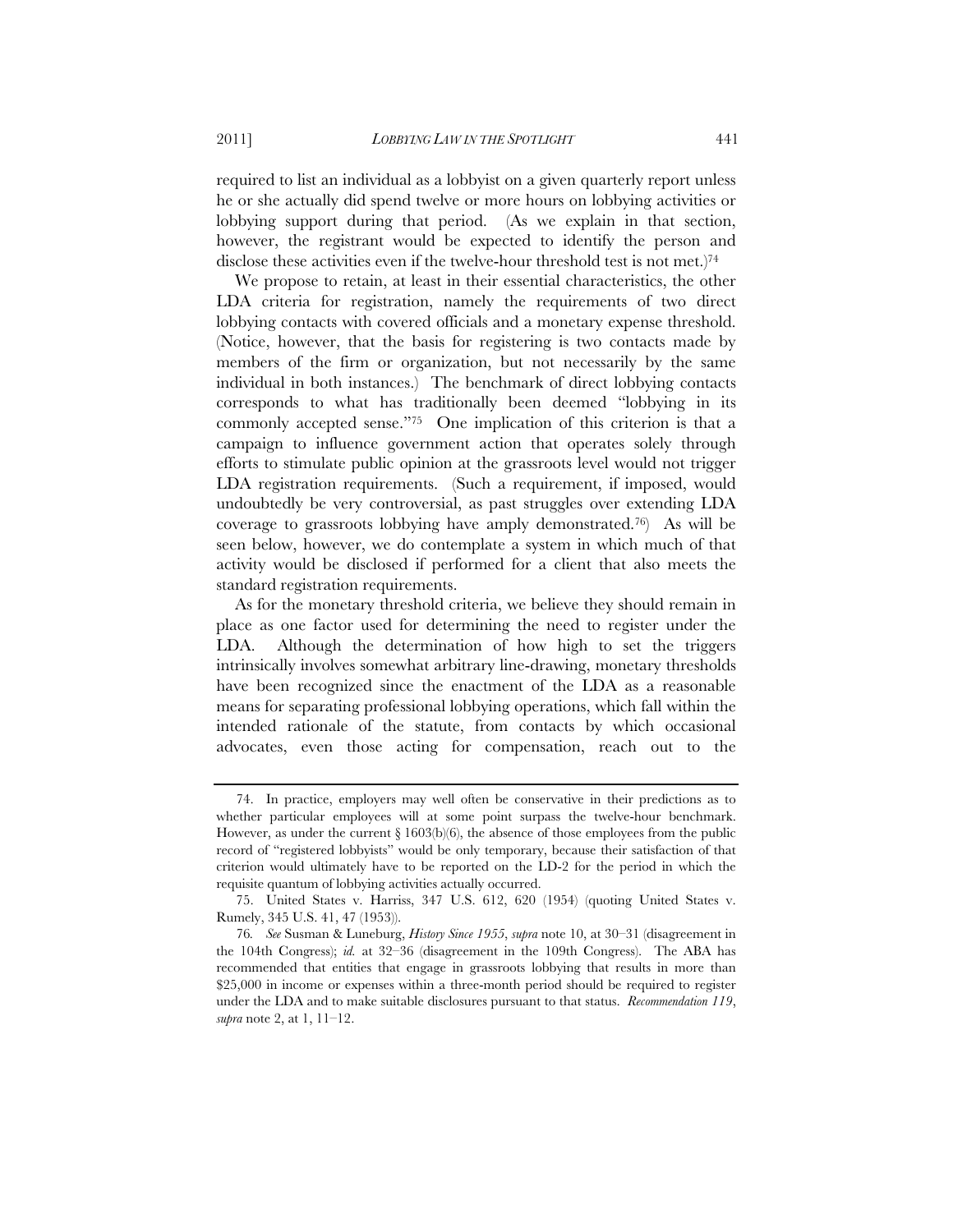required to list an individual as a lobbyist on a given quarterly report unless he or she actually did spend twelve or more hours on lobbying activities or lobbying support during that period. (As we explain in that section, however, the registrant would be expected to identify the person and disclose these activities even if the twelve-hour threshold test is not met.)<sup>74</sup>

We propose to retain, at least in their essential characteristics, the other LDA criteria for registration, namely the requirements of two direct lobbying contacts with covered officials and a monetary expense threshold. (Notice, however, that the basis for registering is two contacts made by members of the firm or organization, but not necessarily by the same individual in both instances.) The benchmark of direct lobbying contacts corresponds to what has traditionally been deemed "lobbying in its commonly accepted sense."75 One implication of this criterion is that a campaign to influence government action that operates solely through efforts to stimulate public opinion at the grassroots level would not trigger LDA registration requirements. (Such a requirement, if imposed, would undoubtedly be very controversial, as past struggles over extending LDA coverage to grassroots lobbying have amply demonstrated.76) As will be seen below, however, we do contemplate a system in which much of that activity would be disclosed if performed for a client that also meets the standard registration requirements.

As for the monetary threshold criteria, we believe they should remain in place as one factor used for determining the need to register under the LDA. Although the determination of how high to set the triggers intrinsically involves somewhat arbitrary line-drawing, monetary thresholds have been recognized since the enactment of the LDA as a reasonable means for separating professional lobbying operations, which fall within the intended rationale of the statute, from contacts by which occasional advocates, even those acting for compensation, reach out to the

<sup>74.</sup> In practice, employers may well often be conservative in their predictions as to whether particular employees will at some point surpass the twelve-hour benchmark. However, as under the current  $\S 1603(b)(6)$ , the absence of those employees from the public record of "registered lobbyists" would be only temporary, because their satisfaction of that criterion would ultimately have to be reported on the LD-2 for the period in which the requisite quantum of lobbying activities actually occurred.

<sup>75.</sup> United States v. Harriss, 347 U.S. 612, 620 (1954) (quoting United States v. Rumely, 345 U.S. 41, 47 (1953)).

<sup>76</sup>*. See* Susman & Luneburg, *History Since 1955*, *supra* note 10, at 30–31 (disagreement in the 104th Congress); *id.* at 32–36 (disagreement in the 109th Congress). The ABA has recommended that entities that engage in grassroots lobbying that results in more than \$25,000 in income or expenses within a three-month period should be required to register under the LDA and to make suitable disclosures pursuant to that status. *Recommendation 119*, *supra* note 2, at 1, 11–12.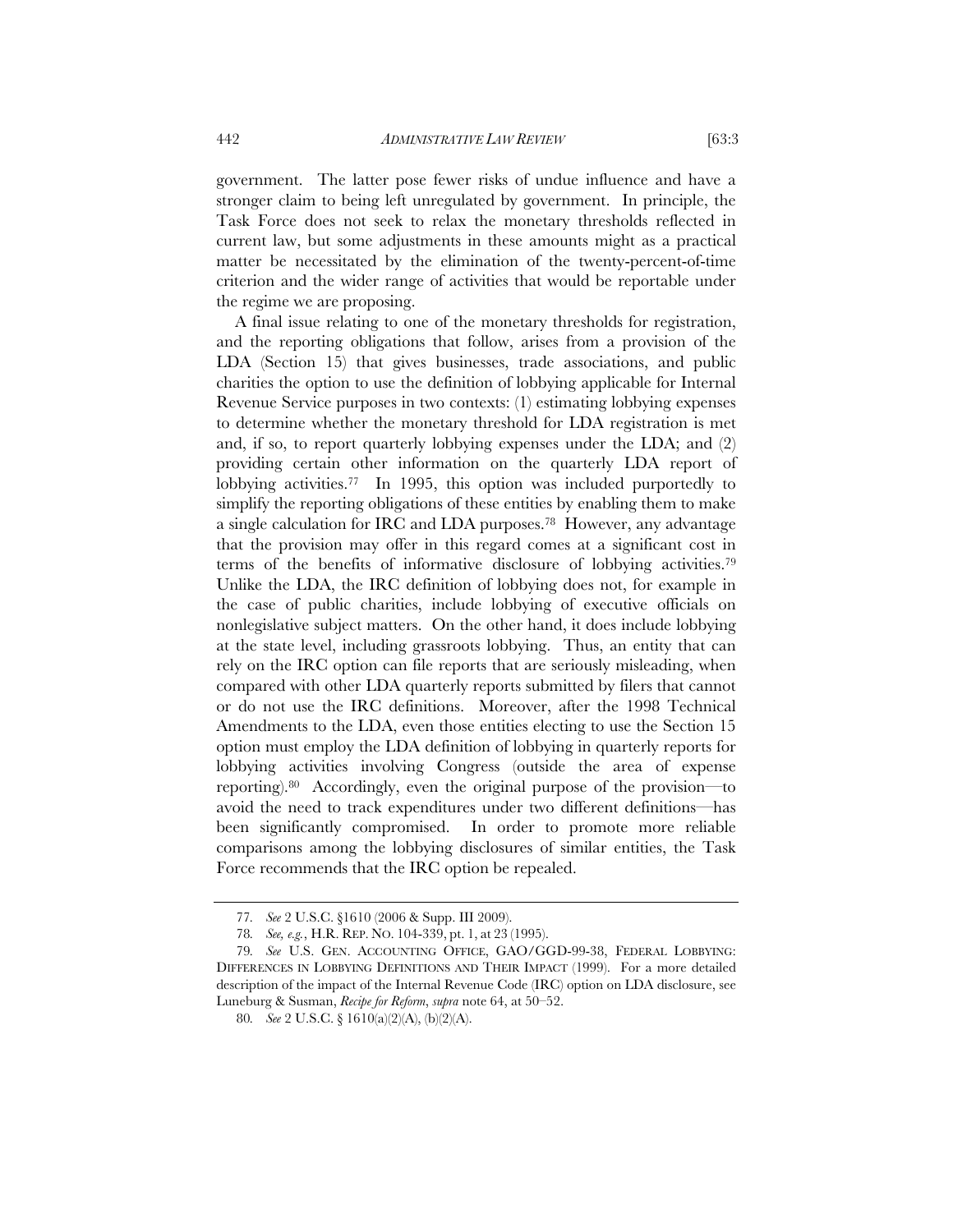government. The latter pose fewer risks of undue influence and have a stronger claim to being left unregulated by government. In principle, the Task Force does not seek to relax the monetary thresholds reflected in current law, but some adjustments in these amounts might as a practical matter be necessitated by the elimination of the twenty-percent-of-time criterion and the wider range of activities that would be reportable under the regime we are proposing.

A final issue relating to one of the monetary thresholds for registration, and the reporting obligations that follow, arises from a provision of the LDA (Section 15) that gives businesses, trade associations, and public charities the option to use the definition of lobbying applicable for Internal Revenue Service purposes in two contexts: (1) estimating lobbying expenses to determine whether the monetary threshold for LDA registration is met and, if so, to report quarterly lobbying expenses under the LDA; and (2) providing certain other information on the quarterly LDA report of lobbying activities.77 In 1995, this option was included purportedly to simplify the reporting obligations of these entities by enabling them to make a single calculation for IRC and LDA purposes.78 However, any advantage that the provision may offer in this regard comes at a significant cost in terms of the benefits of informative disclosure of lobbying activities.79 Unlike the LDA, the IRC definition of lobbying does not, for example in the case of public charities, include lobbying of executive officials on nonlegislative subject matters. On the other hand, it does include lobbying at the state level, including grassroots lobbying. Thus, an entity that can rely on the IRC option can file reports that are seriously misleading, when compared with other LDA quarterly reports submitted by filers that cannot or do not use the IRC definitions. Moreover, after the 1998 Technical Amendments to the LDA, even those entities electing to use the Section 15 option must employ the LDA definition of lobbying in quarterly reports for lobbying activities involving Congress (outside the area of expense reporting).80 Accordingly, even the original purpose of the provision—to avoid the need to track expenditures under two different definitions—has been significantly compromised. In order to promote more reliable comparisons among the lobbying disclosures of similar entities, the Task Force recommends that the IRC option be repealed.

<sup>77</sup>*. See* 2 U.S.C. §1610 (2006 & Supp. III 2009).

<sup>78</sup>*. See, e.g.*, H.R. REP. NO. 104-339, pt. 1, at 23 (1995).

<sup>79</sup>*. See* U.S. GEN. ACCOUNTING OFFICE, GAO/GGD-99-38, FEDERAL LOBBYING: DIFFERENCES IN LOBBYING DEFINITIONS AND THEIR IMPACT (1999). For a more detailed description of the impact of the Internal Revenue Code (IRC) option on LDA disclosure, see Luneburg & Susman, *Recipe for Reform*, *supra* note 64, at 50–52.

<sup>80</sup>*. See* 2 U.S.C. § 1610(a)(2)(A), (b)(2)(A).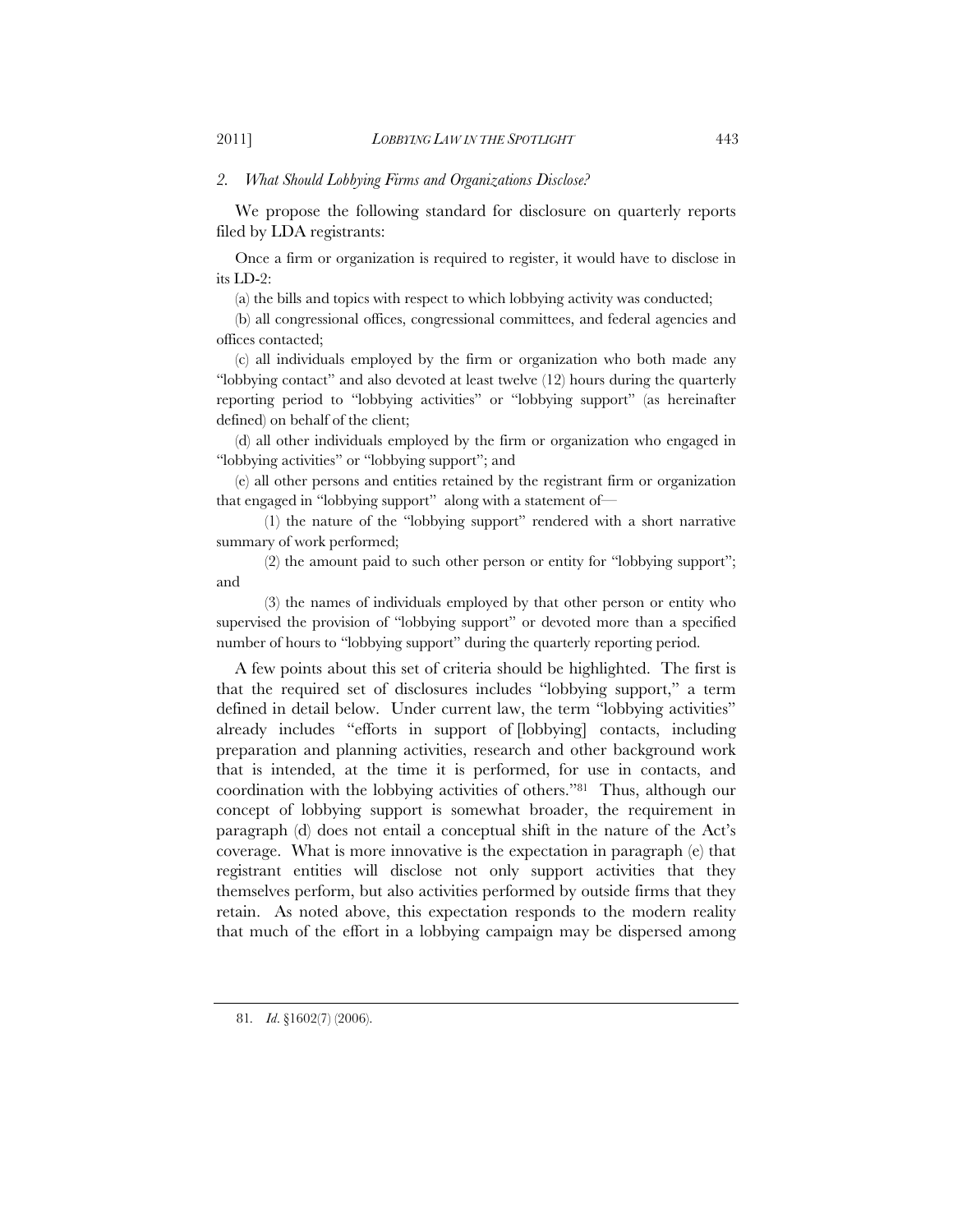#### *2. What Should Lobbying Firms and Organizations Disclose?*

We propose the following standard for disclosure on quarterly reports filed by LDA registrants:

Once a firm or organization is required to register, it would have to disclose in its LD-2:

(a) the bills and topics with respect to which lobbying activity was conducted;

(b) all congressional offices, congressional committees, and federal agencies and offices contacted;

(c) all individuals employed by the firm or organization who both made any "lobbying contact" and also devoted at least twelve (12) hours during the quarterly reporting period to "lobbying activities" or "lobbying support" (as hereinafter defined) on behalf of the client;

(d) all other individuals employed by the firm or organization who engaged in "lobbying activities" or "lobbying support"; and

(e) all other persons and entities retained by the registrant firm or organization that engaged in "lobbying support" along with a statement of—

 (1) the nature of the "lobbying support" rendered with a short narrative summary of work performed;

(2) the amount paid to such other person or entity for "lobbying support"; and

 (3) the names of individuals employed by that other person or entity who supervised the provision of "lobbying support" or devoted more than a specified number of hours to "lobbying support" during the quarterly reporting period.

A few points about this set of criteria should be highlighted. The first is that the required set of disclosures includes "lobbying support," a term defined in detail below. Under current law, the term "lobbying activities" already includes "efforts in support of [lobbying] contacts, including preparation and planning activities, research and other background work that is intended, at the time it is performed, for use in contacts, and coordination with the lobbying activities of others."81 Thus, although our concept of lobbying support is somewhat broader, the requirement in paragraph (d) does not entail a conceptual shift in the nature of the Act's coverage. What is more innovative is the expectation in paragraph (e) that registrant entities will disclose not only support activities that they themselves perform, but also activities performed by outside firms that they retain. As noted above, this expectation responds to the modern reality that much of the effort in a lobbying campaign may be dispersed among

<sup>81</sup>*. Id*. §1602(7) (2006).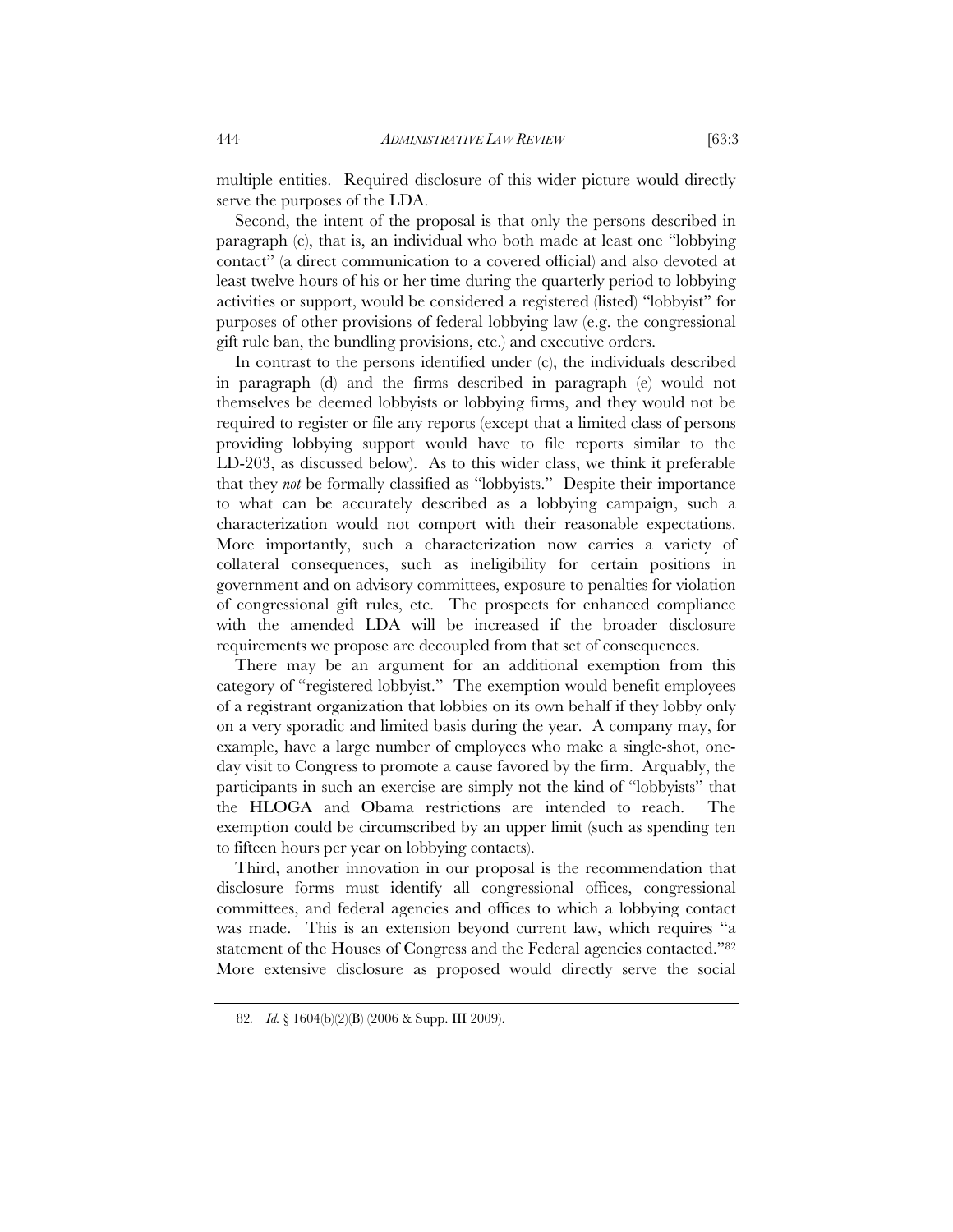multiple entities. Required disclosure of this wider picture would directly serve the purposes of the LDA.

Second, the intent of the proposal is that only the persons described in paragraph (c), that is, an individual who both made at least one "lobbying contact" (a direct communication to a covered official) and also devoted at least twelve hours of his or her time during the quarterly period to lobbying activities or support, would be considered a registered (listed) "lobbyist" for purposes of other provisions of federal lobbying law (e.g. the congressional gift rule ban, the bundling provisions, etc.) and executive orders.

In contrast to the persons identified under (c), the individuals described in paragraph (d) and the firms described in paragraph (e) would not themselves be deemed lobbyists or lobbying firms, and they would not be required to register or file any reports (except that a limited class of persons providing lobbying support would have to file reports similar to the LD-203, as discussed below). As to this wider class, we think it preferable that they *not* be formally classified as "lobbyists." Despite their importance to what can be accurately described as a lobbying campaign, such a characterization would not comport with their reasonable expectations. More importantly, such a characterization now carries a variety of collateral consequences, such as ineligibility for certain positions in government and on advisory committees, exposure to penalties for violation of congressional gift rules, etc. The prospects for enhanced compliance with the amended LDA will be increased if the broader disclosure requirements we propose are decoupled from that set of consequences.

There may be an argument for an additional exemption from this category of "registered lobbyist." The exemption would benefit employees of a registrant organization that lobbies on its own behalf if they lobby only on a very sporadic and limited basis during the year. A company may, for example, have a large number of employees who make a single-shot, oneday visit to Congress to promote a cause favored by the firm. Arguably, the participants in such an exercise are simply not the kind of "lobbyists" that the HLOGA and Obama restrictions are intended to reach. The exemption could be circumscribed by an upper limit (such as spending ten to fifteen hours per year on lobbying contacts).

Third, another innovation in our proposal is the recommendation that disclosure forms must identify all congressional offices, congressional committees, and federal agencies and offices to which a lobbying contact was made. This is an extension beyond current law, which requires "a statement of the Houses of Congress and the Federal agencies contacted."82 More extensive disclosure as proposed would directly serve the social

<sup>82</sup>*. Id.* § 1604(b)(2)(B) (2006 & Supp. III 2009).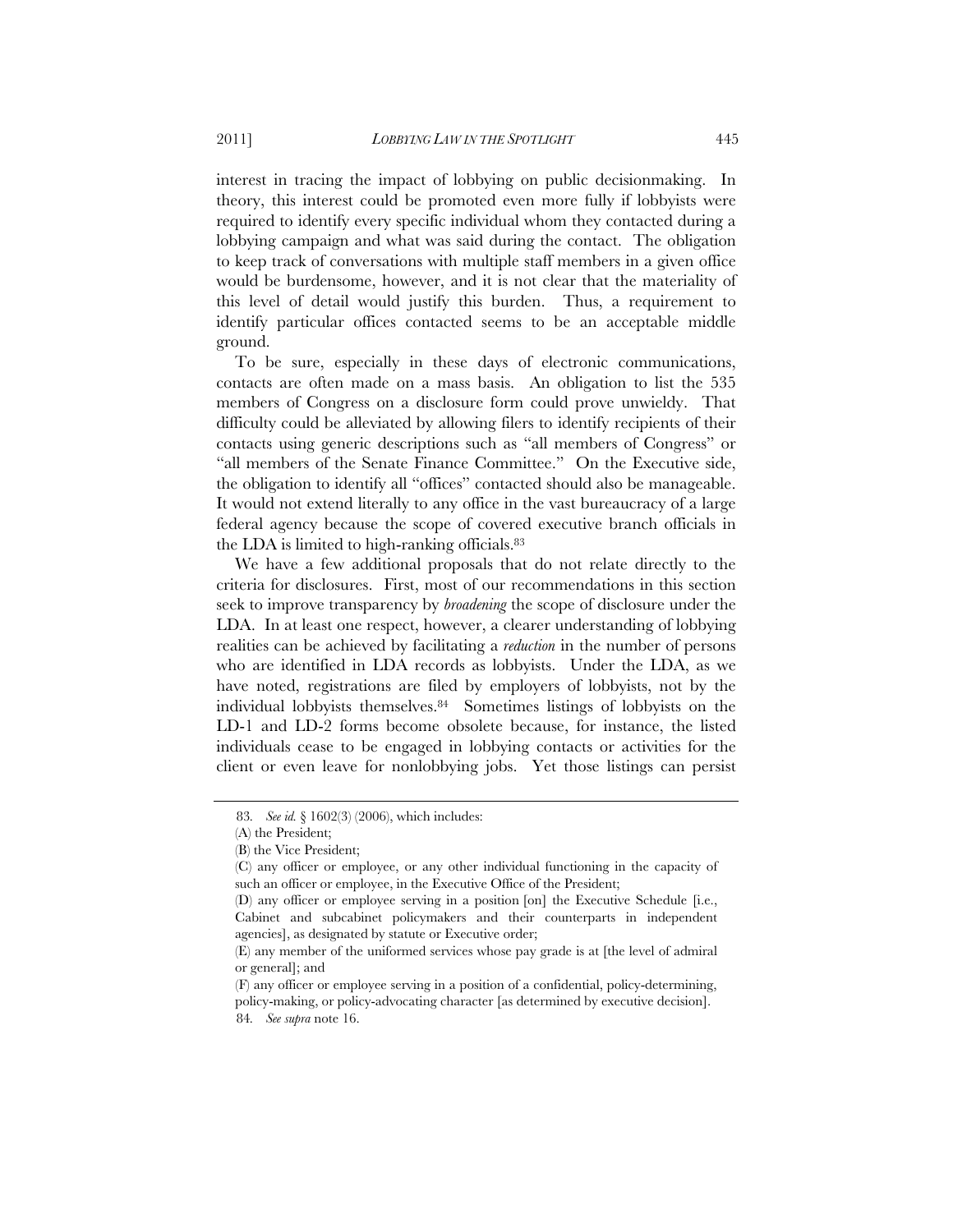interest in tracing the impact of lobbying on public decisionmaking. In theory, this interest could be promoted even more fully if lobbyists were required to identify every specific individual whom they contacted during a lobbying campaign and what was said during the contact. The obligation to keep track of conversations with multiple staff members in a given office would be burdensome, however, and it is not clear that the materiality of this level of detail would justify this burden. Thus, a requirement to identify particular offices contacted seems to be an acceptable middle ground.

To be sure, especially in these days of electronic communications, contacts are often made on a mass basis. An obligation to list the 535 members of Congress on a disclosure form could prove unwieldy. That difficulty could be alleviated by allowing filers to identify recipients of their contacts using generic descriptions such as "all members of Congress" or "all members of the Senate Finance Committee." On the Executive side, the obligation to identify all "offices" contacted should also be manageable. It would not extend literally to any office in the vast bureaucracy of a large federal agency because the scope of covered executive branch officials in the LDA is limited to high-ranking officials.83

We have a few additional proposals that do not relate directly to the criteria for disclosures. First, most of our recommendations in this section seek to improve transparency by *broadening* the scope of disclosure under the LDA. In at least one respect, however, a clearer understanding of lobbying realities can be achieved by facilitating a *reduction* in the number of persons who are identified in LDA records as lobbyists. Under the LDA, as we have noted, registrations are filed by employers of lobbyists, not by the individual lobbyists themselves.84 Sometimes listings of lobbyists on the LD-1 and LD-2 forms become obsolete because, for instance, the listed individuals cease to be engaged in lobbying contacts or activities for the client or even leave for nonlobbying jobs. Yet those listings can persist

<sup>83</sup>*. See id.* § 1602(3) (2006), which includes:

<sup>(</sup>A) the President;

<sup>(</sup>B) the Vice President;

<sup>(</sup>C) any officer or employee, or any other individual functioning in the capacity of such an officer or employee, in the Executive Office of the President;

<sup>(</sup>D) any officer or employee serving in a position [on] the Executive Schedule [i.e., Cabinet and subcabinet policymakers and their counterparts in independent agencies], as designated by statute or Executive order;

<sup>(</sup>E) any member of the uniformed services whose pay grade is at [the level of admiral or general]; and

<sup>(</sup>F) any officer or employee serving in a position of a confidential, policy-determining, policy-making, or policy-advocating character [as determined by executive decision]. 84*. See supra* note 16.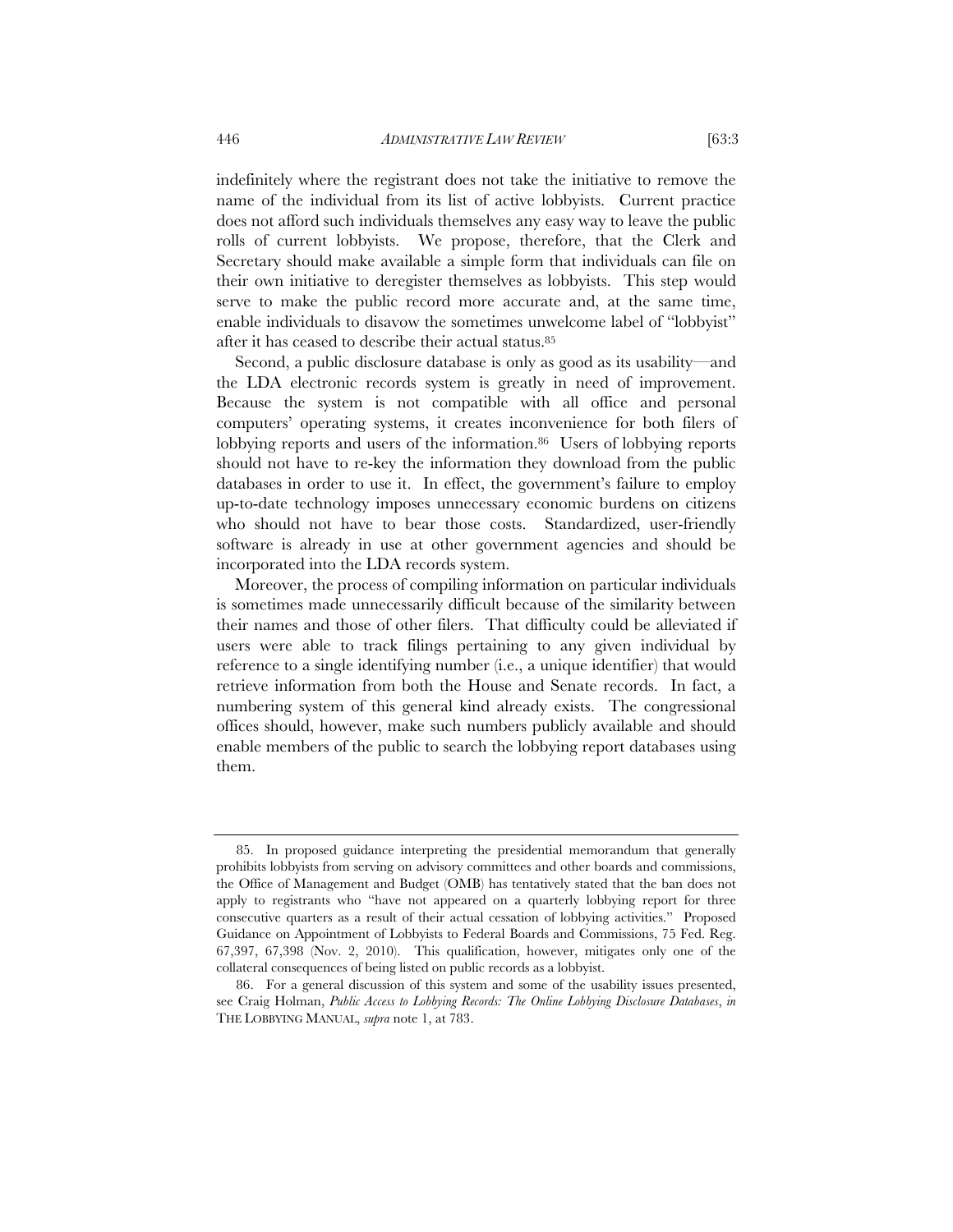indefinitely where the registrant does not take the initiative to remove the name of the individual from its list of active lobbyists. Current practice does not afford such individuals themselves any easy way to leave the public rolls of current lobbyists. We propose, therefore, that the Clerk and Secretary should make available a simple form that individuals can file on their own initiative to deregister themselves as lobbyists. This step would serve to make the public record more accurate and, at the same time, enable individuals to disavow the sometimes unwelcome label of "lobbyist" after it has ceased to describe their actual status.85

Second, a public disclosure database is only as good as its usability—and the LDA electronic records system is greatly in need of improvement. Because the system is not compatible with all office and personal computers' operating systems, it creates inconvenience for both filers of lobbying reports and users of the information.<sup>86</sup> Users of lobbying reports should not have to re-key the information they download from the public databases in order to use it. In effect, the government's failure to employ up-to-date technology imposes unnecessary economic burdens on citizens who should not have to bear those costs. Standardized, user-friendly software is already in use at other government agencies and should be incorporated into the LDA records system.

Moreover, the process of compiling information on particular individuals is sometimes made unnecessarily difficult because of the similarity between their names and those of other filers. That difficulty could be alleviated if users were able to track filings pertaining to any given individual by reference to a single identifying number (i.e., a unique identifier) that would retrieve information from both the House and Senate records. In fact, a numbering system of this general kind already exists. The congressional offices should, however, make such numbers publicly available and should enable members of the public to search the lobbying report databases using them.

<sup>85.</sup> In proposed guidance interpreting the presidential memorandum that generally prohibits lobbyists from serving on advisory committees and other boards and commissions, the Office of Management and Budget (OMB) has tentatively stated that the ban does not apply to registrants who "have not appeared on a quarterly lobbying report for three consecutive quarters as a result of their actual cessation of lobbying activities." Proposed Guidance on Appointment of Lobbyists to Federal Boards and Commissions, 75 Fed. Reg. 67,397, 67,398 (Nov. 2, 2010). This qualification, however, mitigates only one of the collateral consequences of being listed on public records as a lobbyist.

<sup>86.</sup> For a general discussion of this system and some of the usability issues presented, see Craig Holman, *Public Access to Lobbying Records: The Online Lobbying Disclosure Databases*, *in* THE LOBBYING MANUAL, *supra* note 1, at 783.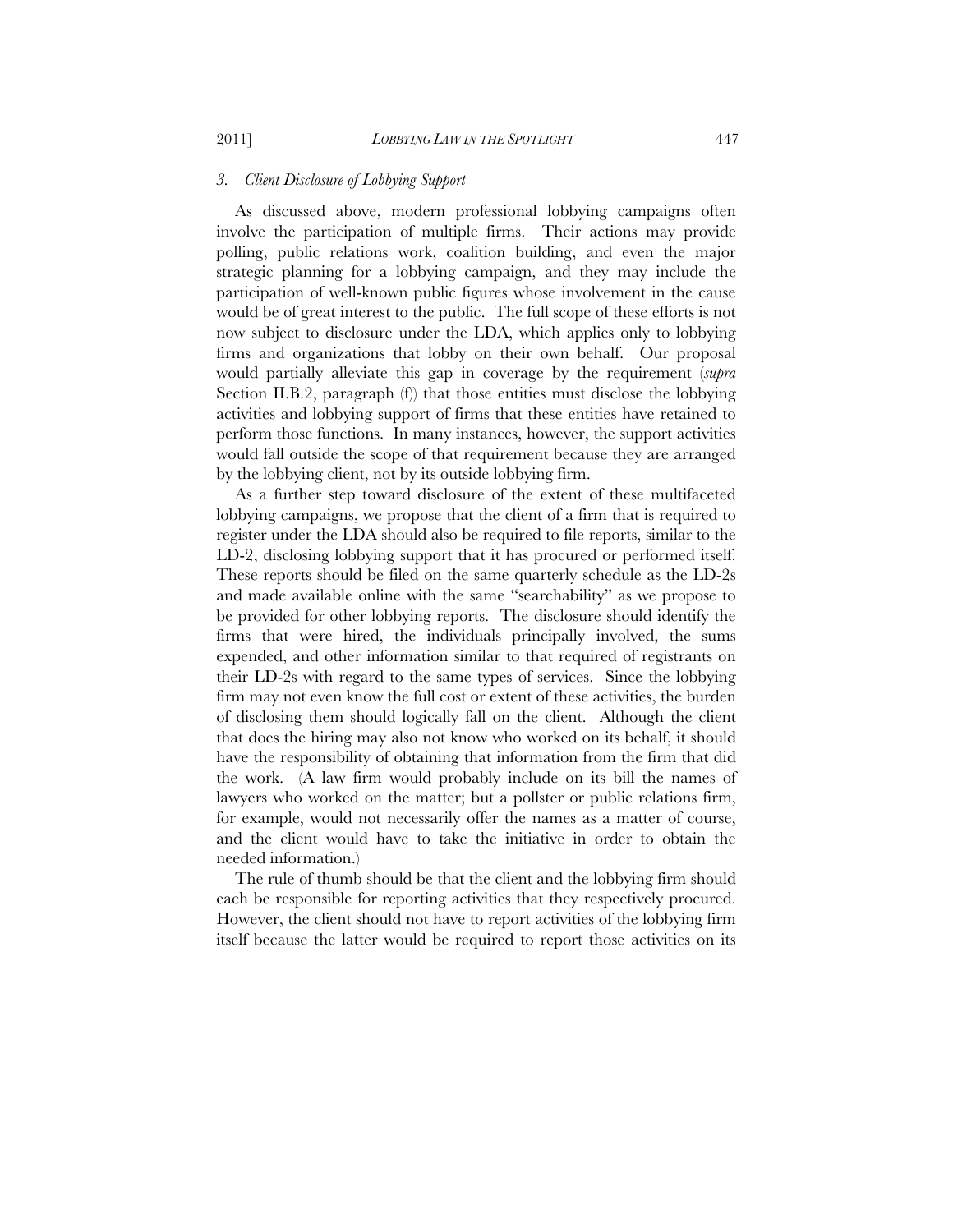#### *3. Client Disclosure of Lobbying Support*

As discussed above, modern professional lobbying campaigns often involve the participation of multiple firms. Their actions may provide polling, public relations work, coalition building, and even the major strategic planning for a lobbying campaign, and they may include the participation of well-known public figures whose involvement in the cause would be of great interest to the public. The full scope of these efforts is not now subject to disclosure under the LDA, which applies only to lobbying firms and organizations that lobby on their own behalf. Our proposal would partially alleviate this gap in coverage by the requirement (*supra*  Section II.B.2, paragraph (f) that those entities must disclose the lobbying activities and lobbying support of firms that these entities have retained to perform those functions. In many instances, however, the support activities would fall outside the scope of that requirement because they are arranged by the lobbying client, not by its outside lobbying firm.

As a further step toward disclosure of the extent of these multifaceted lobbying campaigns, we propose that the client of a firm that is required to register under the LDA should also be required to file reports, similar to the LD-2, disclosing lobbying support that it has procured or performed itself. These reports should be filed on the same quarterly schedule as the LD-2s and made available online with the same "searchability" as we propose to be provided for other lobbying reports. The disclosure should identify the firms that were hired, the individuals principally involved, the sums expended, and other information similar to that required of registrants on their LD-2s with regard to the same types of services. Since the lobbying firm may not even know the full cost or extent of these activities, the burden of disclosing them should logically fall on the client. Although the client that does the hiring may also not know who worked on its behalf, it should have the responsibility of obtaining that information from the firm that did the work. (A law firm would probably include on its bill the names of lawyers who worked on the matter; but a pollster or public relations firm, for example, would not necessarily offer the names as a matter of course, and the client would have to take the initiative in order to obtain the needed information.)

The rule of thumb should be that the client and the lobbying firm should each be responsible for reporting activities that they respectively procured. However, the client should not have to report activities of the lobbying firm itself because the latter would be required to report those activities on its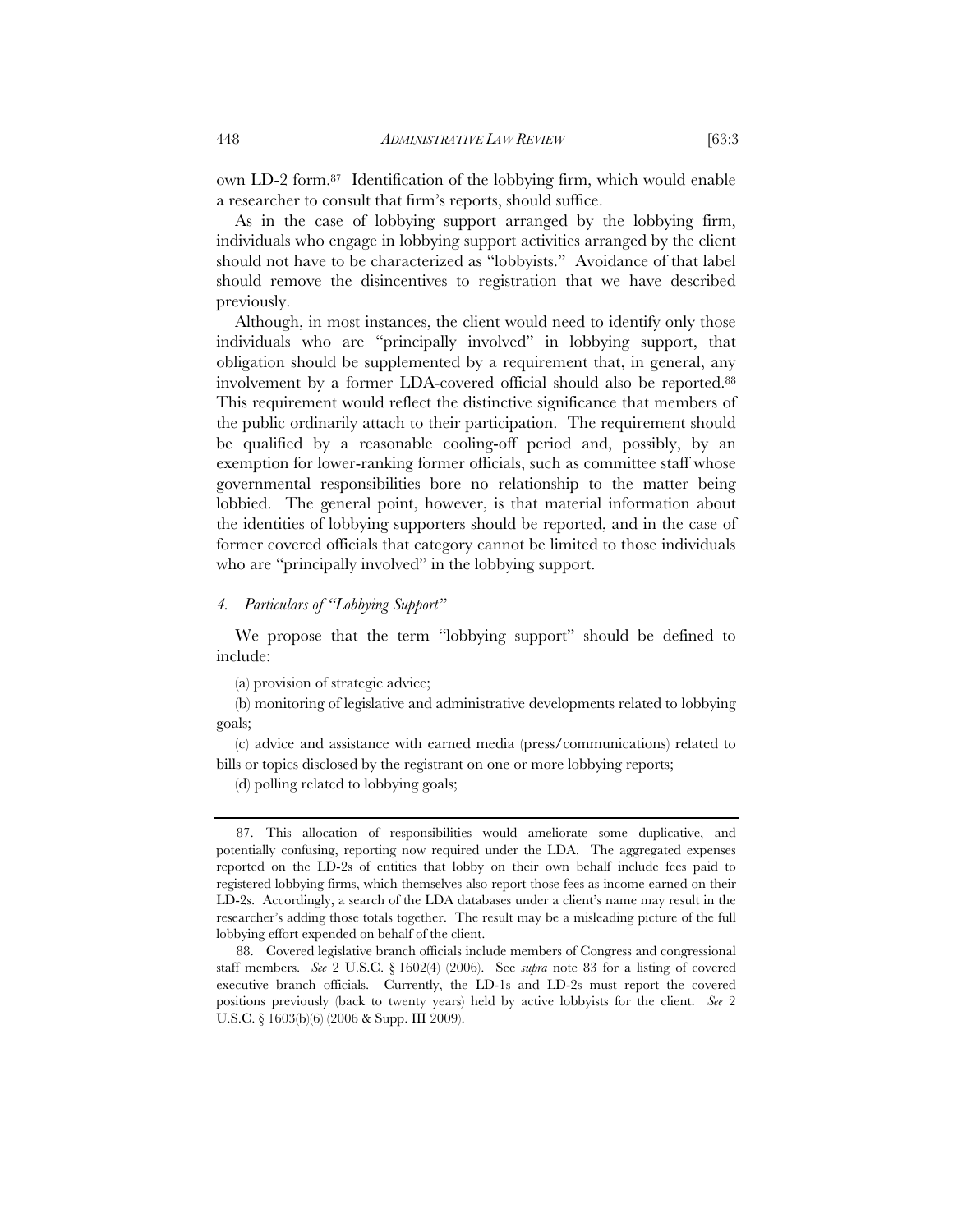own LD-2 form.87 Identification of the lobbying firm, which would enable a researcher to consult that firm's reports, should suffice.

As in the case of lobbying support arranged by the lobbying firm, individuals who engage in lobbying support activities arranged by the client should not have to be characterized as "lobbyists." Avoidance of that label should remove the disincentives to registration that we have described previously.

Although, in most instances, the client would need to identify only those individuals who are "principally involved" in lobbying support, that obligation should be supplemented by a requirement that, in general, any involvement by a former LDA-covered official should also be reported.88 This requirement would reflect the distinctive significance that members of the public ordinarily attach to their participation. The requirement should be qualified by a reasonable cooling-off period and, possibly, by an exemption for lower-ranking former officials, such as committee staff whose governmental responsibilities bore no relationship to the matter being lobbied. The general point, however, is that material information about the identities of lobbying supporters should be reported, and in the case of former covered officials that category cannot be limited to those individuals who are "principally involved" in the lobbying support.

#### *4. Particulars of "Lobbying Support"*

We propose that the term "lobbying support" should be defined to include:

(a) provision of strategic advice;

(b) monitoring of legislative and administrative developments related to lobbying goals;

(c) advice and assistance with earned media (press/communications) related to bills or topics disclosed by the registrant on one or more lobbying reports;

(d) polling related to lobbying goals;

<sup>87.</sup> This allocation of responsibilities would ameliorate some duplicative, and potentially confusing, reporting now required under the LDA. The aggregated expenses reported on the LD-2s of entities that lobby on their own behalf include fees paid to registered lobbying firms, which themselves also report those fees as income earned on their LD-2s. Accordingly, a search of the LDA databases under a client's name may result in the researcher's adding those totals together. The result may be a misleading picture of the full lobbying effort expended on behalf of the client.

<sup>88.</sup> Covered legislative branch officials include members of Congress and congressional staff members. *See* 2 U.S.C. § 1602(4) (2006). See *supra* note 83 for a listing of covered executive branch officials. Currently, the LD-1s and LD-2s must report the covered positions previously (back to twenty years) held by active lobbyists for the client. *See* 2 U.S.C. § 1603(b)(6) (2006 & Supp. III 2009).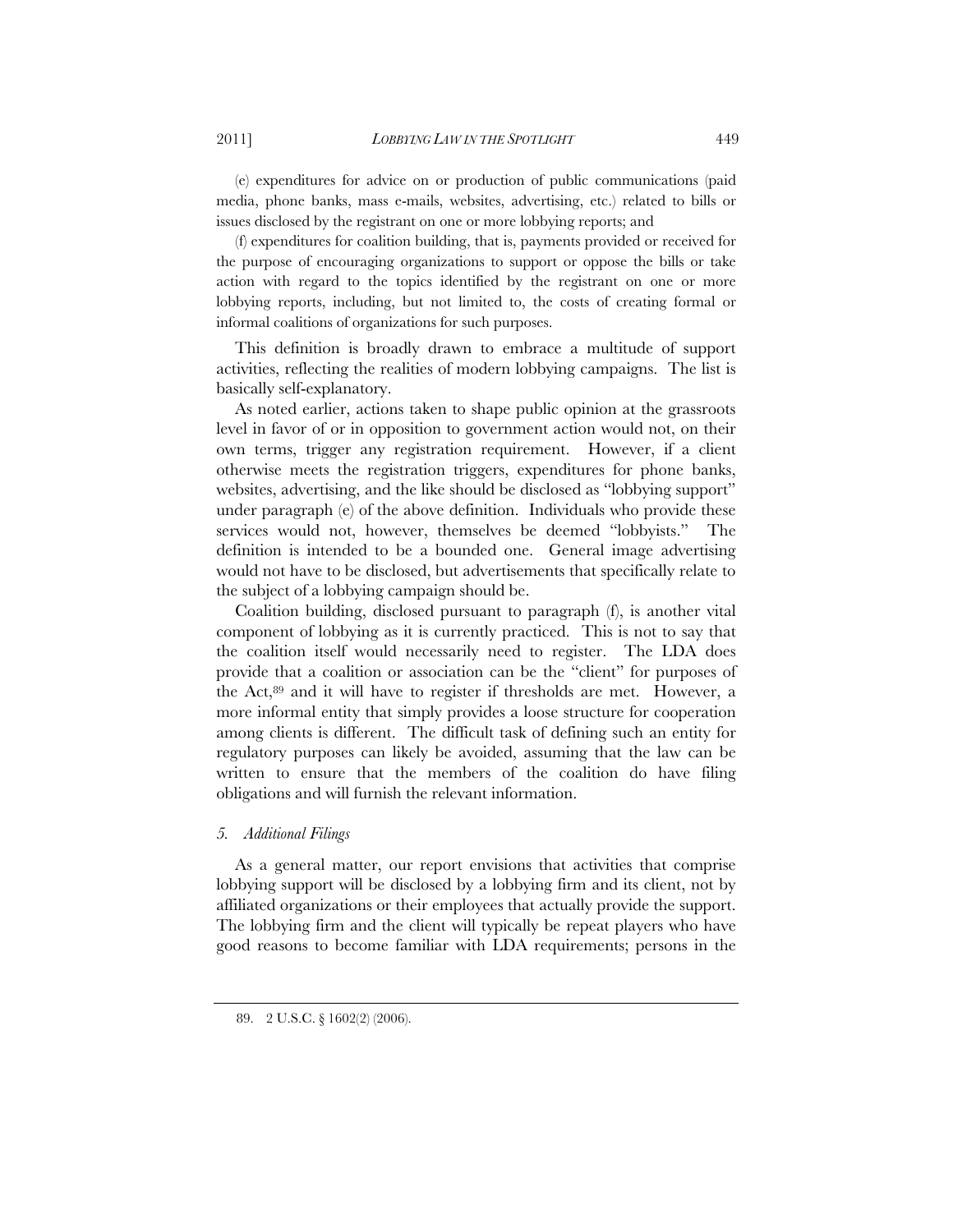(e) expenditures for advice on or production of public communications (paid media, phone banks, mass e-mails, websites, advertising, etc.) related to bills or issues disclosed by the registrant on one or more lobbying reports; and

(f) expenditures for coalition building, that is, payments provided or received for the purpose of encouraging organizations to support or oppose the bills or take action with regard to the topics identified by the registrant on one or more lobbying reports, including, but not limited to, the costs of creating formal or informal coalitions of organizations for such purposes.

This definition is broadly drawn to embrace a multitude of support activities, reflecting the realities of modern lobbying campaigns. The list is basically self-explanatory.

As noted earlier, actions taken to shape public opinion at the grassroots level in favor of or in opposition to government action would not, on their own terms, trigger any registration requirement. However, if a client otherwise meets the registration triggers, expenditures for phone banks, websites, advertising, and the like should be disclosed as "lobbying support" under paragraph (e) of the above definition. Individuals who provide these services would not, however, themselves be deemed "lobbyists." The definition is intended to be a bounded one. General image advertising would not have to be disclosed, but advertisements that specifically relate to the subject of a lobbying campaign should be.

Coalition building, disclosed pursuant to paragraph (f), is another vital component of lobbying as it is currently practiced. This is not to say that the coalition itself would necessarily need to register. The LDA does provide that a coalition or association can be the "client" for purposes of the Act,89 and it will have to register if thresholds are met. However, a more informal entity that simply provides a loose structure for cooperation among clients is different. The difficult task of defining such an entity for regulatory purposes can likely be avoided, assuming that the law can be written to ensure that the members of the coalition do have filing obligations and will furnish the relevant information.

#### *5. Additional Filings*

As a general matter, our report envisions that activities that comprise lobbying support will be disclosed by a lobbying firm and its client, not by affiliated organizations or their employees that actually provide the support. The lobbying firm and the client will typically be repeat players who have good reasons to become familiar with LDA requirements; persons in the

<sup>89. 2</sup> U.S.C. § 1602(2) (2006).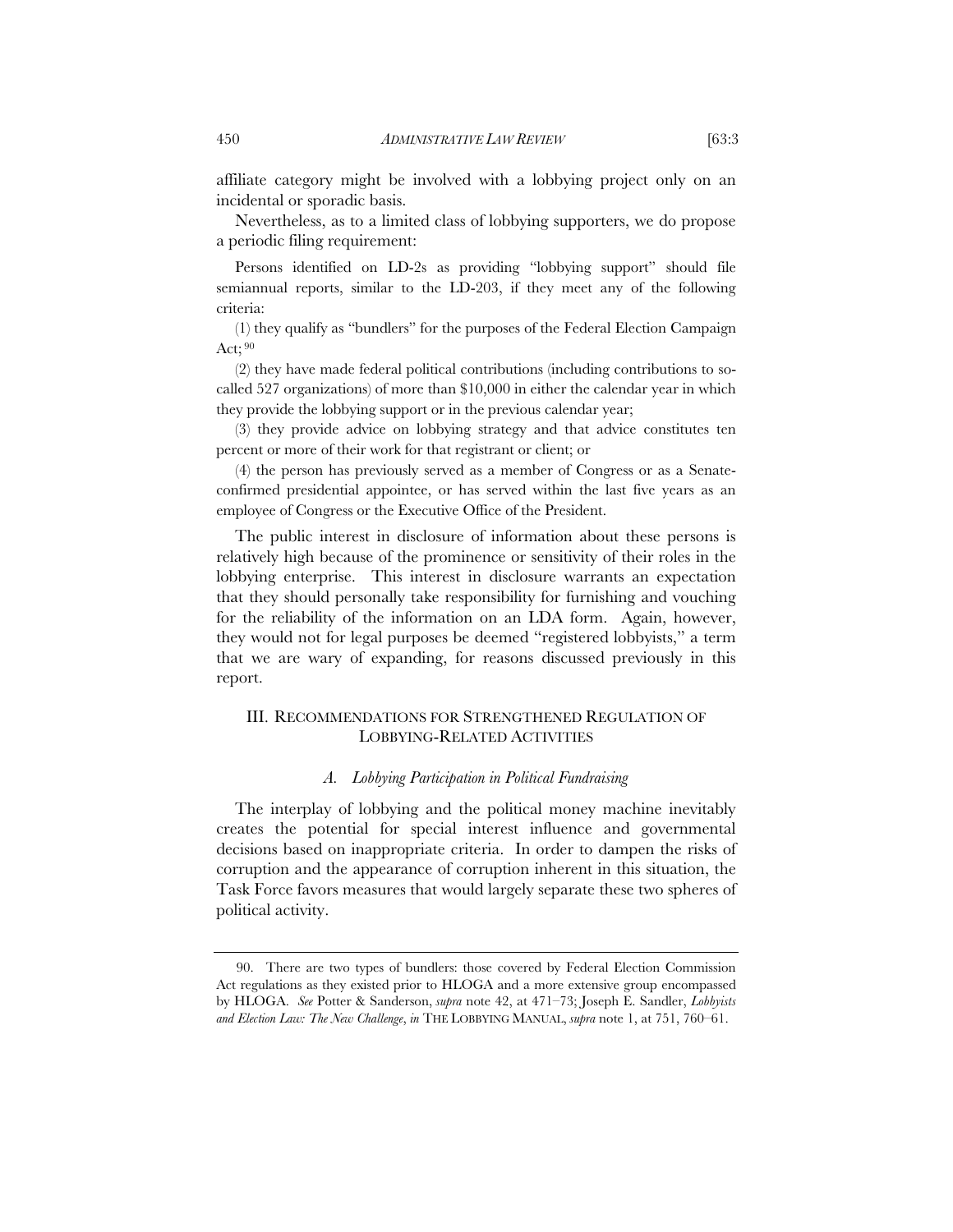affiliate category might be involved with a lobbying project only on an incidental or sporadic basis.

Nevertheless, as to a limited class of lobbying supporters, we do propose a periodic filing requirement:

Persons identified on LD-2s as providing "lobbying support" should file semiannual reports, similar to the LD-203, if they meet any of the following criteria:

(1) they qualify as "bundlers" for the purposes of the Federal Election Campaign Act; 90

(2) they have made federal political contributions (including contributions to socalled 527 organizations) of more than \$10,000 in either the calendar year in which they provide the lobbying support or in the previous calendar year;

(3) they provide advice on lobbying strategy and that advice constitutes ten percent or more of their work for that registrant or client; or

(4) the person has previously served as a member of Congress or as a Senateconfirmed presidential appointee, or has served within the last five years as an employee of Congress or the Executive Office of the President.

The public interest in disclosure of information about these persons is relatively high because of the prominence or sensitivity of their roles in the lobbying enterprise. This interest in disclosure warrants an expectation that they should personally take responsibility for furnishing and vouching for the reliability of the information on an LDA form. Again, however, they would not for legal purposes be deemed "registered lobbyists," a term that we are wary of expanding, for reasons discussed previously in this report.

#### III. RECOMMENDATIONS FOR STRENGTHENED REGULATION OF LOBBYING-RELATED ACTIVITIES

#### *A. Lobbying Participation in Political Fundraising*

The interplay of lobbying and the political money machine inevitably creates the potential for special interest influence and governmental decisions based on inappropriate criteria. In order to dampen the risks of corruption and the appearance of corruption inherent in this situation, the Task Force favors measures that would largely separate these two spheres of political activity.

<sup>90.</sup> There are two types of bundlers: those covered by Federal Election Commission Act regulations as they existed prior to HLOGA and a more extensive group encompassed by HLOGA. *See* Potter & Sanderson, *supra* note 42, at 471–73; Joseph E. Sandler, *Lobbyists and Election Law: The New Challenge*, *in* THE LOBBYING MANUAL, *supra* note 1, at 751, 760–61.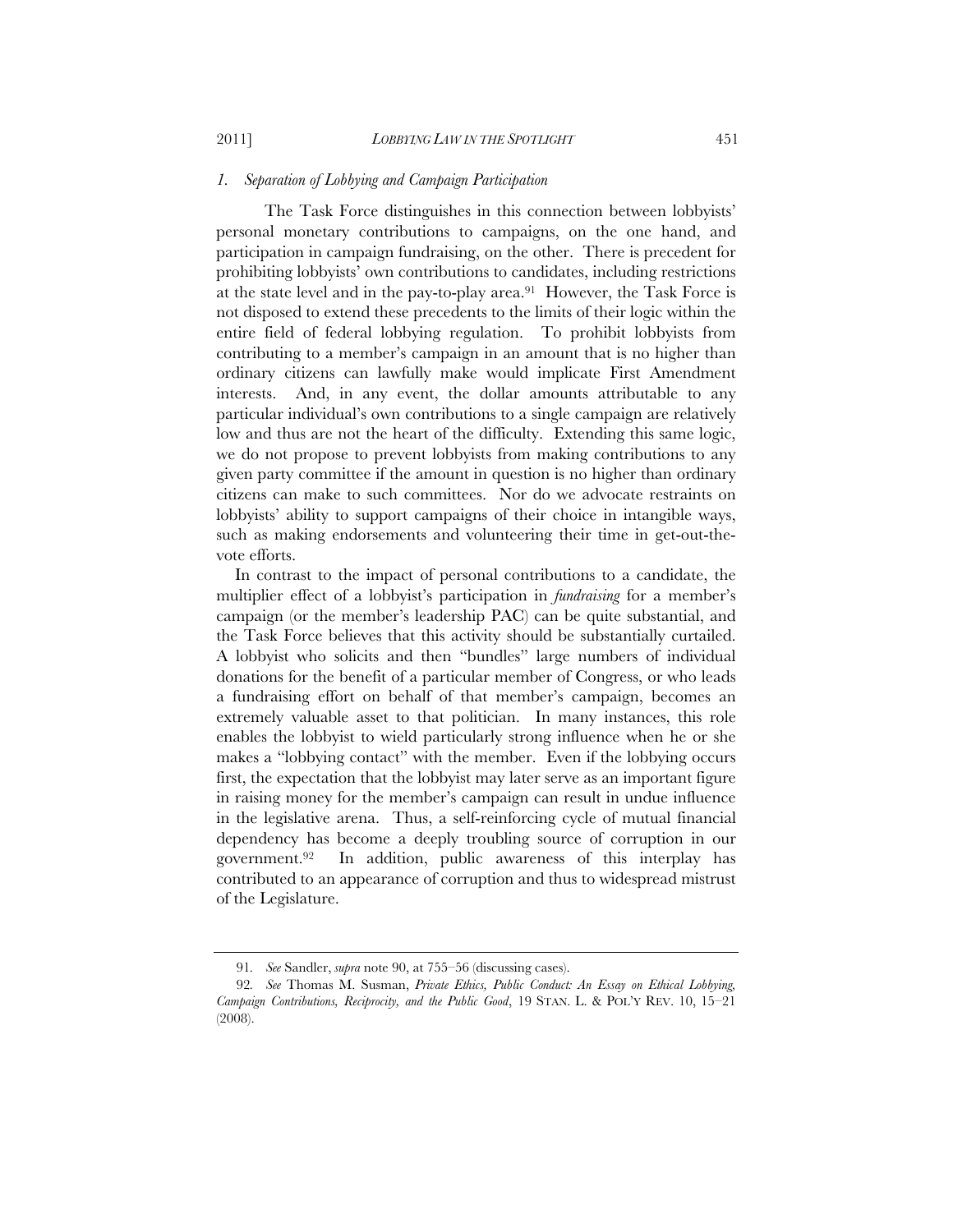#### *1. Separation of Lobbying and Campaign Participation*

The Task Force distinguishes in this connection between lobbyists' personal monetary contributions to campaigns, on the one hand, and participation in campaign fundraising, on the other. There is precedent for prohibiting lobbyists' own contributions to candidates, including restrictions at the state level and in the pay-to-play area.91 However, the Task Force is not disposed to extend these precedents to the limits of their logic within the entire field of federal lobbying regulation. To prohibit lobbyists from contributing to a member's campaign in an amount that is no higher than ordinary citizens can lawfully make would implicate First Amendment interests. And, in any event, the dollar amounts attributable to any particular individual's own contributions to a single campaign are relatively low and thus are not the heart of the difficulty. Extending this same logic, we do not propose to prevent lobbyists from making contributions to any given party committee if the amount in question is no higher than ordinary citizens can make to such committees. Nor do we advocate restraints on lobbyists' ability to support campaigns of their choice in intangible ways, such as making endorsements and volunteering their time in get-out-thevote efforts.

In contrast to the impact of personal contributions to a candidate, the multiplier effect of a lobbyist's participation in *fundraising* for a member's campaign (or the member's leadership PAC) can be quite substantial, and the Task Force believes that this activity should be substantially curtailed. A lobbyist who solicits and then "bundles" large numbers of individual donations for the benefit of a particular member of Congress, or who leads a fundraising effort on behalf of that member's campaign, becomes an extremely valuable asset to that politician. In many instances, this role enables the lobbyist to wield particularly strong influence when he or she makes a "lobbying contact" with the member. Even if the lobbying occurs first, the expectation that the lobbyist may later serve as an important figure in raising money for the member's campaign can result in undue influence in the legislative arena. Thus, a self-reinforcing cycle of mutual financial dependency has become a deeply troubling source of corruption in our government.92 In addition, public awareness of this interplay has contributed to an appearance of corruption and thus to widespread mistrust of the Legislature.

<sup>91</sup>*. See* Sandler, *supra* note 90, at 755–56 (discussing cases).

<sup>92</sup>*. See* Thomas M. Susman, *Private Ethics, Public Conduct: An Essay on Ethical Lobbying, Campaign Contributions, Reciprocity, and the Public Good*, 19 STAN. L. & POL'Y REV. 10, 15–21 (2008).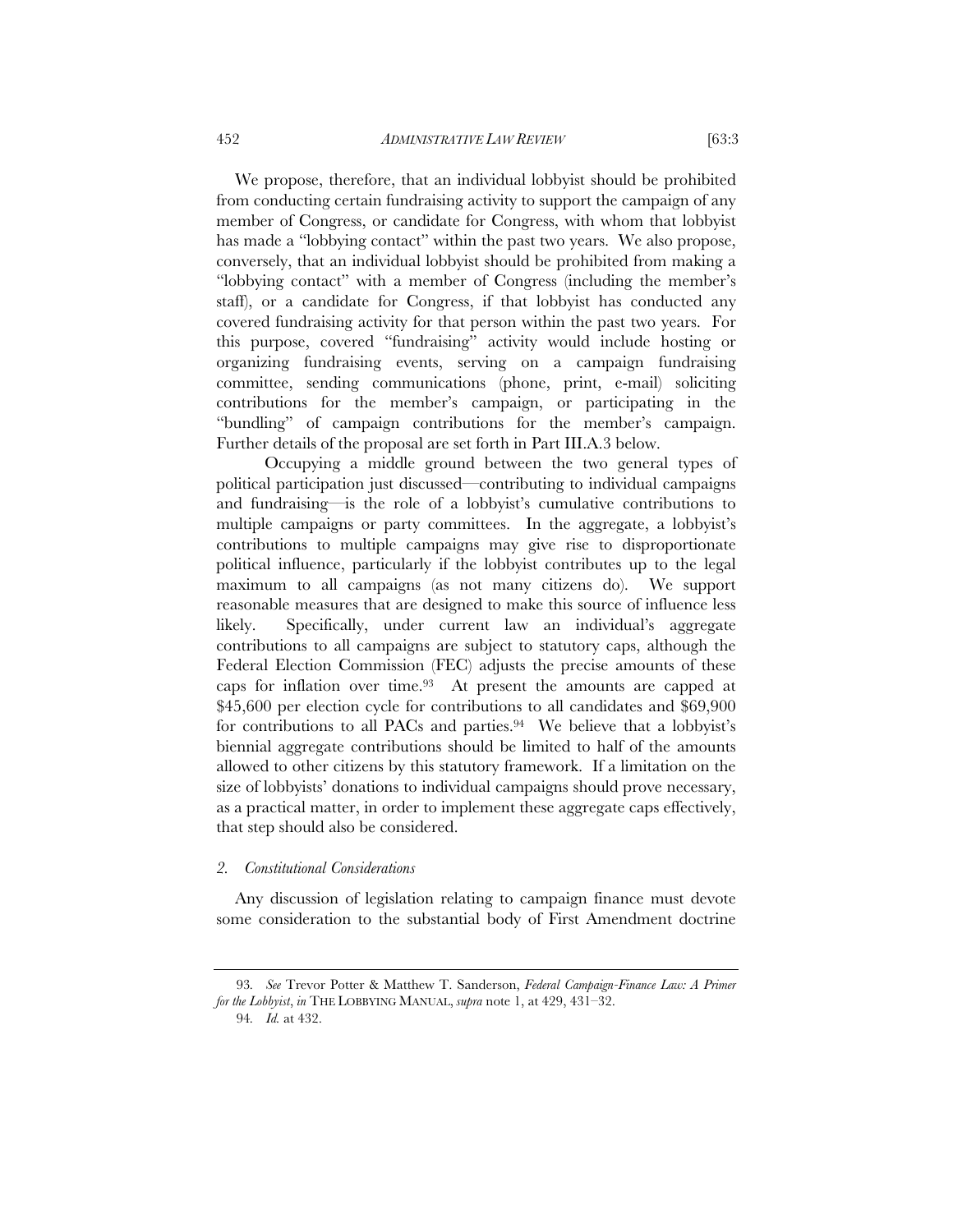We propose, therefore, that an individual lobbyist should be prohibited from conducting certain fundraising activity to support the campaign of any member of Congress, or candidate for Congress, with whom that lobbyist has made a "lobbying contact" within the past two years. We also propose, conversely, that an individual lobbyist should be prohibited from making a "lobbying contact" with a member of Congress (including the member's staff), or a candidate for Congress, if that lobbyist has conducted any covered fundraising activity for that person within the past two years. For this purpose, covered "fundraising" activity would include hosting or organizing fundraising events, serving on a campaign fundraising committee, sending communications (phone, print, e-mail) soliciting contributions for the member's campaign, or participating in the "bundling" of campaign contributions for the member's campaign.

Further details of the proposal are set forth in Part III.A.3 below. Occupying a middle ground between the two general types of political participation just discussed—contributing to individual campaigns and fundraising—is the role of a lobbyist's cumulative contributions to multiple campaigns or party committees. In the aggregate, a lobbyist's contributions to multiple campaigns may give rise to disproportionate political influence, particularly if the lobbyist contributes up to the legal maximum to all campaigns (as not many citizens do). We support reasonable measures that are designed to make this source of influence less likely. Specifically, under current law an individual's aggregate contributions to all campaigns are subject to statutory caps, although the Federal Election Commission (FEC) adjusts the precise amounts of these caps for inflation over time.93 At present the amounts are capped at \$45,600 per election cycle for contributions to all candidates and \$69,900 for contributions to all PACs and parties.<sup>94</sup> We believe that a lobbyist's biennial aggregate contributions should be limited to half of the amounts allowed to other citizens by this statutory framework. If a limitation on the size of lobbyists' donations to individual campaigns should prove necessary, as a practical matter, in order to implement these aggregate caps effectively, that step should also be considered.

#### *2. Constitutional Considerations*

Any discussion of legislation relating to campaign finance must devote some consideration to the substantial body of First Amendment doctrine

<sup>93</sup>*. See* Trevor Potter & Matthew T. Sanderson, *Federal Campaign-Finance Law: A Primer for the Lobbyist*, *in* THE LOBBYING MANUAL, *supra* note 1, at 429, 431–32.

<sup>94</sup>*. Id.* at 432.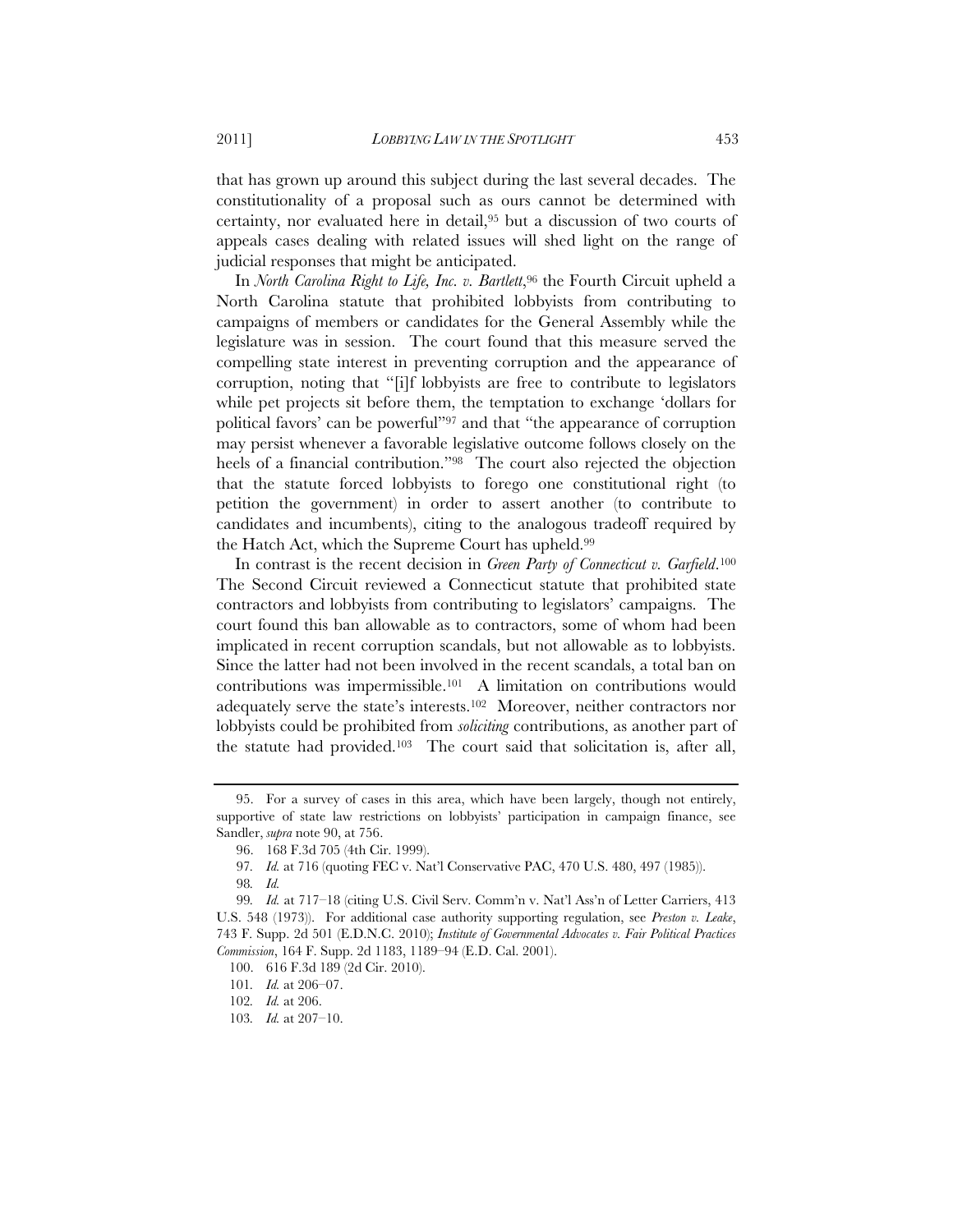that has grown up around this subject during the last several decades. The constitutionality of a proposal such as ours cannot be determined with certainty, nor evaluated here in detail,95 but a discussion of two courts of appeals cases dealing with related issues will shed light on the range of judicial responses that might be anticipated.

In *North Carolina Right to Life, Inc. v. Bartlett*,<sup>96</sup> the Fourth Circuit upheld a North Carolina statute that prohibited lobbyists from contributing to campaigns of members or candidates for the General Assembly while the legislature was in session. The court found that this measure served the compelling state interest in preventing corruption and the appearance of corruption, noting that "[i]f lobbyists are free to contribute to legislators while pet projects sit before them, the temptation to exchange 'dollars for political favors' can be powerful"97 and that "the appearance of corruption may persist whenever a favorable legislative outcome follows closely on the heels of a financial contribution."98 The court also rejected the objection that the statute forced lobbyists to forego one constitutional right (to petition the government) in order to assert another (to contribute to candidates and incumbents), citing to the analogous tradeoff required by the Hatch Act, which the Supreme Court has upheld.99

In contrast is the recent decision in *Green Party of Connecticut v. Garfield*.100 The Second Circuit reviewed a Connecticut statute that prohibited state contractors and lobbyists from contributing to legislators' campaigns. The court found this ban allowable as to contractors, some of whom had been implicated in recent corruption scandals, but not allowable as to lobbyists. Since the latter had not been involved in the recent scandals, a total ban on contributions was impermissible.101 A limitation on contributions would adequately serve the state's interests.102 Moreover, neither contractors nor lobbyists could be prohibited from *soliciting* contributions, as another part of the statute had provided.103 The court said that solicitation is, after all,

<sup>95.</sup> For a survey of cases in this area, which have been largely, though not entirely, supportive of state law restrictions on lobbyists' participation in campaign finance, see Sandler, *supra* note 90, at 756.

<sup>96. 168</sup> F.3d 705 (4th Cir. 1999).

<sup>97</sup>*. Id.* at 716 (quoting FEC v. Nat'l Conservative PAC, 470 U.S. 480, 497 (1985)).

<sup>98</sup>*. Id.*

<sup>99</sup>*. Id.* at 717–18 (citing U.S. Civil Serv. Comm'n v. Nat'l Ass'n of Letter Carriers, 413 U.S. 548 (1973)). For additional case authority supporting regulation, see *Preston v. Leake*, 743 F. Supp. 2d 501 (E.D.N.C. 2010); *Institute of Governmental Advocates v. Fair Political Practices Commission*, 164 F. Supp. 2d 1183, 1189–94 (E.D. Cal. 2001).

<sup>100. 616</sup> F.3d 189 (2d Cir. 2010).

<sup>101</sup>*. Id.* at 206–07.

<sup>102</sup>*. Id.* at 206.

<sup>103</sup>*. Id.* at 207–10.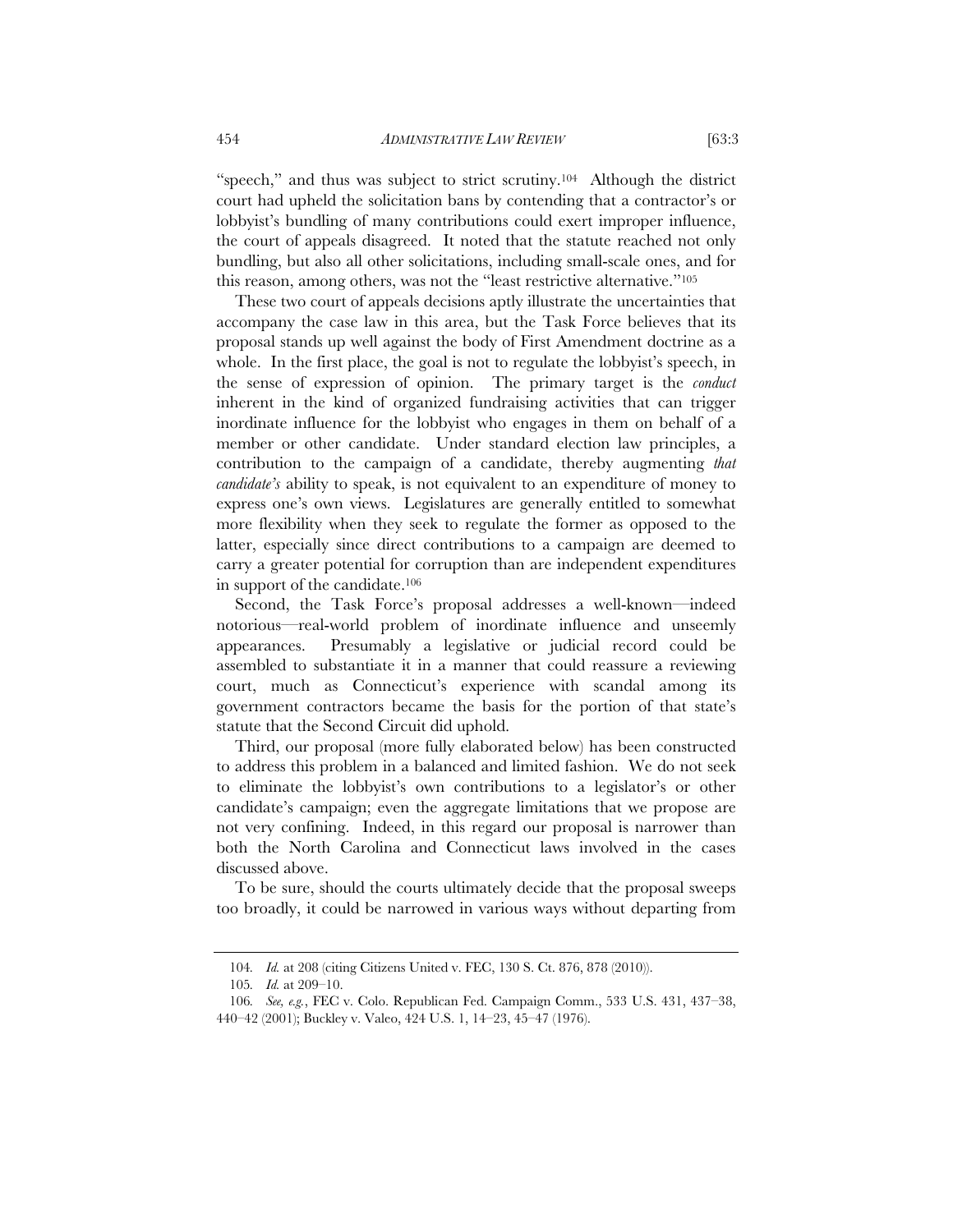"speech," and thus was subject to strict scrutiny.<sup>104</sup> Although the district court had upheld the solicitation bans by contending that a contractor's or lobbyist's bundling of many contributions could exert improper influence, the court of appeals disagreed. It noted that the statute reached not only bundling, but also all other solicitations, including small-scale ones, and for this reason, among others, was not the "least restrictive alternative."105

These two court of appeals decisions aptly illustrate the uncertainties that accompany the case law in this area, but the Task Force believes that its proposal stands up well against the body of First Amendment doctrine as a whole. In the first place, the goal is not to regulate the lobbyist's speech, in the sense of expression of opinion. The primary target is the *conduct* inherent in the kind of organized fundraising activities that can trigger inordinate influence for the lobbyist who engages in them on behalf of a member or other candidate. Under standard election law principles, a contribution to the campaign of a candidate, thereby augmenting *that candidate's* ability to speak, is not equivalent to an expenditure of money to express one's own views. Legislatures are generally entitled to somewhat more flexibility when they seek to regulate the former as opposed to the latter, especially since direct contributions to a campaign are deemed to carry a greater potential for corruption than are independent expenditures in support of the candidate.106

Second, the Task Force's proposal addresses a well-known—indeed notorious—real-world problem of inordinate influence and unseemly appearances. Presumably a legislative or judicial record could be assembled to substantiate it in a manner that could reassure a reviewing court, much as Connecticut's experience with scandal among its government contractors became the basis for the portion of that state's statute that the Second Circuit did uphold.

Third, our proposal (more fully elaborated below) has been constructed to address this problem in a balanced and limited fashion. We do not seek to eliminate the lobbyist's own contributions to a legislator's or other candidate's campaign; even the aggregate limitations that we propose are not very confining. Indeed, in this regard our proposal is narrower than both the North Carolina and Connecticut laws involved in the cases discussed above.

To be sure, should the courts ultimately decide that the proposal sweeps too broadly, it could be narrowed in various ways without departing from

<sup>104</sup>*. Id.* at 208 (citing Citizens United v. FEC, 130 S. Ct. 876, 878 (2010)).

<sup>105</sup>*. Id.* at 209–10.

<sup>106</sup>*. See, e.g.*, FEC v. Colo. Republican Fed. Campaign Comm., 533 U.S. 431, 437–38, 440–42 (2001); Buckley v. Valeo, 424 U.S. 1, 14–23, 45–47 (1976).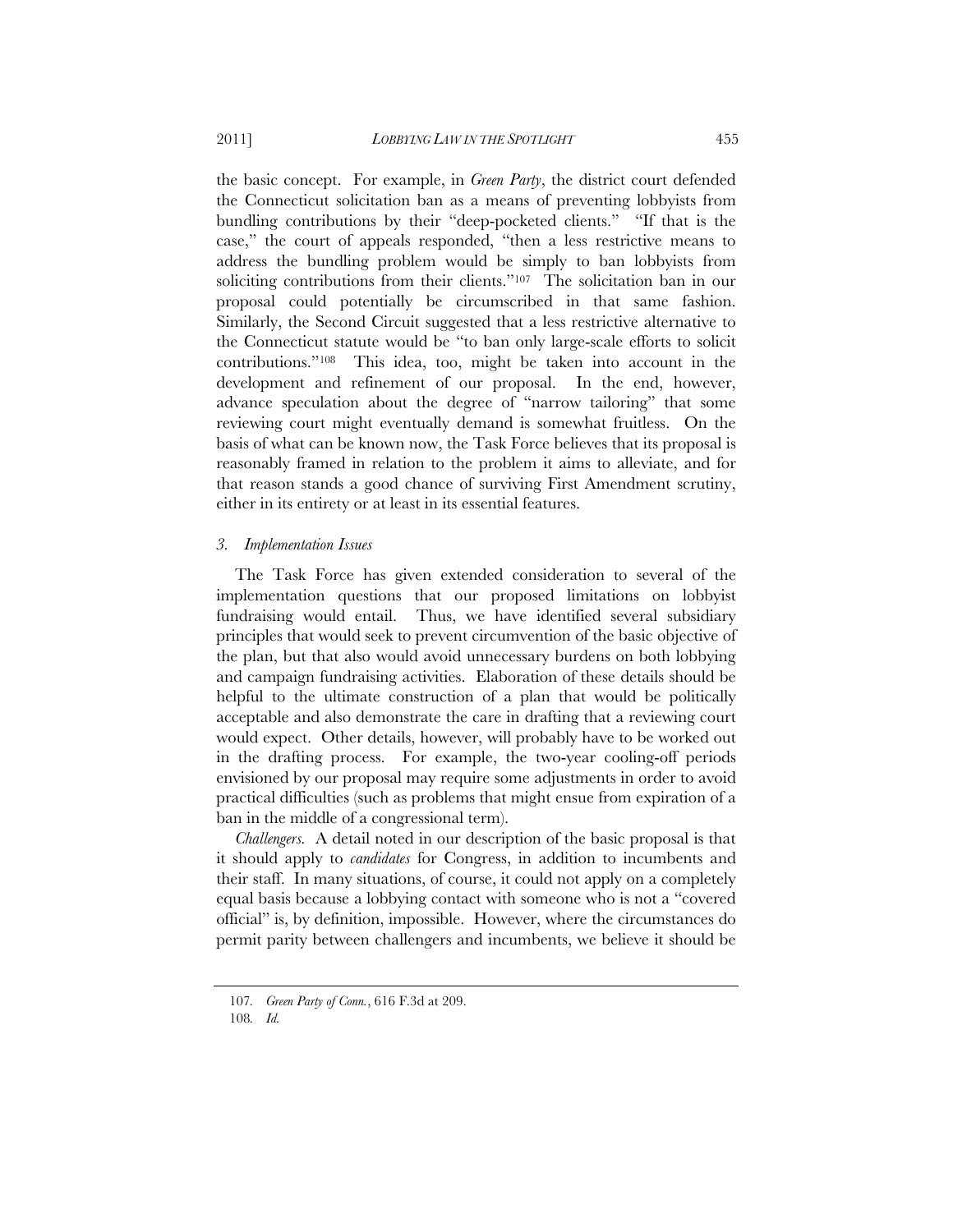the basic concept. For example, in *Green Party*, the district court defended the Connecticut solicitation ban as a means of preventing lobbyists from bundling contributions by their "deep-pocketed clients." "If that is the case," the court of appeals responded, "then a less restrictive means to address the bundling problem would be simply to ban lobbyists from soliciting contributions from their clients."<sup>107</sup> The solicitation ban in our proposal could potentially be circumscribed in that same fashion. Similarly, the Second Circuit suggested that a less restrictive alternative to the Connecticut statute would be "to ban only large-scale efforts to solicit contributions."108 This idea, too, might be taken into account in the development and refinement of our proposal. In the end, however, advance speculation about the degree of "narrow tailoring" that some reviewing court might eventually demand is somewhat fruitless. On the basis of what can be known now, the Task Force believes that its proposal is reasonably framed in relation to the problem it aims to alleviate, and for that reason stands a good chance of surviving First Amendment scrutiny, either in its entirety or at least in its essential features.

#### *3. Implementation Issues*

The Task Force has given extended consideration to several of the implementation questions that our proposed limitations on lobbyist fundraising would entail. Thus, we have identified several subsidiary principles that would seek to prevent circumvention of the basic objective of the plan, but that also would avoid unnecessary burdens on both lobbying and campaign fundraising activities. Elaboration of these details should be helpful to the ultimate construction of a plan that would be politically acceptable and also demonstrate the care in drafting that a reviewing court would expect. Other details, however, will probably have to be worked out in the drafting process. For example, the two-year cooling-off periods envisioned by our proposal may require some adjustments in order to avoid practical difficulties (such as problems that might ensue from expiration of a ban in the middle of a congressional term).

*Challengers.* A detail noted in our description of the basic proposal is that it should apply to *candidates* for Congress, in addition to incumbents and their staff. In many situations, of course, it could not apply on a completely equal basis because a lobbying contact with someone who is not a "covered official" is, by definition, impossible. However, where the circumstances do permit parity between challengers and incumbents, we believe it should be

<sup>107</sup>*. Green Party of Conn.*, 616 F.3d at 209.

<sup>108</sup>*. Id.*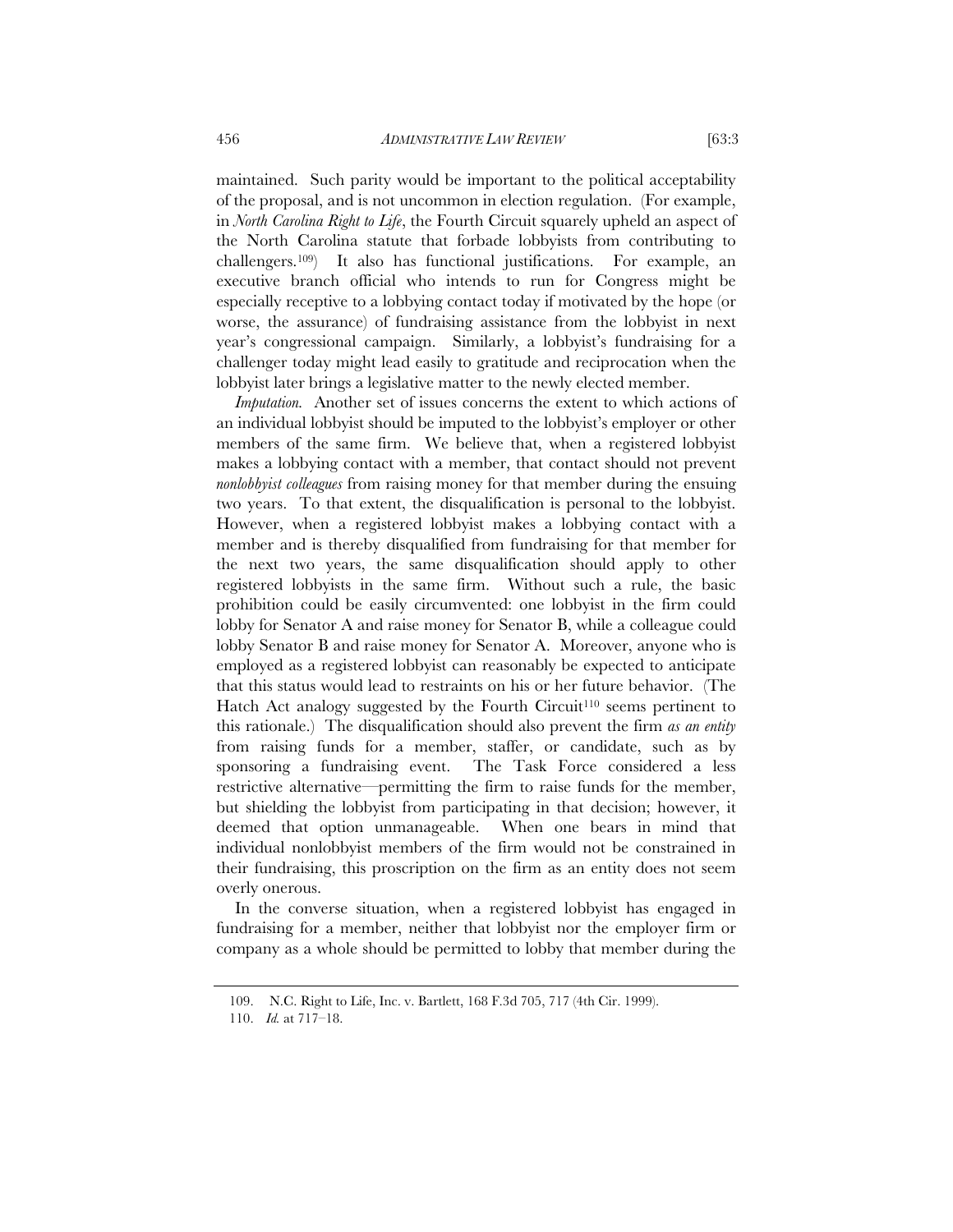maintained. Such parity would be important to the political acceptability of the proposal, and is not uncommon in election regulation. (For example, in *North Carolina Right to Life*, the Fourth Circuit squarely upheld an aspect of the North Carolina statute that forbade lobbyists from contributing to challengers.109) It also has functional justifications. For example, an executive branch official who intends to run for Congress might be especially receptive to a lobbying contact today if motivated by the hope (or worse, the assurance) of fundraising assistance from the lobbyist in next year's congressional campaign. Similarly, a lobbyist's fundraising for a challenger today might lead easily to gratitude and reciprocation when the lobbyist later brings a legislative matter to the newly elected member.

*Imputation.* Another set of issues concerns the extent to which actions of an individual lobbyist should be imputed to the lobbyist's employer or other members of the same firm. We believe that, when a registered lobbyist makes a lobbying contact with a member, that contact should not prevent *nonlobbyist colleagues* from raising money for that member during the ensuing two years. To that extent, the disqualification is personal to the lobbyist. However, when a registered lobbyist makes a lobbying contact with a member and is thereby disqualified from fundraising for that member for the next two years, the same disqualification should apply to other registered lobbyists in the same firm. Without such a rule, the basic prohibition could be easily circumvented: one lobbyist in the firm could lobby for Senator A and raise money for Senator B, while a colleague could lobby Senator B and raise money for Senator A. Moreover, anyone who is employed as a registered lobbyist can reasonably be expected to anticipate that this status would lead to restraints on his or her future behavior. (The Hatch Act analogy suggested by the Fourth Circuit<sup>110</sup> seems pertinent to this rationale.) The disqualification should also prevent the firm *as an entity* from raising funds for a member, staffer, or candidate, such as by sponsoring a fundraising event. The Task Force considered a less restrictive alternative—permitting the firm to raise funds for the member, but shielding the lobbyist from participating in that decision; however, it deemed that option unmanageable. When one bears in mind that individual nonlobbyist members of the firm would not be constrained in their fundraising, this proscription on the firm as an entity does not seem overly onerous.

In the converse situation, when a registered lobbyist has engaged in fundraising for a member, neither that lobbyist nor the employer firm or company as a whole should be permitted to lobby that member during the

<sup>109.</sup> N.C. Right to Life, Inc. v. Bartlett, 168 F.3d 705, 717 (4th Cir. 1999).

 <sup>110.</sup> *Id.* at 717–18.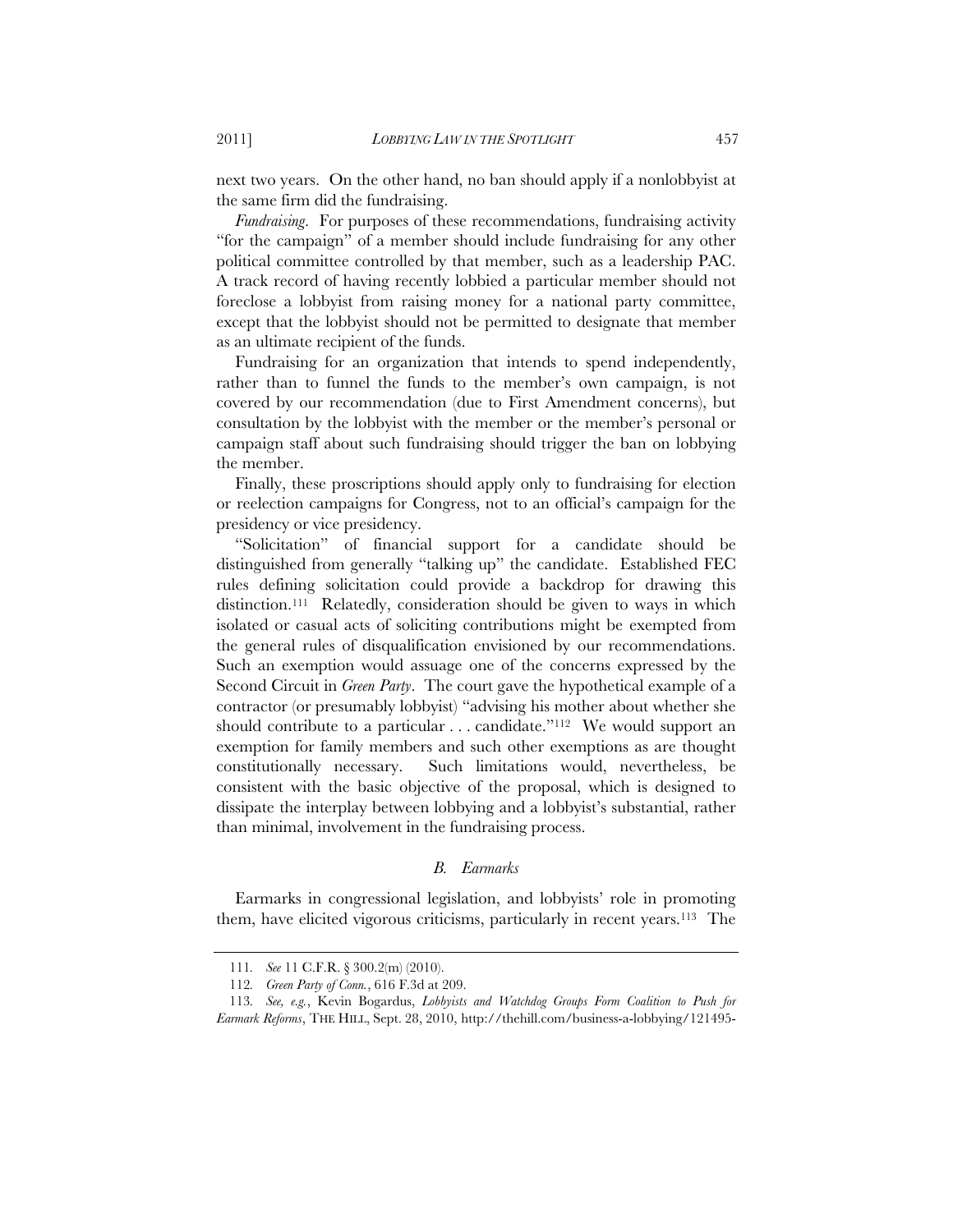next two years. On the other hand, no ban should apply if a nonlobbyist at the same firm did the fundraising.

*Fundraising*. For purposes of these recommendations, fundraising activity "for the campaign" of a member should include fundraising for any other political committee controlled by that member, such as a leadership PAC. A track record of having recently lobbied a particular member should not foreclose a lobbyist from raising money for a national party committee, except that the lobbyist should not be permitted to designate that member as an ultimate recipient of the funds.

Fundraising for an organization that intends to spend independently, rather than to funnel the funds to the member's own campaign, is not covered by our recommendation (due to First Amendment concerns), but consultation by the lobbyist with the member or the member's personal or campaign staff about such fundraising should trigger the ban on lobbying the member.

Finally, these proscriptions should apply only to fundraising for election or reelection campaigns for Congress, not to an official's campaign for the presidency or vice presidency.

"Solicitation" of financial support for a candidate should be distinguished from generally "talking up" the candidate. Established FEC rules defining solicitation could provide a backdrop for drawing this distinction.111 Relatedly, consideration should be given to ways in which isolated or casual acts of soliciting contributions might be exempted from the general rules of disqualification envisioned by our recommendations. Such an exemption would assuage one of the concerns expressed by the Second Circuit in *Green Party*. The court gave the hypothetical example of a contractor (or presumably lobbyist) "advising his mother about whether she should contribute to a particular  $\dots$  candidate."<sup>112</sup> We would support an exemption for family members and such other exemptions as are thought constitutionally necessary. Such limitations would, nevertheless, be consistent with the basic objective of the proposal, which is designed to dissipate the interplay between lobbying and a lobbyist's substantial, rather than minimal, involvement in the fundraising process.

#### *B. Earmarks*

Earmarks in congressional legislation, and lobbyists' role in promoting them, have elicited vigorous criticisms, particularly in recent years.113 The

<sup>111</sup>*. See* 11 C.F.R. § 300.2(m) (2010).

<sup>112</sup>*. Green Party of Conn.*, 616 F.3d at 209.

<sup>113</sup>*. See, e.g.*, Kevin Bogardus, *Lobbyists and Watchdog Groups Form Coalition to Push for Earmark Reforms*, THE HILL, Sept. 28, 2010, http://thehill.com/business-a-lobbying/121495-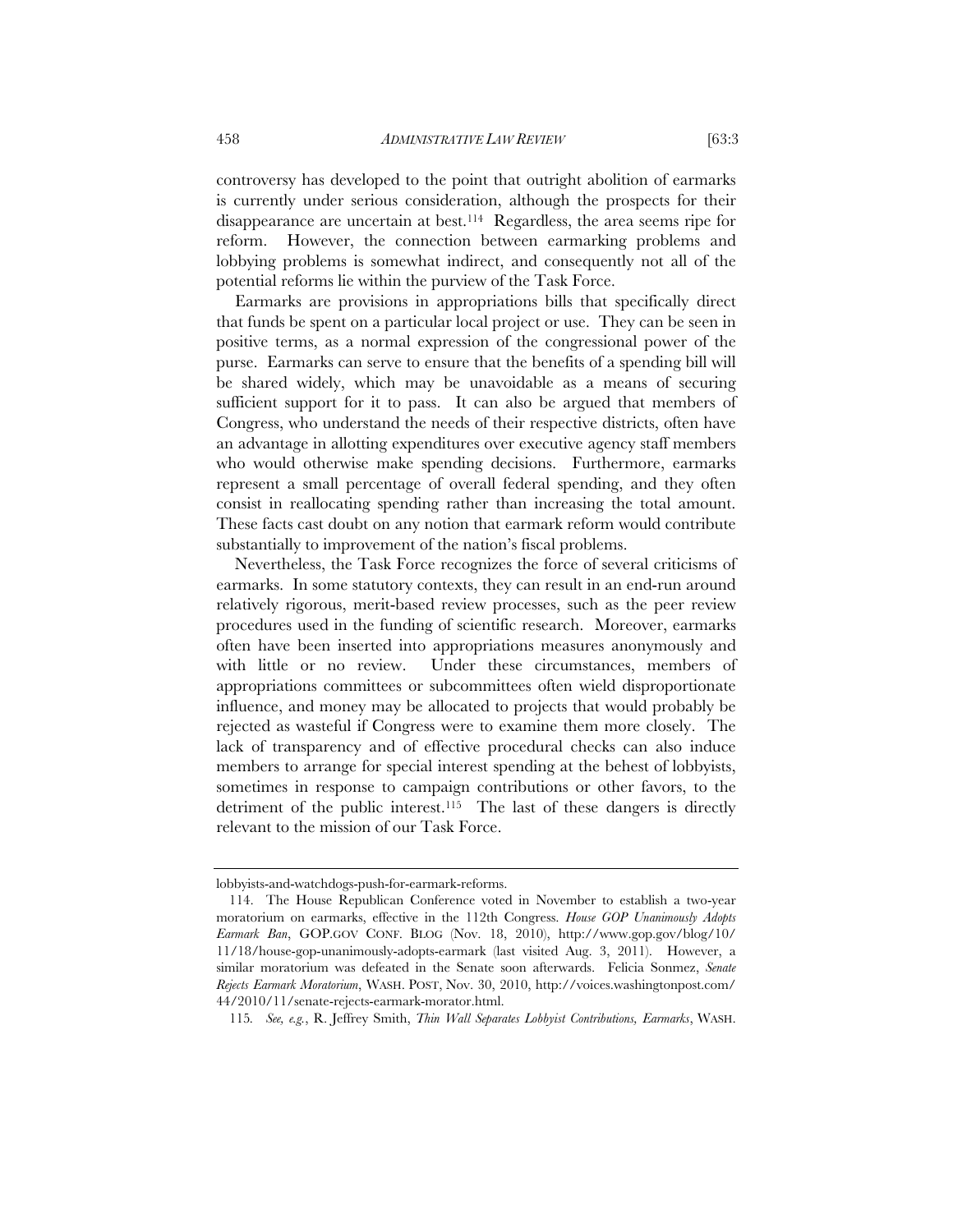controversy has developed to the point that outright abolition of earmarks is currently under serious consideration, although the prospects for their disappearance are uncertain at best.114 Regardless, the area seems ripe for reform. However, the connection between earmarking problems and lobbying problems is somewhat indirect, and consequently not all of the potential reforms lie within the purview of the Task Force.

Earmarks are provisions in appropriations bills that specifically direct that funds be spent on a particular local project or use. They can be seen in positive terms, as a normal expression of the congressional power of the purse. Earmarks can serve to ensure that the benefits of a spending bill will be shared widely, which may be unavoidable as a means of securing sufficient support for it to pass. It can also be argued that members of Congress, who understand the needs of their respective districts, often have an advantage in allotting expenditures over executive agency staff members who would otherwise make spending decisions. Furthermore, earmarks represent a small percentage of overall federal spending, and they often consist in reallocating spending rather than increasing the total amount. These facts cast doubt on any notion that earmark reform would contribute substantially to improvement of the nation's fiscal problems.

Nevertheless, the Task Force recognizes the force of several criticisms of earmarks. In some statutory contexts, they can result in an end-run around relatively rigorous, merit-based review processes, such as the peer review procedures used in the funding of scientific research. Moreover, earmarks often have been inserted into appropriations measures anonymously and with little or no review. Under these circumstances, members of appropriations committees or subcommittees often wield disproportionate influence, and money may be allocated to projects that would probably be rejected as wasteful if Congress were to examine them more closely. The lack of transparency and of effective procedural checks can also induce members to arrange for special interest spending at the behest of lobbyists, sometimes in response to campaign contributions or other favors, to the detriment of the public interest.<sup>115</sup> The last of these dangers is directly relevant to the mission of our Task Force.

lobbyists-and-watchdogs-push-for-earmark-reforms.

 <sup>114.</sup> The House Republican Conference voted in November to establish a two-year moratorium on earmarks, effective in the 112th Congress. *House GOP Unanimously Adopts Earmark Ban*, GOP.GOV CONF. BLOG (Nov. 18, 2010), http://www.gop.gov/blog/10/ 11/18/house-gop-unanimously-adopts-earmark (last visited Aug. 3, 2011). However, a similar moratorium was defeated in the Senate soon afterwards. Felicia Sonmez, *Senate Rejects Earmark Moratorium*, WASH. POST, Nov. 30, 2010, http://voices.washingtonpost.com/ 44/2010/11/senate-rejects-earmark-morator.html.

<sup>115</sup>*. See, e.g.*, R. Jeffrey Smith, *Thin Wall Separates Lobbyist Contributions, Earmarks*, WASH.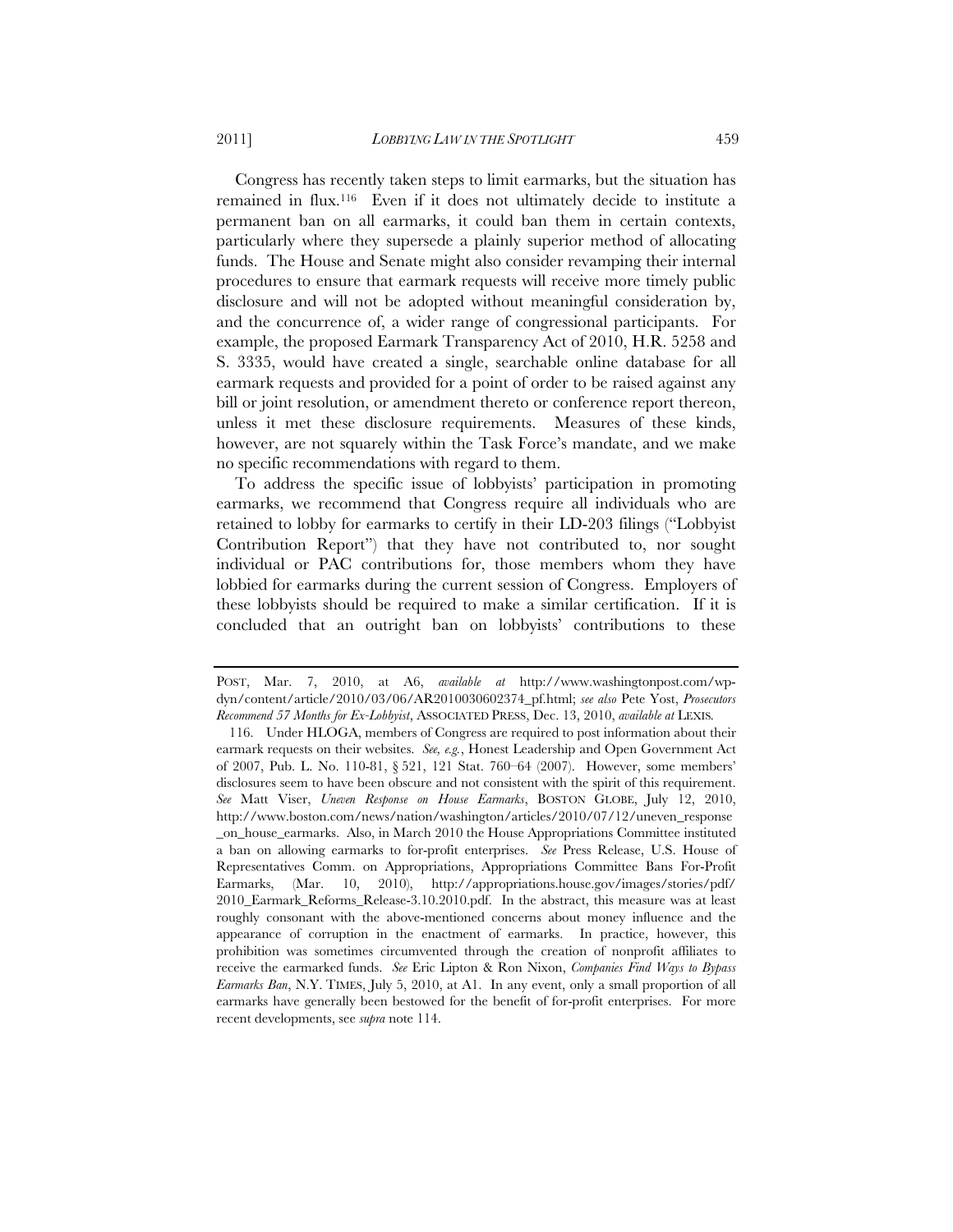Congress has recently taken steps to limit earmarks, but the situation has remained in flux.116 Even if it does not ultimately decide to institute a permanent ban on all earmarks, it could ban them in certain contexts, particularly where they supersede a plainly superior method of allocating funds. The House and Senate might also consider revamping their internal procedures to ensure that earmark requests will receive more timely public disclosure and will not be adopted without meaningful consideration by, and the concurrence of, a wider range of congressional participants. For example, the proposed Earmark Transparency Act of 2010, H.R. 5258 and S. 3335, would have created a single, searchable online database for all earmark requests and provided for a point of order to be raised against any bill or joint resolution, or amendment thereto or conference report thereon, unless it met these disclosure requirements. Measures of these kinds, however, are not squarely within the Task Force's mandate, and we make no specific recommendations with regard to them.

To address the specific issue of lobbyists' participation in promoting earmarks, we recommend that Congress require all individuals who are retained to lobby for earmarks to certify in their LD-203 filings ("Lobbyist Contribution Report") that they have not contributed to, nor sought individual or PAC contributions for, those members whom they have lobbied for earmarks during the current session of Congress. Employers of these lobbyists should be required to make a similar certification. If it is concluded that an outright ban on lobbyists' contributions to these

POST, Mar. 7, 2010, at A6, *available at* http://www.washingtonpost.com/wpdyn/content/article/2010/03/06/AR2010030602374\_pf.html; *see also* Pete Yost, *Prosecutors Recommend 57 Months for Ex-Lobbyist*, ASSOCIATED PRESS, Dec. 13, 2010, *available at* LEXIS*.* 

 <sup>116.</sup> Under HLOGA, members of Congress are required to post information about their earmark requests on their websites. *See, e.g.*, Honest Leadership and Open Government Act of 2007, Pub. L. No. 110-81, § 521, 121 Stat. 760–64 (2007). However, some members' disclosures seem to have been obscure and not consistent with the spirit of this requirement. *See* Matt Viser, *Uneven Response on House Earmarks*, BOSTON GLOBE, July 12, 2010, http://www.boston.com/news/nation/washington/articles/2010/07/12/uneven\_response \_on\_house\_earmarks. Also, in March 2010 the House Appropriations Committee instituted a ban on allowing earmarks to for-profit enterprises. *See* Press Release, U.S. House of Representatives Comm. on Appropriations, Appropriations Committee Bans For-Profit Earmarks, (Mar. 10, 2010), http://appropriations.house.gov/images/stories/pdf/ 2010\_Earmark\_Reforms\_Release-3.10.2010.pdf. In the abstract, this measure was at least roughly consonant with the above-mentioned concerns about money influence and the appearance of corruption in the enactment of earmarks. In practice, however, this prohibition was sometimes circumvented through the creation of nonprofit affiliates to receive the earmarked funds. *See* Eric Lipton & Ron Nixon, *Companies Find Ways to Bypass Earmarks Ban*, N.Y. TIMES, July 5, 2010, at A1. In any event, only a small proportion of all earmarks have generally been bestowed for the benefit of for-profit enterprises. For more recent developments, see *supra* note 114.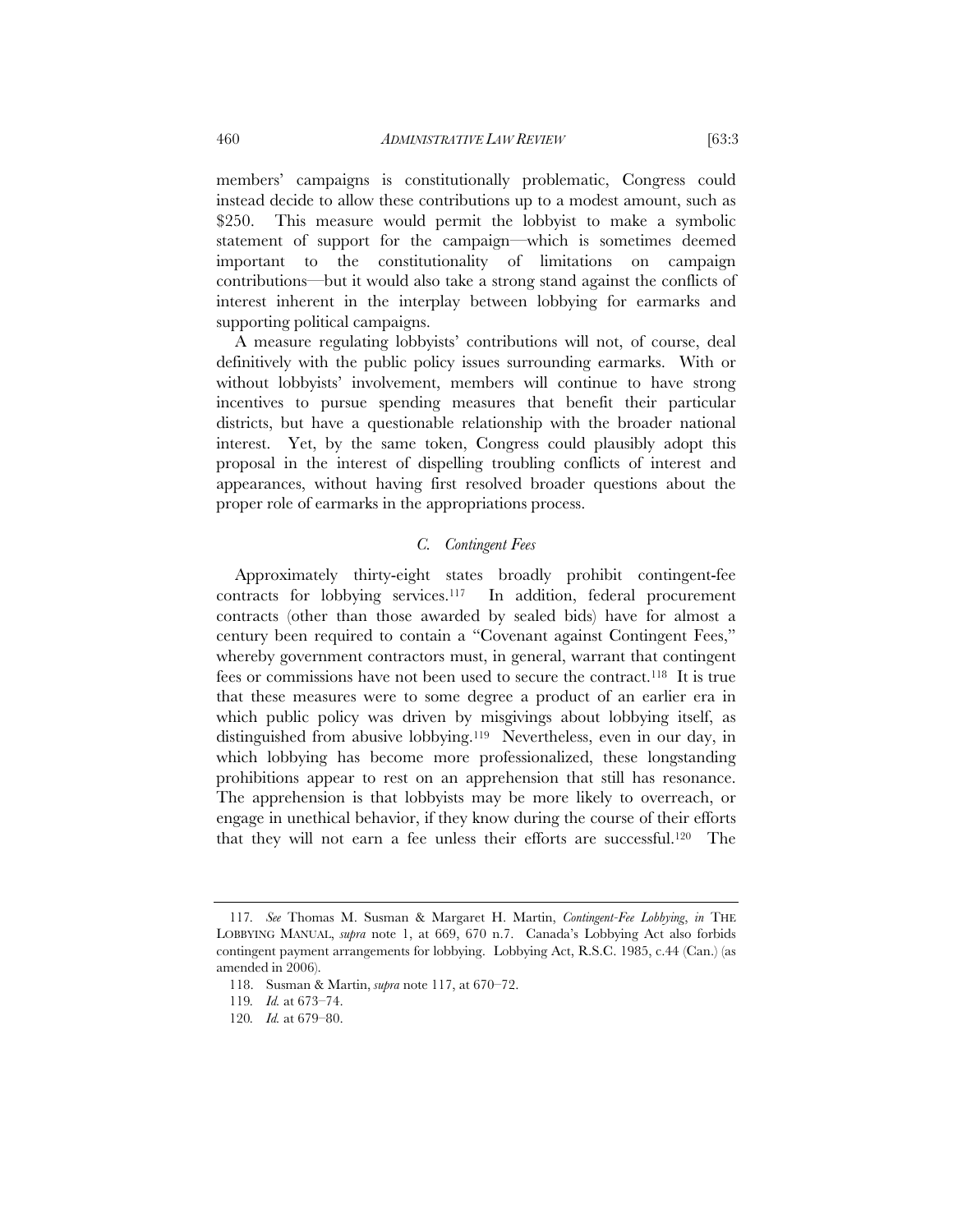members' campaigns is constitutionally problematic, Congress could instead decide to allow these contributions up to a modest amount, such as \$250. This measure would permit the lobbyist to make a symbolic statement of support for the campaign—which is sometimes deemed important to the constitutionality of limitations on campaign contributions—but it would also take a strong stand against the conflicts of interest inherent in the interplay between lobbying for earmarks and supporting political campaigns.

A measure regulating lobbyists' contributions will not, of course, deal definitively with the public policy issues surrounding earmarks. With or without lobbyists' involvement, members will continue to have strong incentives to pursue spending measures that benefit their particular districts, but have a questionable relationship with the broader national interest. Yet, by the same token, Congress could plausibly adopt this proposal in the interest of dispelling troubling conflicts of interest and appearances, without having first resolved broader questions about the proper role of earmarks in the appropriations process.

#### *C. Contingent Fees*

Approximately thirty-eight states broadly prohibit contingent-fee contracts for lobbying services.117 In addition, federal procurement contracts (other than those awarded by sealed bids) have for almost a century been required to contain a "Covenant against Contingent Fees," whereby government contractors must, in general, warrant that contingent fees or commissions have not been used to secure the contract.118 It is true that these measures were to some degree a product of an earlier era in which public policy was driven by misgivings about lobbying itself, as distinguished from abusive lobbying.119 Nevertheless, even in our day, in which lobbying has become more professionalized, these longstanding prohibitions appear to rest on an apprehension that still has resonance. The apprehension is that lobbyists may be more likely to overreach, or engage in unethical behavior, if they know during the course of their efforts that they will not earn a fee unless their efforts are successful.120 The

<sup>117</sup>*. See* Thomas M. Susman & Margaret H. Martin, *Contingent-Fee Lobbying*, *in* THE LOBBYING MANUAL, *supra* note 1, at 669, 670 n.7. Canada's Lobbying Act also forbids contingent payment arrangements for lobbying. Lobbying Act, R.S.C. 1985, c.44 (Can.) (as amended in 2006).

<sup>118.</sup> Susman & Martin, *supra* note 117, at 670–72.

<sup>119</sup>*. Id.* at 673–74.

<sup>120</sup>*. Id.* at 679–80.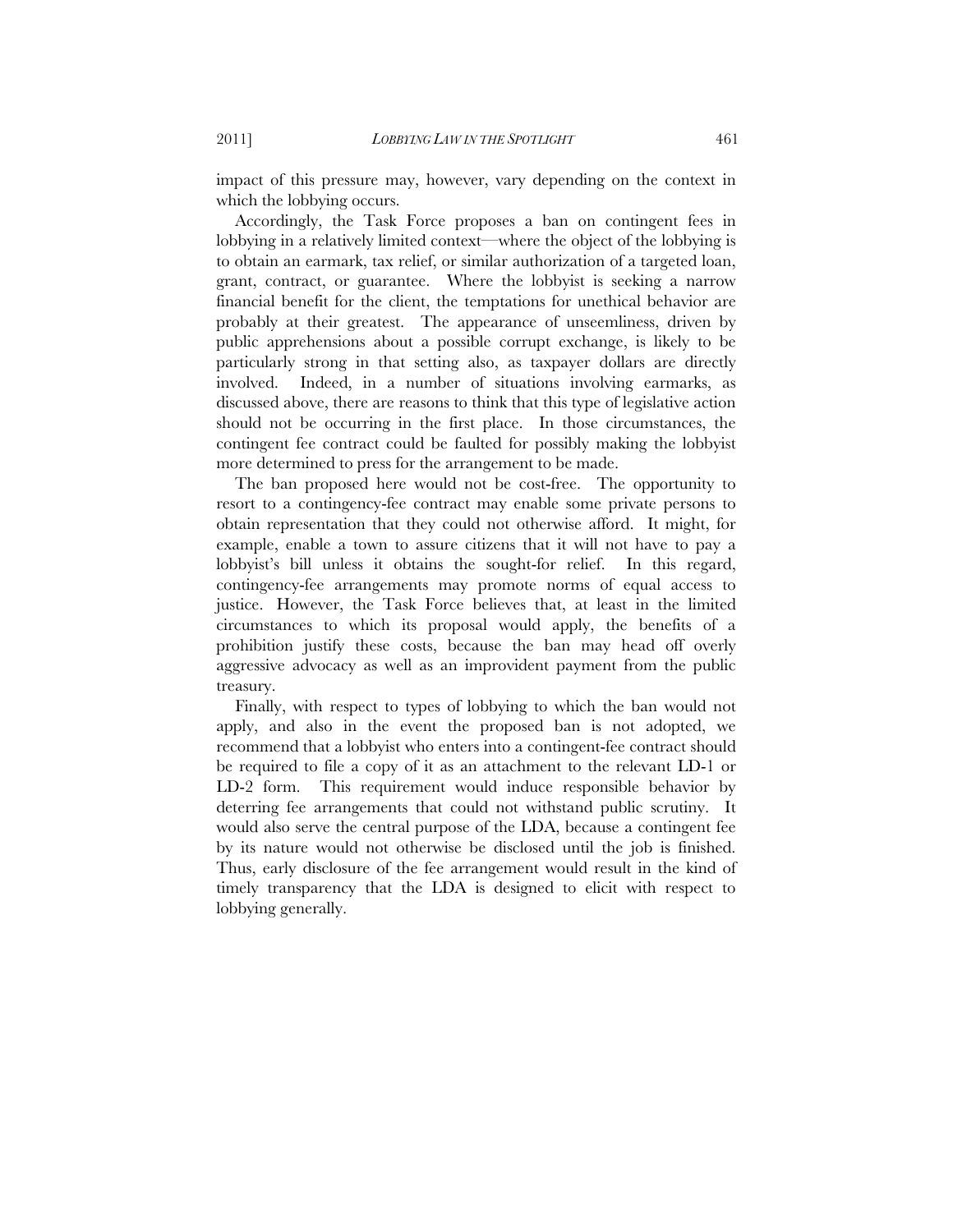impact of this pressure may, however, vary depending on the context in which the lobbying occurs.

Accordingly, the Task Force proposes a ban on contingent fees in lobbying in a relatively limited context—where the object of the lobbying is to obtain an earmark, tax relief, or similar authorization of a targeted loan, grant, contract, or guarantee. Where the lobbyist is seeking a narrow financial benefit for the client, the temptations for unethical behavior are probably at their greatest. The appearance of unseemliness, driven by public apprehensions about a possible corrupt exchange, is likely to be particularly strong in that setting also, as taxpayer dollars are directly involved. Indeed, in a number of situations involving earmarks, as discussed above, there are reasons to think that this type of legislative action should not be occurring in the first place. In those circumstances, the contingent fee contract could be faulted for possibly making the lobbyist more determined to press for the arrangement to be made.

The ban proposed here would not be cost-free. The opportunity to resort to a contingency-fee contract may enable some private persons to obtain representation that they could not otherwise afford. It might, for example, enable a town to assure citizens that it will not have to pay a lobbyist's bill unless it obtains the sought-for relief. In this regard, contingency-fee arrangements may promote norms of equal access to justice. However, the Task Force believes that, at least in the limited circumstances to which its proposal would apply, the benefits of a prohibition justify these costs, because the ban may head off overly aggressive advocacy as well as an improvident payment from the public treasury.

Finally, with respect to types of lobbying to which the ban would not apply, and also in the event the proposed ban is not adopted, we recommend that a lobbyist who enters into a contingent-fee contract should be required to file a copy of it as an attachment to the relevant LD-1 or LD-2 form. This requirement would induce responsible behavior by deterring fee arrangements that could not withstand public scrutiny. It would also serve the central purpose of the LDA, because a contingent fee by its nature would not otherwise be disclosed until the job is finished. Thus, early disclosure of the fee arrangement would result in the kind of timely transparency that the LDA is designed to elicit with respect to lobbying generally.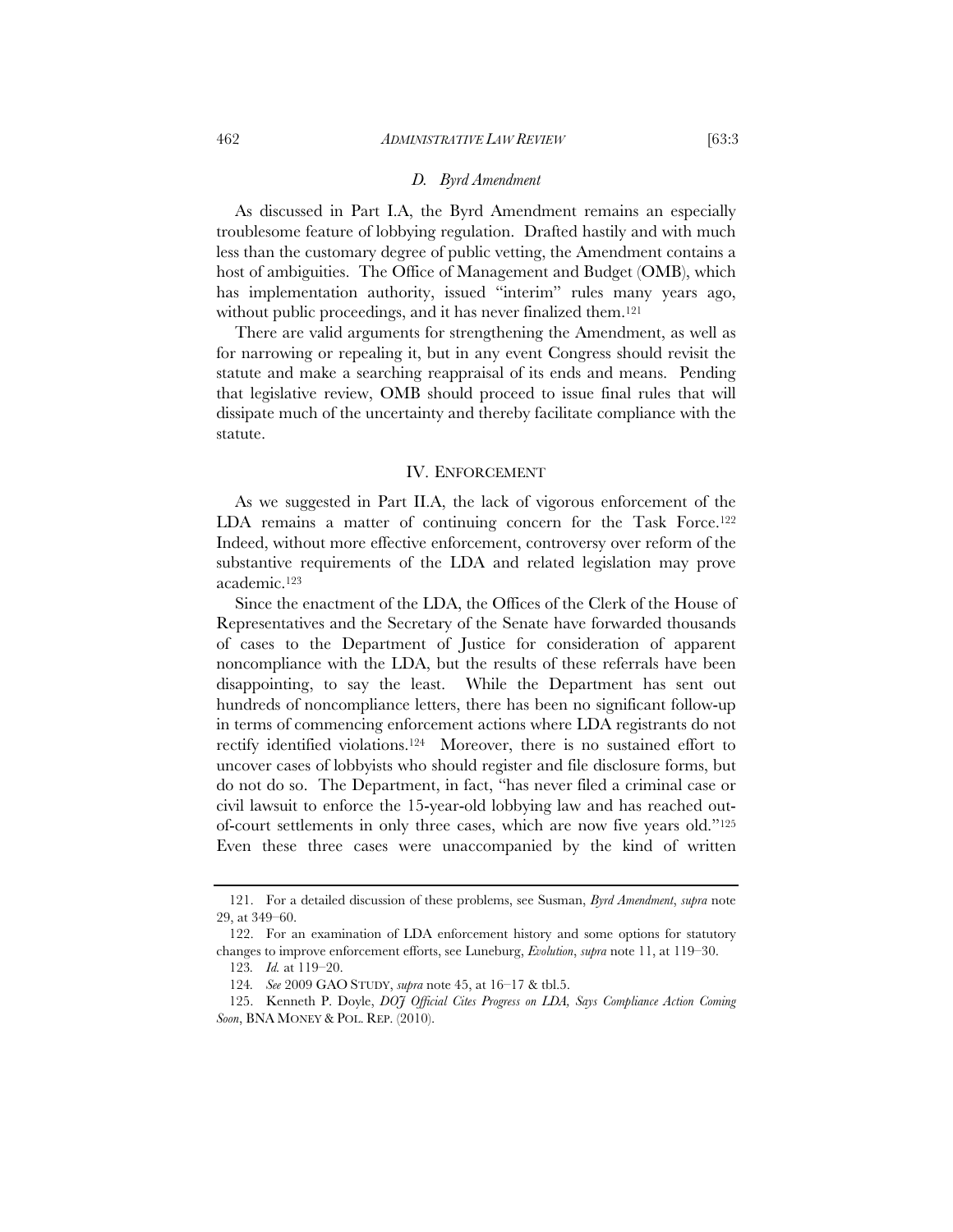#### *D. Byrd Amendment*

As discussed in Part I.A, the Byrd Amendment remains an especially troublesome feature of lobbying regulation. Drafted hastily and with much less than the customary degree of public vetting, the Amendment contains a host of ambiguities. The Office of Management and Budget (OMB), which has implementation authority, issued "interim" rules many years ago, without public proceedings, and it has never finalized them.<sup>121</sup>

There are valid arguments for strengthening the Amendment, as well as for narrowing or repealing it, but in any event Congress should revisit the statute and make a searching reappraisal of its ends and means. Pending that legislative review, OMB should proceed to issue final rules that will dissipate much of the uncertainty and thereby facilitate compliance with the statute.

#### IV. ENFORCEMENT

As we suggested in Part II.A, the lack of vigorous enforcement of the LDA remains a matter of continuing concern for the Task Force.<sup>122</sup> Indeed, without more effective enforcement, controversy over reform of the substantive requirements of the LDA and related legislation may prove academic.123

Since the enactment of the LDA, the Offices of the Clerk of the House of Representatives and the Secretary of the Senate have forwarded thousands of cases to the Department of Justice for consideration of apparent noncompliance with the LDA, but the results of these referrals have been disappointing, to say the least. While the Department has sent out hundreds of noncompliance letters, there has been no significant follow-up in terms of commencing enforcement actions where LDA registrants do not rectify identified violations.124 Moreover, there is no sustained effort to uncover cases of lobbyists who should register and file disclosure forms, but do not do so. The Department, in fact, "has never filed a criminal case or civil lawsuit to enforce the 15-year-old lobbying law and has reached outof-court settlements in only three cases, which are now five years old."125 Even these three cases were unaccompanied by the kind of written

 <sup>121.</sup> For a detailed discussion of these problems, see Susman, *Byrd Amendment*, *supra* note 29, at 349–60.

 <sup>122.</sup> For an examination of LDA enforcement history and some options for statutory changes to improve enforcement efforts, see Luneburg, *Evolution*, *supra* note 11, at 119–30.

<sup>123</sup>*. Id.* at 119–20.

<sup>124</sup>*. See* 2009 GAO STUDY, *supra* note 45, at 16–17 & tbl.5.

<sup>125.</sup> Kenneth P. Doyle, *DOJ Official Cites Progress on LDA, Says Compliance Action Coming Soon*, BNA MONEY & POL. REP. (2010).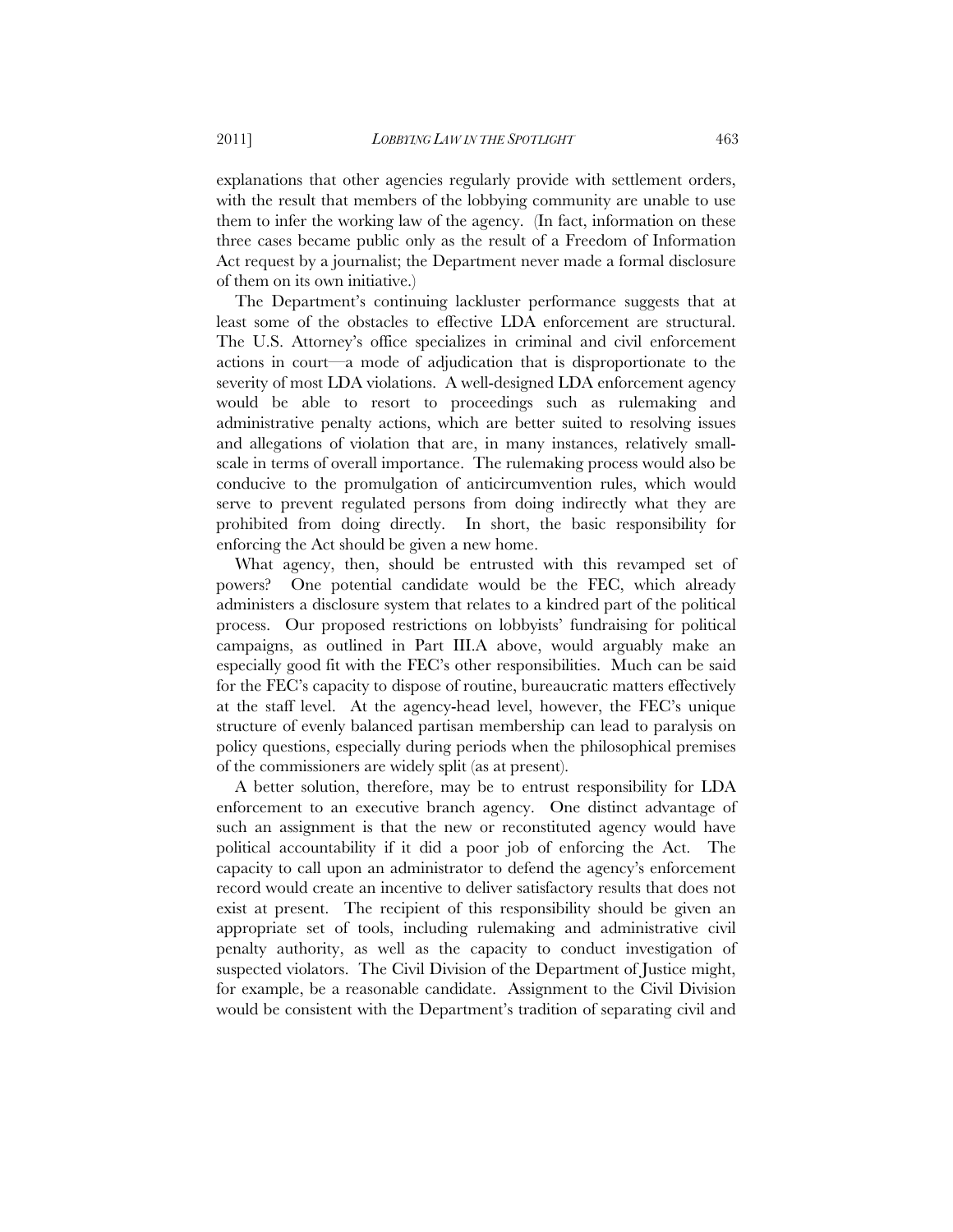explanations that other agencies regularly provide with settlement orders, with the result that members of the lobbying community are unable to use them to infer the working law of the agency. (In fact, information on these three cases became public only as the result of a Freedom of Information Act request by a journalist; the Department never made a formal disclosure of them on its own initiative.)

The Department's continuing lackluster performance suggests that at least some of the obstacles to effective LDA enforcement are structural. The U.S. Attorney's office specializes in criminal and civil enforcement actions in court—a mode of adjudication that is disproportionate to the severity of most LDA violations. A well-designed LDA enforcement agency would be able to resort to proceedings such as rulemaking and administrative penalty actions, which are better suited to resolving issues and allegations of violation that are, in many instances, relatively smallscale in terms of overall importance. The rulemaking process would also be conducive to the promulgation of anticircumvention rules, which would serve to prevent regulated persons from doing indirectly what they are prohibited from doing directly. In short, the basic responsibility for enforcing the Act should be given a new home.

What agency, then, should be entrusted with this revamped set of powers? One potential candidate would be the FEC, which already administers a disclosure system that relates to a kindred part of the political process. Our proposed restrictions on lobbyists' fundraising for political campaigns, as outlined in Part III.A above, would arguably make an especially good fit with the FEC's other responsibilities. Much can be said for the FEC's capacity to dispose of routine, bureaucratic matters effectively at the staff level. At the agency-head level, however, the FEC's unique structure of evenly balanced partisan membership can lead to paralysis on policy questions, especially during periods when the philosophical premises of the commissioners are widely split (as at present).

A better solution, therefore, may be to entrust responsibility for LDA enforcement to an executive branch agency. One distinct advantage of such an assignment is that the new or reconstituted agency would have political accountability if it did a poor job of enforcing the Act. The capacity to call upon an administrator to defend the agency's enforcement record would create an incentive to deliver satisfactory results that does not exist at present. The recipient of this responsibility should be given an appropriate set of tools, including rulemaking and administrative civil penalty authority, as well as the capacity to conduct investigation of suspected violators. The Civil Division of the Department of Justice might, for example, be a reasonable candidate. Assignment to the Civil Division would be consistent with the Department's tradition of separating civil and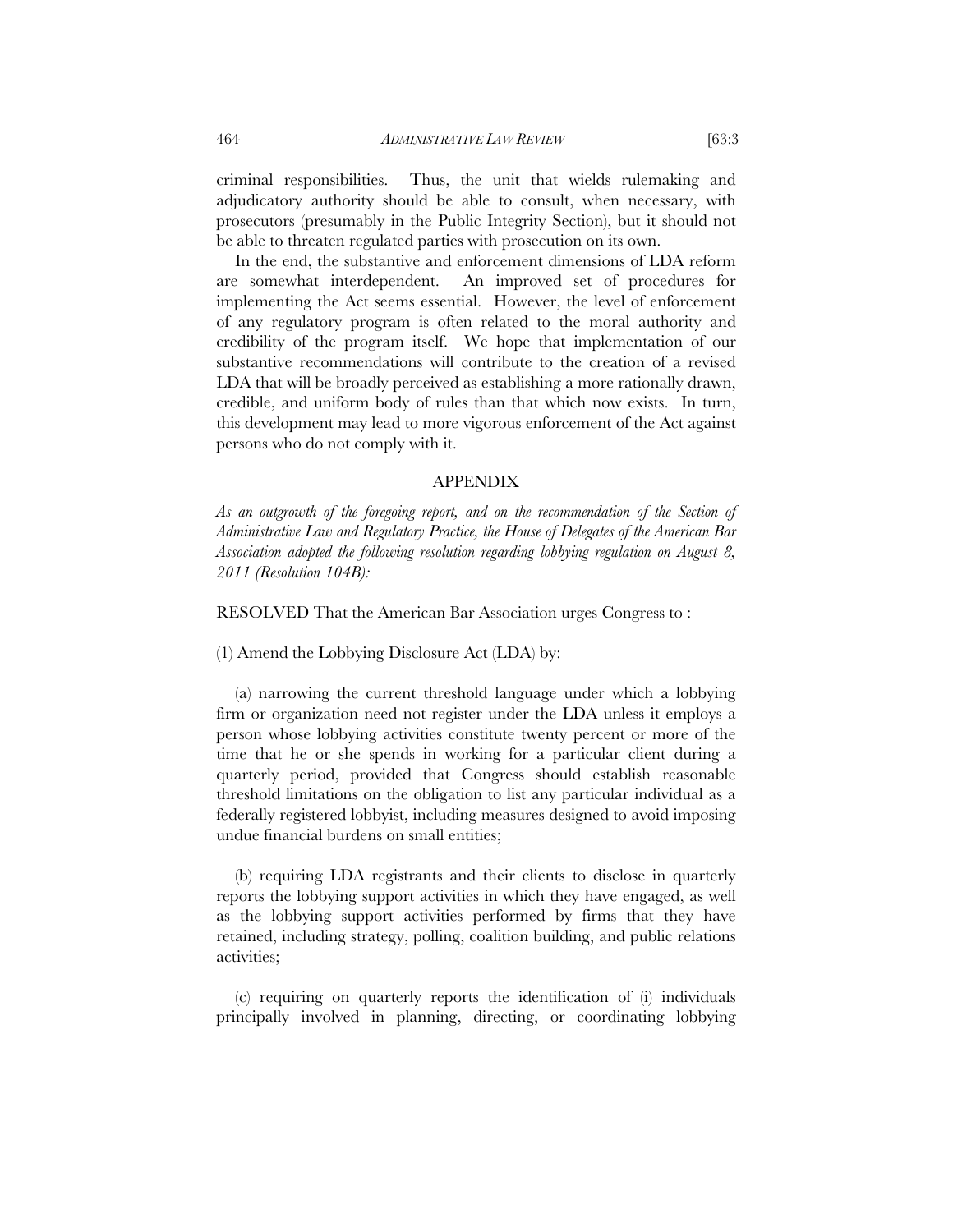criminal responsibilities. Thus, the unit that wields rulemaking and adjudicatory authority should be able to consult, when necessary, with prosecutors (presumably in the Public Integrity Section), but it should not be able to threaten regulated parties with prosecution on its own.

In the end, the substantive and enforcement dimensions of LDA reform are somewhat interdependent. An improved set of procedures for implementing the Act seems essential. However, the level of enforcement of any regulatory program is often related to the moral authority and credibility of the program itself. We hope that implementation of our substantive recommendations will contribute to the creation of a revised LDA that will be broadly perceived as establishing a more rationally drawn, credible, and uniform body of rules than that which now exists. In turn, this development may lead to more vigorous enforcement of the Act against persons who do not comply with it.

#### APPENDIX

As an outgrowth of the foregoing report, and on the recommendation of the Section of *Administrative Law and Regulatory Practice, the House of Delegates of the American Bar Association adopted the following resolution regarding lobbying regulation on August 8, 2011 (Resolution 104B):* 

RESOLVED That the American Bar Association urges Congress to :

(1) Amend the Lobbying Disclosure Act (LDA) by:

(a) narrowing the current threshold language under which a lobbying firm or organization need not register under the LDA unless it employs a person whose lobbying activities constitute twenty percent or more of the time that he or she spends in working for a particular client during a quarterly period, provided that Congress should establish reasonable threshold limitations on the obligation to list any particular individual as a federally registered lobbyist, including measures designed to avoid imposing undue financial burdens on small entities;

(b) requiring LDA registrants and their clients to disclose in quarterly reports the lobbying support activities in which they have engaged, as well as the lobbying support activities performed by firms that they have retained, including strategy, polling, coalition building, and public relations activities;

(c) requiring on quarterly reports the identification of (i) individuals principally involved in planning, directing, or coordinating lobbying